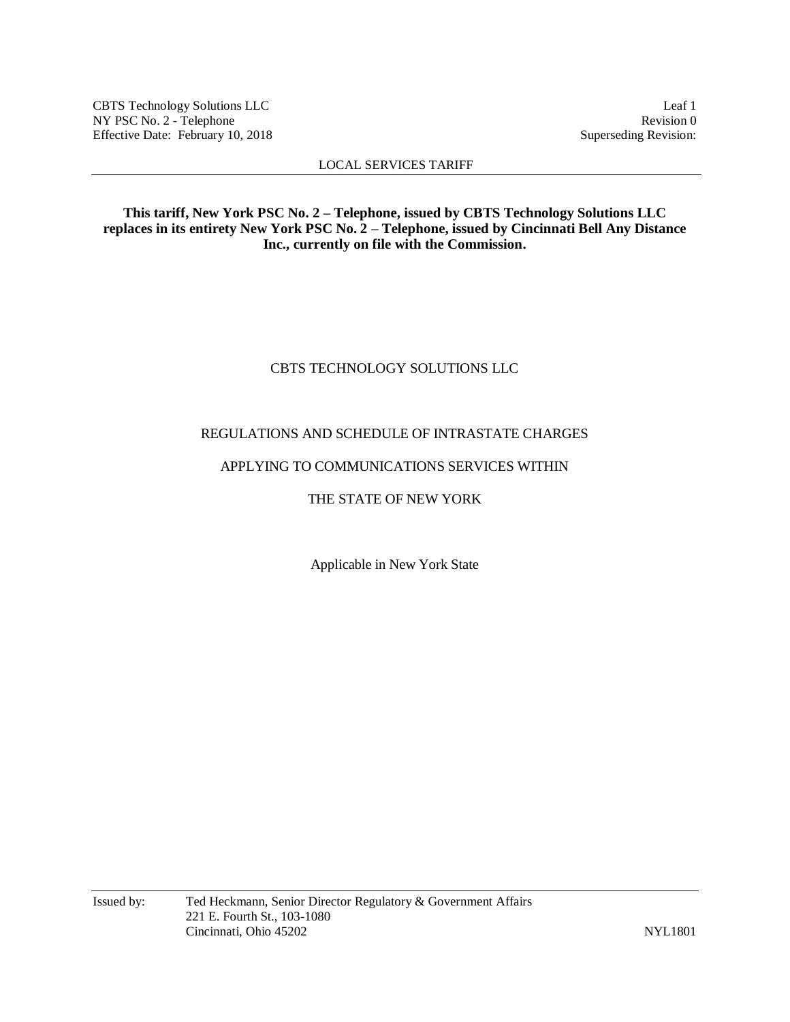CBTS Technology Solutions LLC<br>
NY PSC No. 2 - Telephone Revision 0 NY PSC No. 2 - Telephone Revision 0<br>Effective Date: February 10, 2018 Superseding Revision: Effective Date: February 10, 2018

## LOCAL SERVICES TARIFF

**This tariff, New York PSC No. 2 – Telephone, issued by CBTS Technology Solutions LLC replaces in its entirety New York PSC No. 2 – Telephone, issued by Cincinnati Bell Any Distance Inc., currently on file with the Commission.**

# CBTS TECHNOLOGY SOLUTIONS LLC

# REGULATIONS AND SCHEDULE OF INTRASTATE CHARGES

## APPLYING TO COMMUNICATIONS SERVICES WITHIN

# THE STATE OF NEW YORK

Applicable in New York State

Issued by: Ted Heckmann, Senior Director Regulatory & Government Affairs 221 E. Fourth St., 103-1080 Cincinnati, Ohio 45202 NYL1801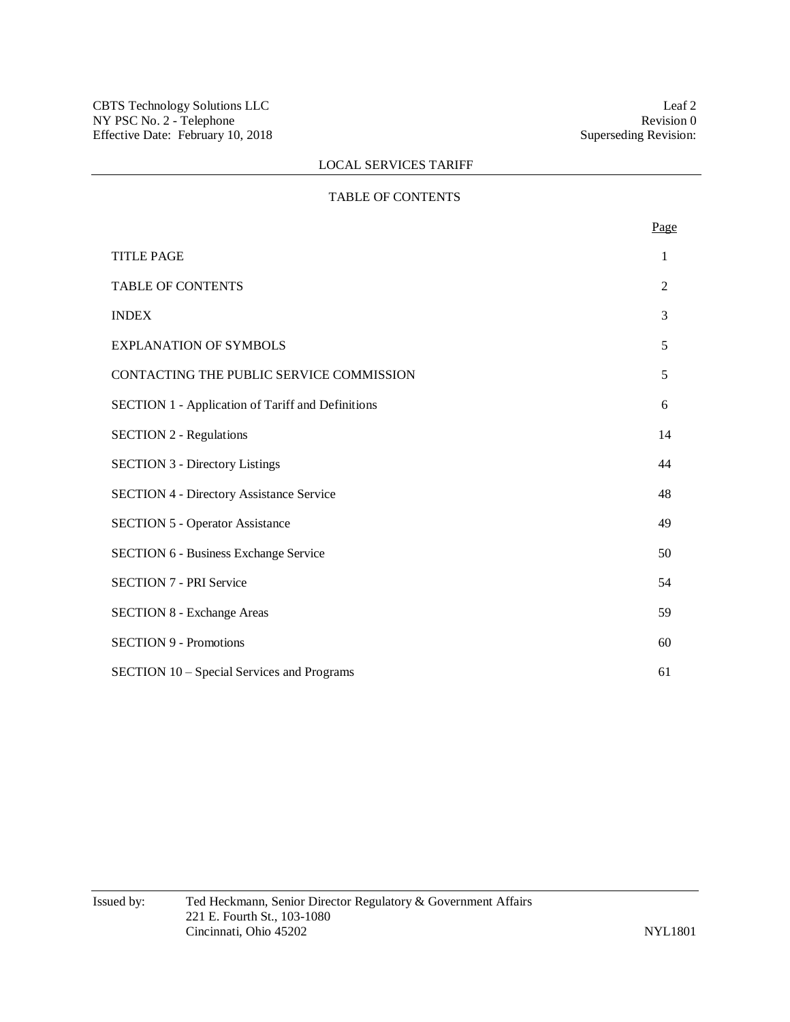## TABLE OF CONTENTS

|                                                          | Page           |
|----------------------------------------------------------|----------------|
| <b>TITLE PAGE</b>                                        | 1              |
| <b>TABLE OF CONTENTS</b>                                 | $\overline{2}$ |
| <b>INDEX</b>                                             | 3              |
| <b>EXPLANATION OF SYMBOLS</b>                            | 5              |
| CONTACTING THE PUBLIC SERVICE COMMISSION                 | 5              |
| <b>SECTION 1 - Application of Tariff and Definitions</b> | 6              |
| <b>SECTION 2 - Regulations</b>                           | 14             |
| <b>SECTION 3 - Directory Listings</b>                    | 44             |
| <b>SECTION 4 - Directory Assistance Service</b>          | 48             |
| <b>SECTION 5 - Operator Assistance</b>                   | 49             |
| <b>SECTION 6 - Business Exchange Service</b>             | 50             |
| <b>SECTION 7 - PRI Service</b>                           | 54             |
| <b>SECTION 8 - Exchange Areas</b>                        | 59             |
| <b>SECTION 9 - Promotions</b>                            | 60             |
| SECTION 10 - Special Services and Programs               | 61             |
|                                                          |                |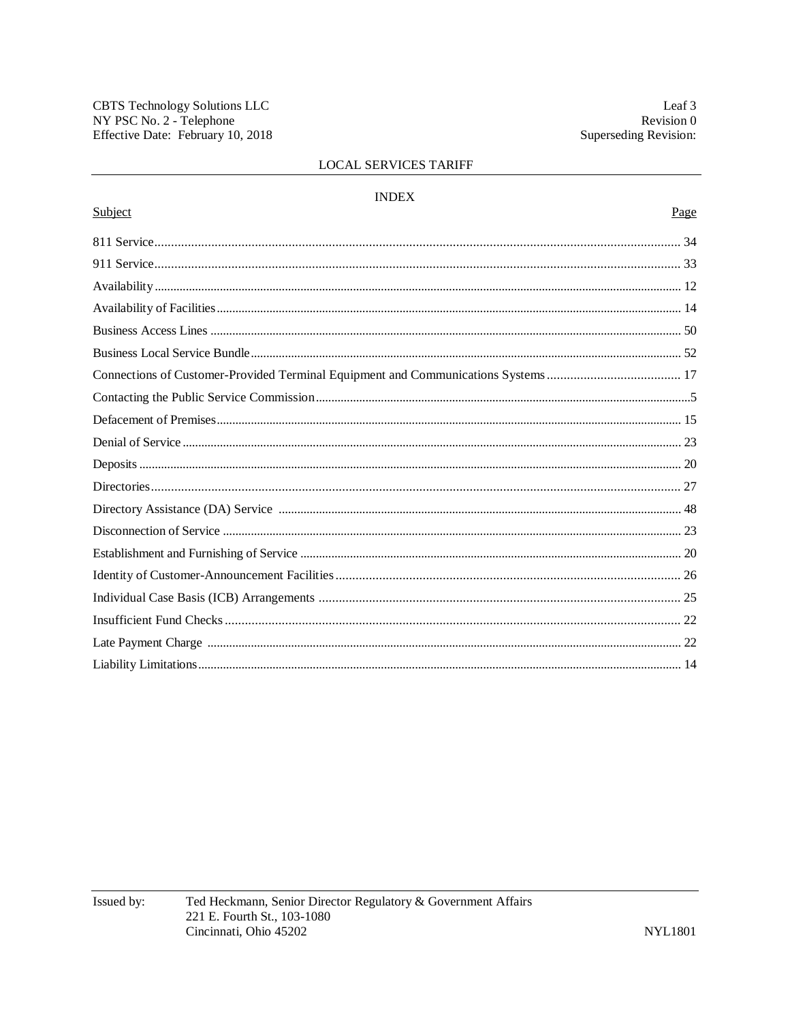| <b>INDEX</b> |      |
|--------------|------|
| Subject      | Page |
|              |      |
|              |      |
|              |      |
|              |      |
|              |      |
|              |      |
|              |      |
|              |      |
|              |      |
|              |      |
|              |      |
|              |      |
|              |      |
|              |      |
|              |      |
|              |      |
|              |      |
|              |      |
|              |      |
|              |      |
|              |      |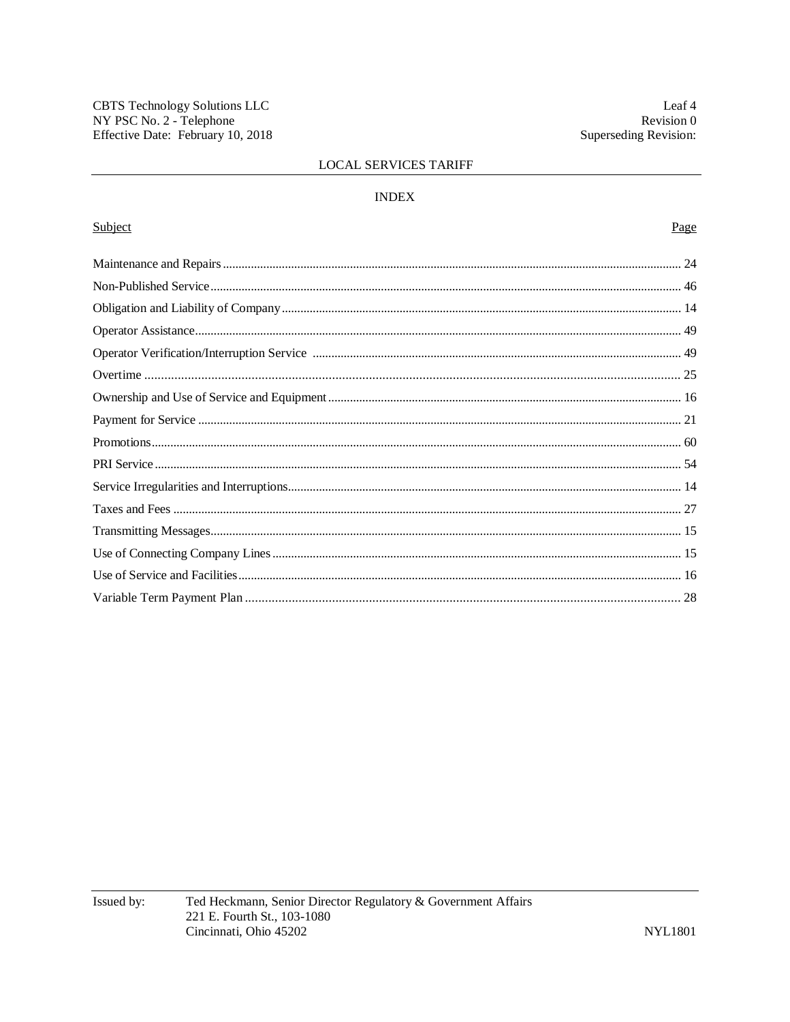## **INDEX**

# Subject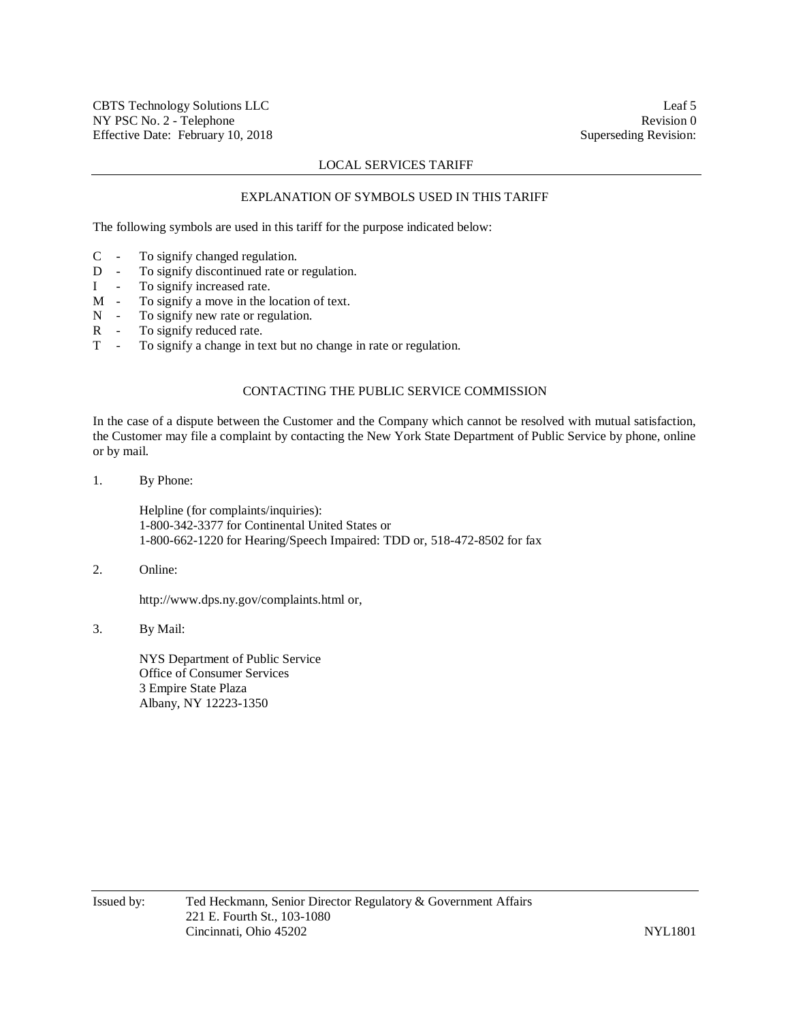#### EXPLANATION OF SYMBOLS USED IN THIS TARIFF

The following symbols are used in this tariff for the purpose indicated below:

- C To signify changed regulation.
- D To signify discontinued rate or regulation.
- I To signify increased rate.
- M To signify a move in the location of text.
- N To signify new rate or regulation.
- R To signify reduced rate.
- T To signify a change in text but no change in rate or regulation.

# CONTACTING THE PUBLIC SERVICE COMMISSION

In the case of a dispute between the Customer and the Company which cannot be resolved with mutual satisfaction, the Customer may file a complaint by contacting the New York State Department of Public Service by phone, online or by mail.

1. By Phone:

Helpline (for complaints/inquiries): 1-800-342-3377 for Continental United States or 1-800-662-1220 for Hearing/Speech Impaired: TDD or, 518-472-8502 for fax

2. Online:

http://www.dps.ny.gov/complaints.html or,

3. By Mail:

NYS Department of Public Service Office of Consumer Services 3 Empire State Plaza Albany, NY 12223-1350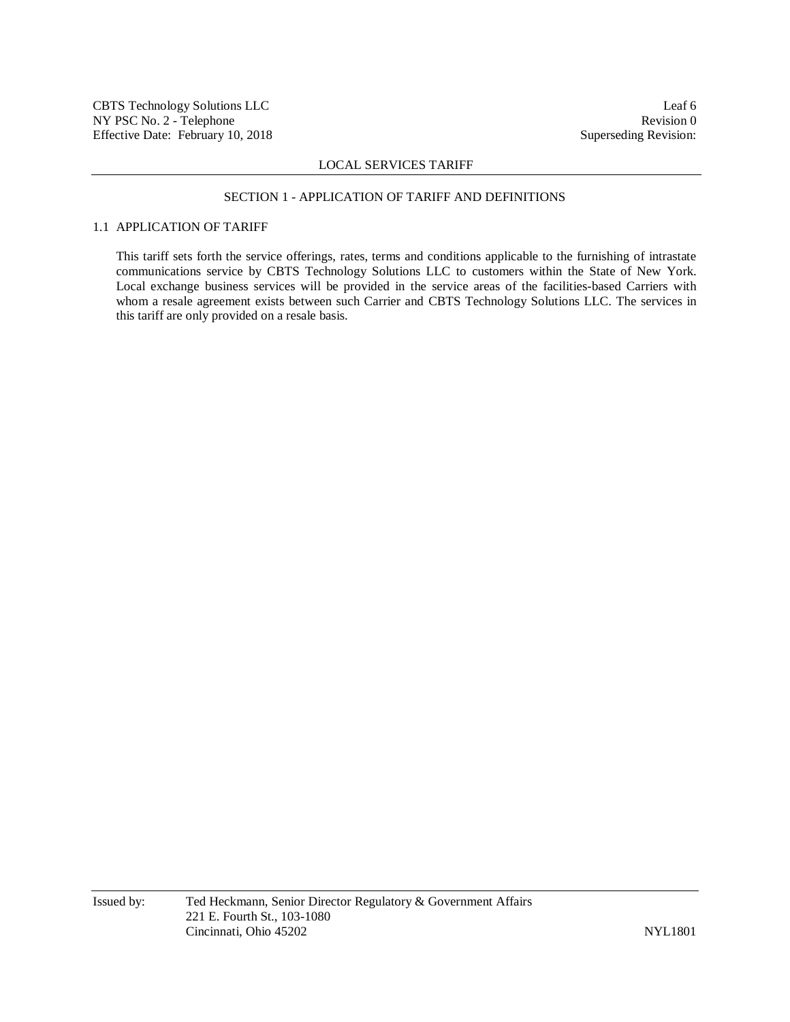#### SECTION 1 - APPLICATION OF TARIFF AND DEFINITIONS

# 1.1 APPLICATION OF TARIFF

This tariff sets forth the service offerings, rates, terms and conditions applicable to the furnishing of intrastate communications service by CBTS Technology Solutions LLC to customers within the State of New York. Local exchange business services will be provided in the service areas of the facilities-based Carriers with whom a resale agreement exists between such Carrier and CBTS Technology Solutions LLC. The services in this tariff are only provided on a resale basis.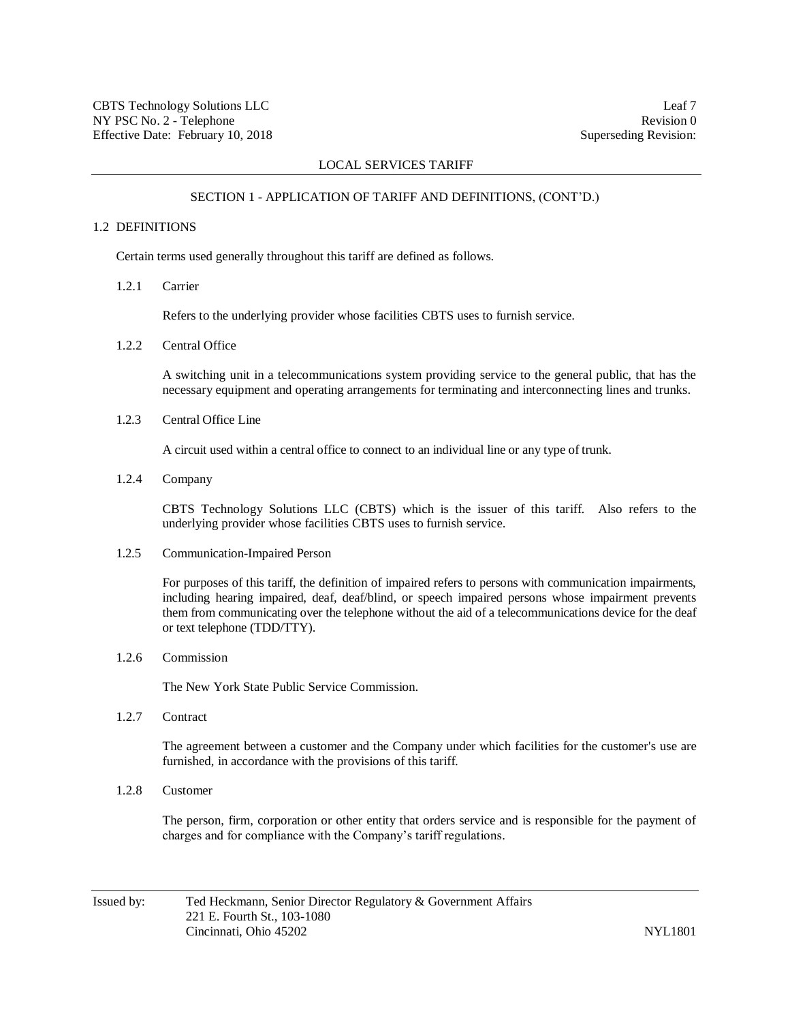#### SECTION 1 - APPLICATION OF TARIFF AND DEFINITIONS, (CONT'D.)

## 1.2 DEFINITIONS

Certain terms used generally throughout this tariff are defined as follows.

1.2.1 Carrier

Refers to the underlying provider whose facilities CBTS uses to furnish service.

1.2.2 Central Office

A switching unit in a telecommunications system providing service to the general public, that has the necessary equipment and operating arrangements for terminating and interconnecting lines and trunks.

1.2.3 Central Office Line

A circuit used within a central office to connect to an individual line or any type of trunk.

1.2.4 Company

CBTS Technology Solutions LLC (CBTS) which is the issuer of this tariff. Also refers to the underlying provider whose facilities CBTS uses to furnish service.

1.2.5 Communication-Impaired Person

For purposes of this tariff, the definition of impaired refers to persons with communication impairments, including hearing impaired, deaf, deaf/blind, or speech impaired persons whose impairment prevents them from communicating over the telephone without the aid of a telecommunications device for the deaf or text telephone (TDD/TTY).

1.2.6 Commission

The New York State Public Service Commission.

1.2.7 Contract

The agreement between a customer and the Company under which facilities for the customer's use are furnished, in accordance with the provisions of this tariff.

1.2.8 Customer

The person, firm, corporation or other entity that orders service and is responsible for the payment of charges and for compliance with the Company's tariff regulations.

Issued by: Ted Heckmann, Senior Director Regulatory & Government Affairs 221 E. Fourth St., 103-1080 Cincinnati, Ohio 45202 NYL1801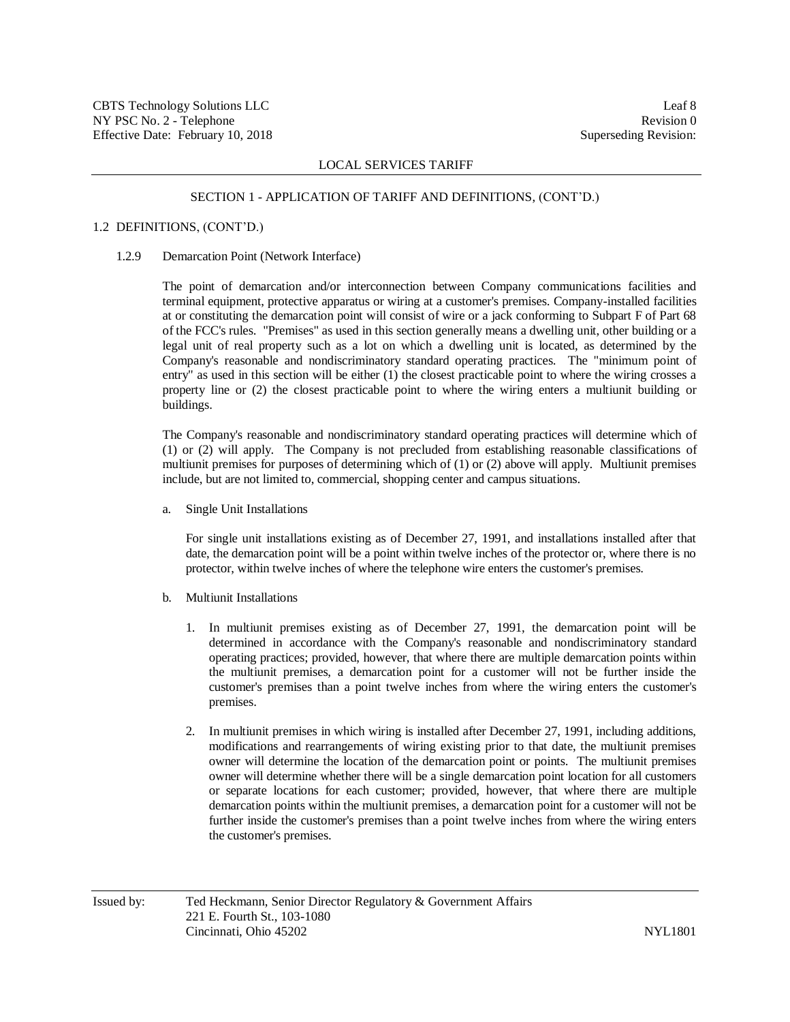#### SECTION 1 - APPLICATION OF TARIFF AND DEFINITIONS, (CONT'D.)

### 1.2 DEFINITIONS, (CONT'D.)

#### 1.2.9 Demarcation Point (Network Interface)

The point of demarcation and/or interconnection between Company communications facilities and terminal equipment, protective apparatus or wiring at a customer's premises. Company-installed facilities at or constituting the demarcation point will consist of wire or a jack conforming to Subpart F of Part 68 of the FCC's rules. "Premises" as used in this section generally means a dwelling unit, other building or a legal unit of real property such as a lot on which a dwelling unit is located, as determined by the Company's reasonable and nondiscriminatory standard operating practices. The "minimum point of entry" as used in this section will be either (1) the closest practicable point to where the wiring crosses a property line or (2) the closest practicable point to where the wiring enters a multiunit building or buildings.

The Company's reasonable and nondiscriminatory standard operating practices will determine which of (1) or (2) will apply. The Company is not precluded from establishing reasonable classifications of multiunit premises for purposes of determining which of (1) or (2) above will apply. Multiunit premises include, but are not limited to, commercial, shopping center and campus situations.

a. Single Unit Installations

For single unit installations existing as of December 27, 1991, and installations installed after that date, the demarcation point will be a point within twelve inches of the protector or, where there is no protector, within twelve inches of where the telephone wire enters the customer's premises.

- b. Multiunit Installations
	- 1. In multiunit premises existing as of December 27, 1991, the demarcation point will be determined in accordance with the Company's reasonable and nondiscriminatory standard operating practices; provided, however, that where there are multiple demarcation points within the multiunit premises, a demarcation point for a customer will not be further inside the customer's premises than a point twelve inches from where the wiring enters the customer's premises.
	- 2. In multiunit premises in which wiring is installed after December 27, 1991, including additions, modifications and rearrangements of wiring existing prior to that date, the multiunit premises owner will determine the location of the demarcation point or points. The multiunit premises owner will determine whether there will be a single demarcation point location for all customers or separate locations for each customer; provided, however, that where there are multiple demarcation points within the multiunit premises, a demarcation point for a customer will not be further inside the customer's premises than a point twelve inches from where the wiring enters the customer's premises.

Issued by: Ted Heckmann, Senior Director Regulatory & Government Affairs 221 E. Fourth St., 103-1080 Cincinnati, Ohio 45202 NYL1801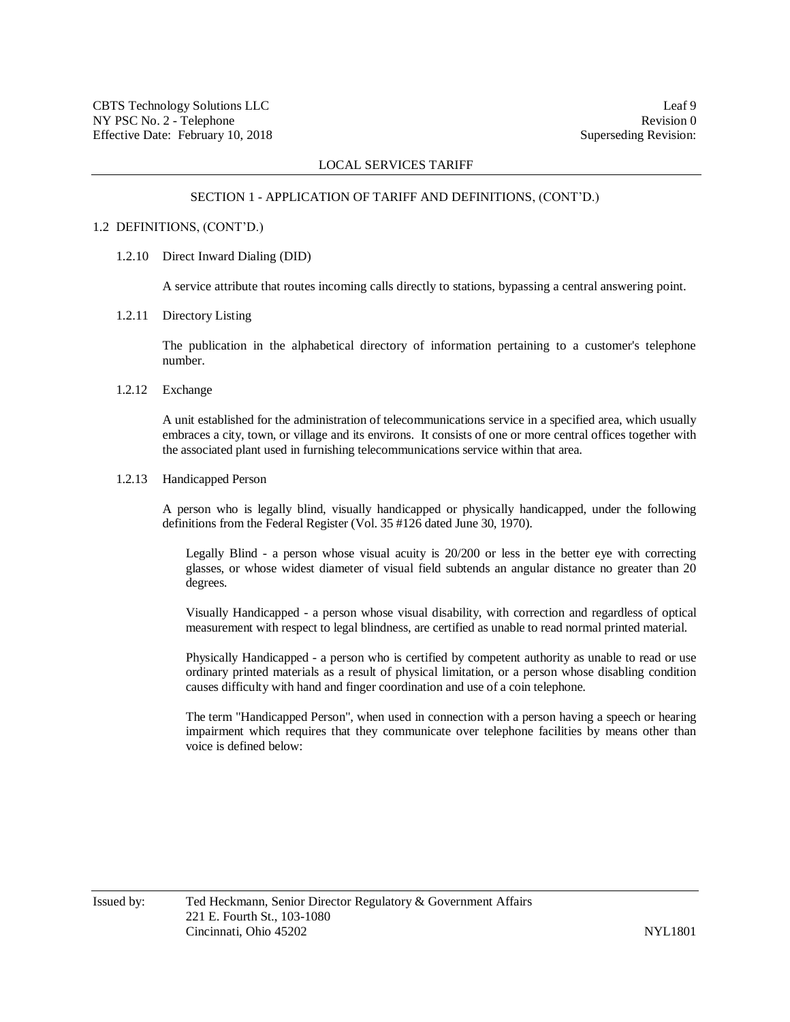#### SECTION 1 - APPLICATION OF TARIFF AND DEFINITIONS, (CONT'D.)

#### 1.2 DEFINITIONS, (CONT'D.)

### 1.2.10 Direct Inward Dialing (DID)

A service attribute that routes incoming calls directly to stations, bypassing a central answering point.

## 1.2.11 Directory Listing

The publication in the alphabetical directory of information pertaining to a customer's telephone number.

## 1.2.12 Exchange

A unit established for the administration of telecommunications service in a specified area, which usually embraces a city, town, or village and its environs. It consists of one or more central offices together with the associated plant used in furnishing telecommunications service within that area.

## 1.2.13 Handicapped Person

A person who is legally blind, visually handicapped or physically handicapped, under the following definitions from the Federal Register (Vol. 35 #126 dated June 30, 1970).

Legally Blind - a person whose visual acuity is 20/200 or less in the better eye with correcting glasses, or whose widest diameter of visual field subtends an angular distance no greater than 20 degrees.

Visually Handicapped - a person whose visual disability, with correction and regardless of optical measurement with respect to legal blindness, are certified as unable to read normal printed material.

Physically Handicapped - a person who is certified by competent authority as unable to read or use ordinary printed materials as a result of physical limitation, or a person whose disabling condition causes difficulty with hand and finger coordination and use of a coin telephone.

The term "Handicapped Person", when used in connection with a person having a speech or hearing impairment which requires that they communicate over telephone facilities by means other than voice is defined below: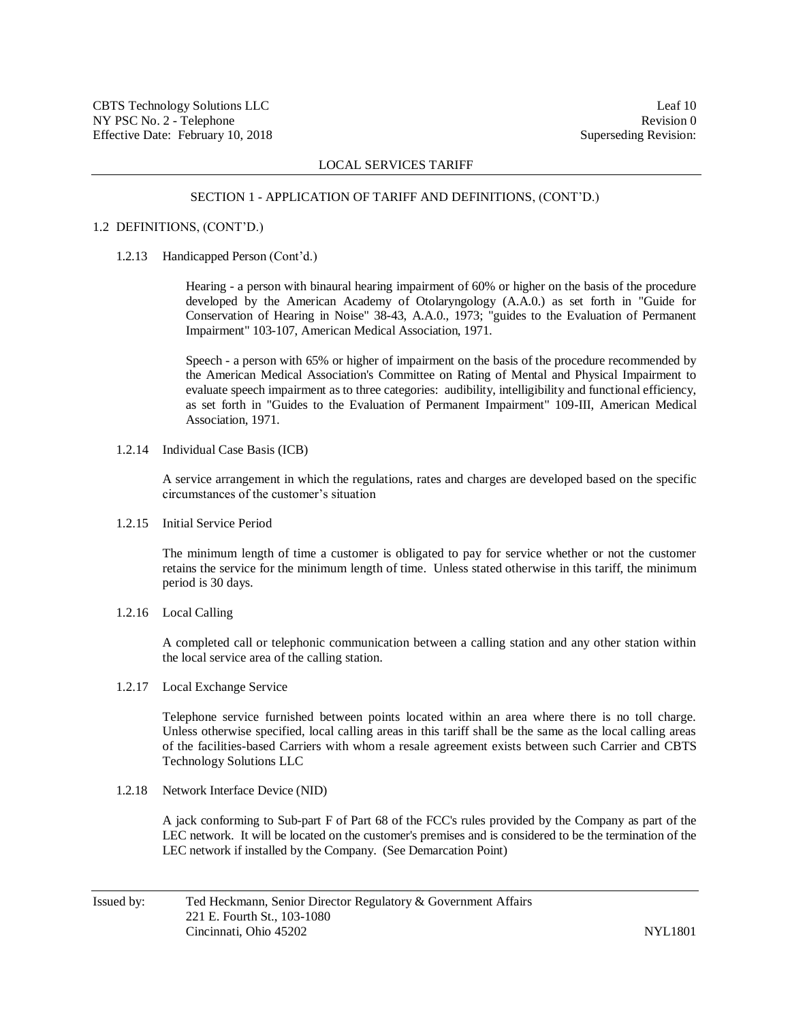#### SECTION 1 - APPLICATION OF TARIFF AND DEFINITIONS, (CONT'D.)

#### 1.2 DEFINITIONS, (CONT'D.)

#### 1.2.13 Handicapped Person (Cont'd.)

Hearing - a person with binaural hearing impairment of 60% or higher on the basis of the procedure developed by the American Academy of Otolaryngology (A.A.0.) as set forth in "Guide for Conservation of Hearing in Noise" 38-43, A.A.0., 1973; "guides to the Evaluation of Permanent Impairment" 103-107, American Medical Association, 1971.

Speech - a person with 65% or higher of impairment on the basis of the procedure recommended by the American Medical Association's Committee on Rating of Mental and Physical Impairment to evaluate speech impairment as to three categories: audibility, intelligibility and functional efficiency, as set forth in "Guides to the Evaluation of Permanent Impairment" 109-III, American Medical Association, 1971.

1.2.14 Individual Case Basis (ICB)

A service arrangement in which the regulations, rates and charges are developed based on the specific circumstances of the customer's situation

1.2.15 Initial Service Period

The minimum length of time a customer is obligated to pay for service whether or not the customer retains the service for the minimum length of time. Unless stated otherwise in this tariff, the minimum period is 30 days.

1.2.16 Local Calling

A completed call or telephonic communication between a calling station and any other station within the local service area of the calling station.

1.2.17 Local Exchange Service

Telephone service furnished between points located within an area where there is no toll charge. Unless otherwise specified, local calling areas in this tariff shall be the same as the local calling areas of the facilities-based Carriers with whom a resale agreement exists between such Carrier and CBTS Technology Solutions LLC

1.2.18 Network Interface Device (NID)

A jack conforming to Sub-part F of Part 68 of the FCC's rules provided by the Company as part of the LEC network. It will be located on the customer's premises and is considered to be the termination of the LEC network if installed by the Company. (See Demarcation Point)

Issued by: Ted Heckmann, Senior Director Regulatory & Government Affairs 221 E. Fourth St., 103-1080 Cincinnati, Ohio 45202 NYL1801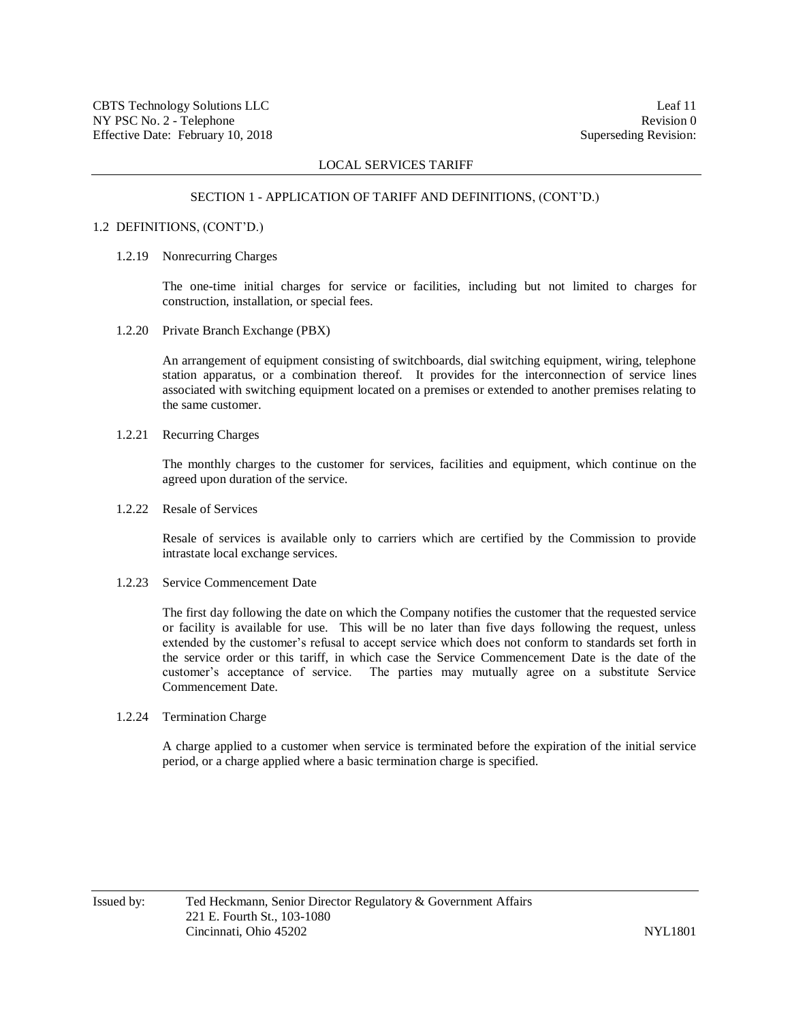#### SECTION 1 - APPLICATION OF TARIFF AND DEFINITIONS, (CONT'D.)

## 1.2 DEFINITIONS, (CONT'D.)

### 1.2.19 Nonrecurring Charges

The one-time initial charges for service or facilities, including but not limited to charges for construction, installation, or special fees.

1.2.20 Private Branch Exchange (PBX)

An arrangement of equipment consisting of switchboards, dial switching equipment, wiring, telephone station apparatus, or a combination thereof. It provides for the interconnection of service lines associated with switching equipment located on a premises or extended to another premises relating to the same customer.

1.2.21 Recurring Charges

The monthly charges to the customer for services, facilities and equipment, which continue on the agreed upon duration of the service.

1.2.22 Resale of Services

Resale of services is available only to carriers which are certified by the Commission to provide intrastate local exchange services.

1.2.23 Service Commencement Date

The first day following the date on which the Company notifies the customer that the requested service or facility is available for use. This will be no later than five days following the request, unless extended by the customer's refusal to accept service which does not conform to standards set forth in the service order or this tariff, in which case the Service Commencement Date is the date of the customer's acceptance of service. The parties may mutually agree on a substitute Service Commencement Date.

1.2.24 Termination Charge

A charge applied to a customer when service is terminated before the expiration of the initial service period, or a charge applied where a basic termination charge is specified.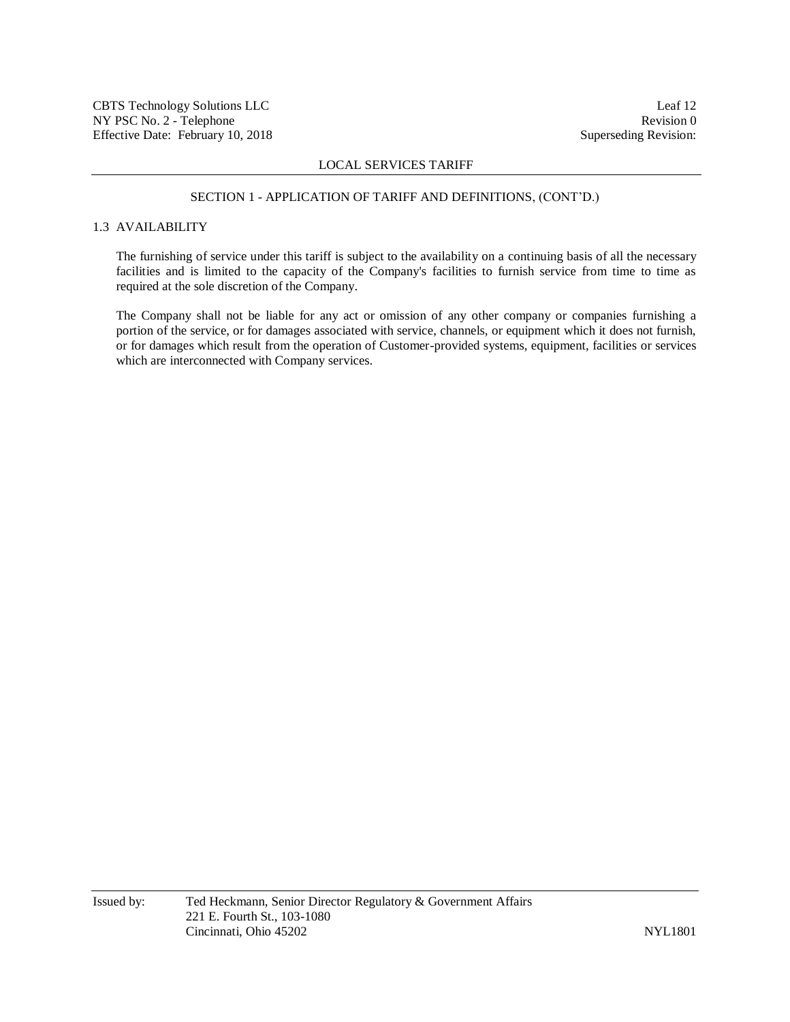#### SECTION 1 - APPLICATION OF TARIFF AND DEFINITIONS, (CONT'D.)

# 1.3 AVAILABILITY

The furnishing of service under this tariff is subject to the availability on a continuing basis of all the necessary facilities and is limited to the capacity of the Company's facilities to furnish service from time to time as required at the sole discretion of the Company.

The Company shall not be liable for any act or omission of any other company or companies furnishing a portion of the service, or for damages associated with service, channels, or equipment which it does not furnish, or for damages which result from the operation of Customer-provided systems, equipment, facilities or services which are interconnected with Company services.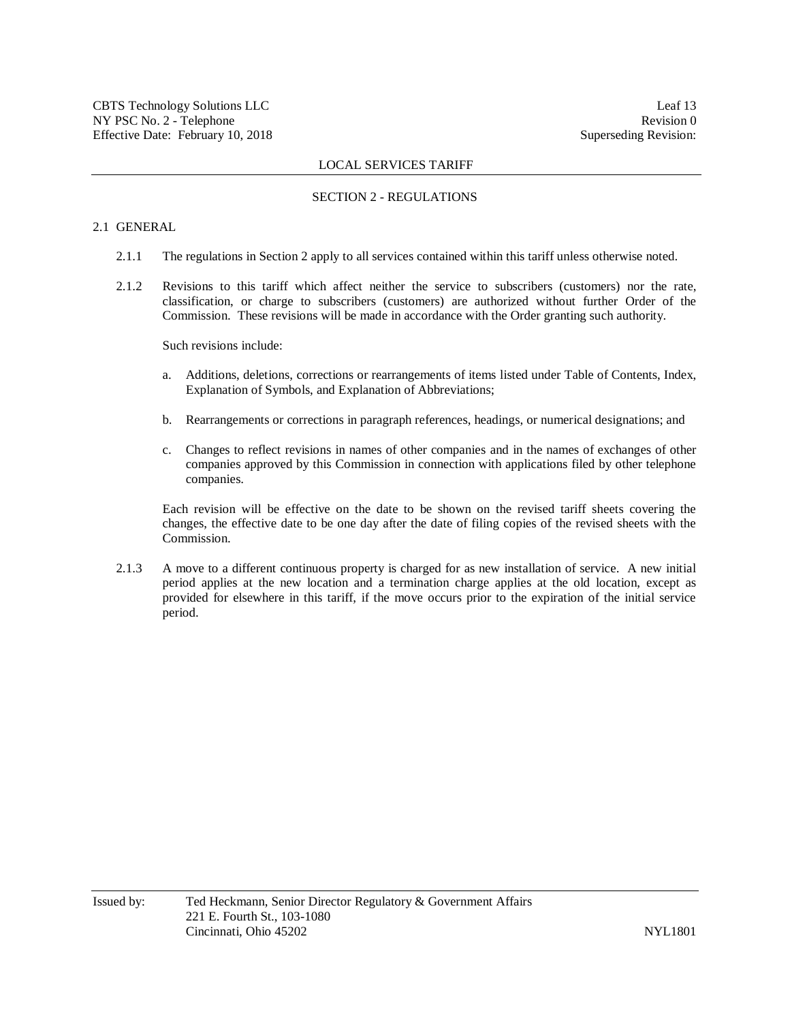## SECTION 2 - REGULATIONS

# 2.1 GENERAL

- 2.1.1 The regulations in Section 2 apply to all services contained within this tariff unless otherwise noted.
- 2.1.2 Revisions to this tariff which affect neither the service to subscribers (customers) nor the rate, classification, or charge to subscribers (customers) are authorized without further Order of the Commission. These revisions will be made in accordance with the Order granting such authority.

Such revisions include:

- a. Additions, deletions, corrections or rearrangements of items listed under Table of Contents, Index, Explanation of Symbols, and Explanation of Abbreviations;
- b. Rearrangements or corrections in paragraph references, headings, or numerical designations; and
- c. Changes to reflect revisions in names of other companies and in the names of exchanges of other companies approved by this Commission in connection with applications filed by other telephone companies.

Each revision will be effective on the date to be shown on the revised tariff sheets covering the changes, the effective date to be one day after the date of filing copies of the revised sheets with the Commission.

2.1.3 A move to a different continuous property is charged for as new installation of service. A new initial period applies at the new location and a termination charge applies at the old location, except as provided for elsewhere in this tariff, if the move occurs prior to the expiration of the initial service period.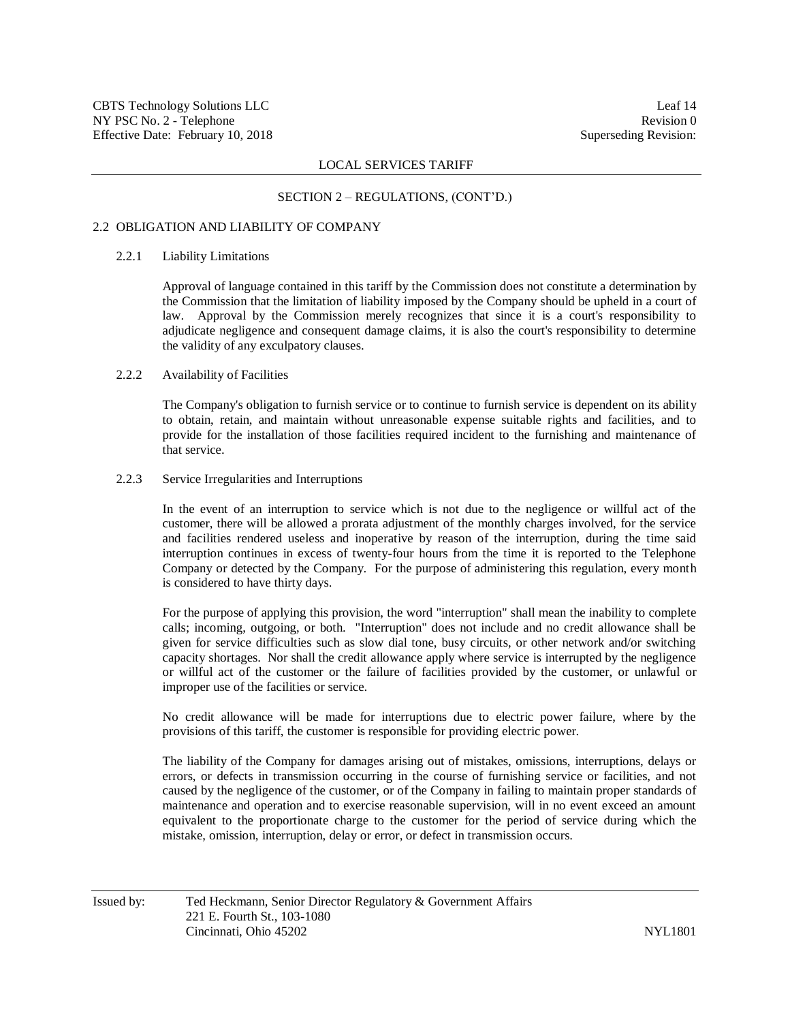#### SECTION 2 – REGULATIONS, (CONT'D.)

## 2.2 OBLIGATION AND LIABILITY OF COMPANY

## 2.2.1 Liability Limitations

Approval of language contained in this tariff by the Commission does not constitute a determination by the Commission that the limitation of liability imposed by the Company should be upheld in a court of law. Approval by the Commission merely recognizes that since it is a court's responsibility to adjudicate negligence and consequent damage claims, it is also the court's responsibility to determine the validity of any exculpatory clauses.

### 2.2.2 Availability of Facilities

The Company's obligation to furnish service or to continue to furnish service is dependent on its ability to obtain, retain, and maintain without unreasonable expense suitable rights and facilities, and to provide for the installation of those facilities required incident to the furnishing and maintenance of that service.

#### 2.2.3 Service Irregularities and Interruptions

In the event of an interruption to service which is not due to the negligence or willful act of the customer, there will be allowed a prorata adjustment of the monthly charges involved, for the service and facilities rendered useless and inoperative by reason of the interruption, during the time said interruption continues in excess of twenty-four hours from the time it is reported to the Telephone Company or detected by the Company. For the purpose of administering this regulation, every month is considered to have thirty days.

For the purpose of applying this provision, the word "interruption" shall mean the inability to complete calls; incoming, outgoing, or both. "Interruption" does not include and no credit allowance shall be given for service difficulties such as slow dial tone, busy circuits, or other network and/or switching capacity shortages. Nor shall the credit allowance apply where service is interrupted by the negligence or willful act of the customer or the failure of facilities provided by the customer, or unlawful or improper use of the facilities or service.

No credit allowance will be made for interruptions due to electric power failure, where by the provisions of this tariff, the customer is responsible for providing electric power.

The liability of the Company for damages arising out of mistakes, omissions, interruptions, delays or errors, or defects in transmission occurring in the course of furnishing service or facilities, and not caused by the negligence of the customer, or of the Company in failing to maintain proper standards of maintenance and operation and to exercise reasonable supervision, will in no event exceed an amount equivalent to the proportionate charge to the customer for the period of service during which the mistake, omission, interruption, delay or error, or defect in transmission occurs.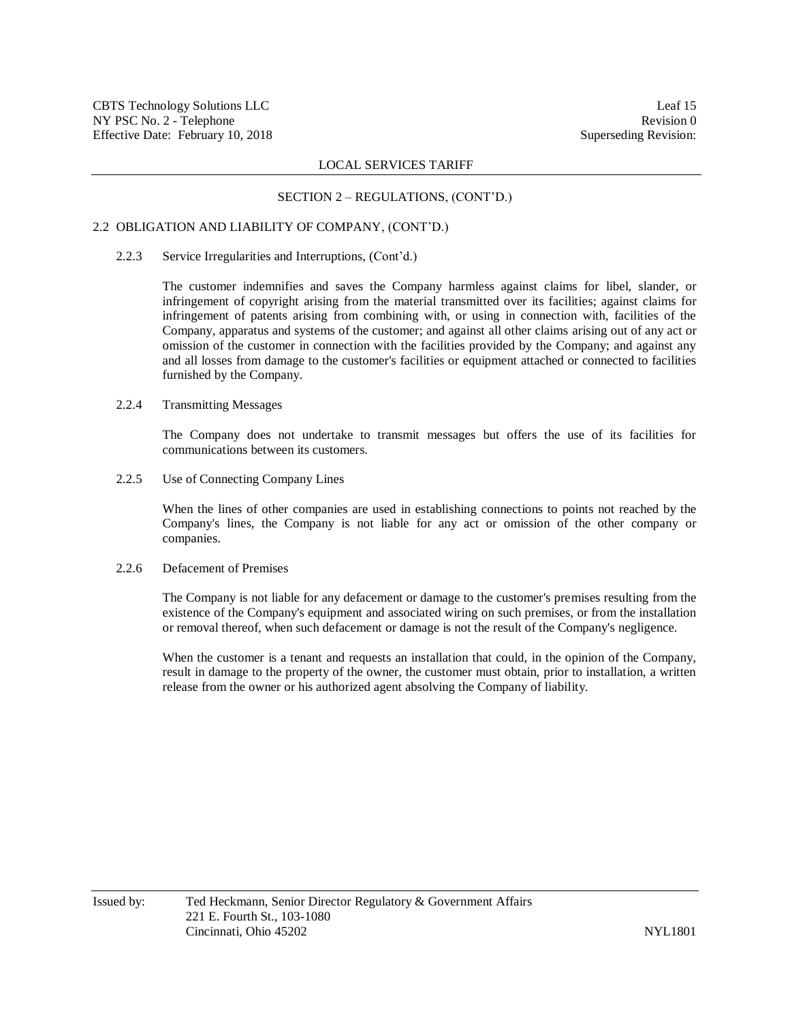## SECTION 2 – REGULATIONS, (CONT'D.)

## 2.2 OBLIGATION AND LIABILITY OF COMPANY, (CONT'D.)

### 2.2.3 Service Irregularities and Interruptions, (Cont'd.)

The customer indemnifies and saves the Company harmless against claims for libel, slander, or infringement of copyright arising from the material transmitted over its facilities; against claims for infringement of patents arising from combining with, or using in connection with, facilities of the Company, apparatus and systems of the customer; and against all other claims arising out of any act or omission of the customer in connection with the facilities provided by the Company; and against any and all losses from damage to the customer's facilities or equipment attached or connected to facilities furnished by the Company.

# 2.2.4 Transmitting Messages

The Company does not undertake to transmit messages but offers the use of its facilities for communications between its customers.

2.2.5 Use of Connecting Company Lines

When the lines of other companies are used in establishing connections to points not reached by the Company's lines, the Company is not liable for any act or omission of the other company or companies.

## 2.2.6 Defacement of Premises

The Company is not liable for any defacement or damage to the customer's premises resulting from the existence of the Company's equipment and associated wiring on such premises, or from the installation or removal thereof, when such defacement or damage is not the result of the Company's negligence.

When the customer is a tenant and requests an installation that could, in the opinion of the Company, result in damage to the property of the owner, the customer must obtain, prior to installation, a written release from the owner or his authorized agent absolving the Company of liability.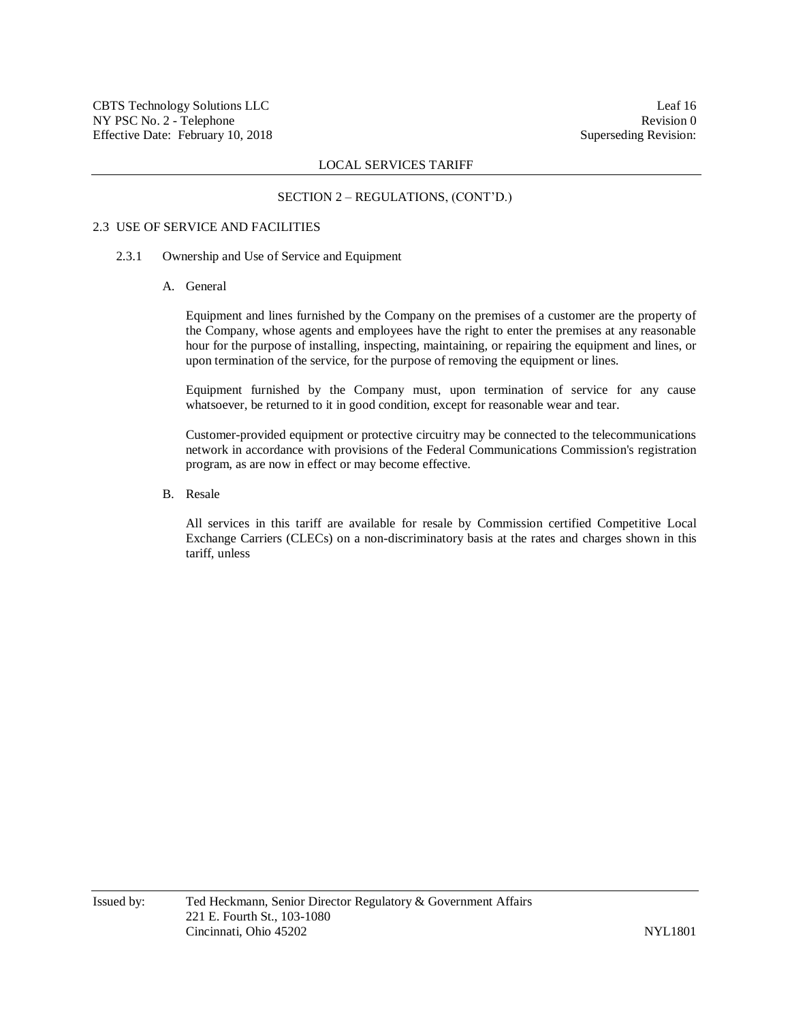#### SECTION 2 – REGULATIONS, (CONT'D.)

#### 2.3 USE OF SERVICE AND FACILITIES

### 2.3.1 Ownership and Use of Service and Equipment

A. General

Equipment and lines furnished by the Company on the premises of a customer are the property of the Company, whose agents and employees have the right to enter the premises at any reasonable hour for the purpose of installing, inspecting, maintaining, or repairing the equipment and lines, or upon termination of the service, for the purpose of removing the equipment or lines.

Equipment furnished by the Company must, upon termination of service for any cause whatsoever, be returned to it in good condition, except for reasonable wear and tear.

Customer-provided equipment or protective circuitry may be connected to the telecommunications network in accordance with provisions of the Federal Communications Commission's registration program, as are now in effect or may become effective.

B. Resale

All services in this tariff are available for resale by Commission certified Competitive Local Exchange Carriers (CLECs) on a non-discriminatory basis at the rates and charges shown in this tariff, unless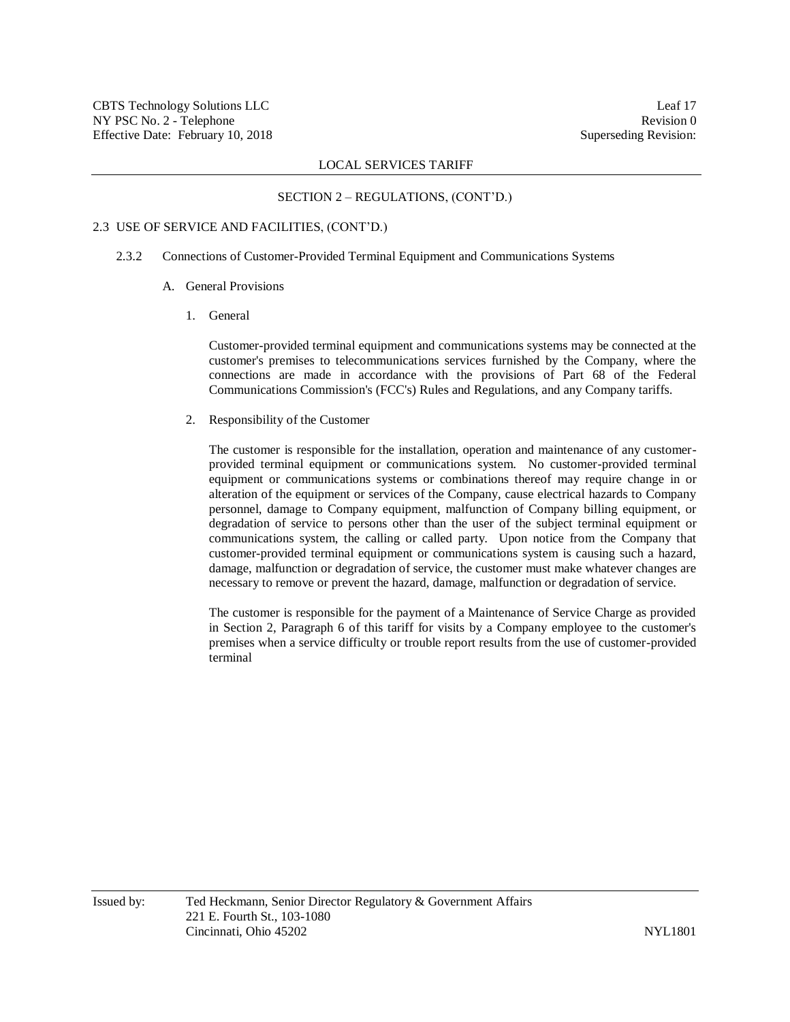#### SECTION 2 – REGULATIONS, (CONT'D.)

## 2.3 USE OF SERVICE AND FACILITIES, (CONT'D.)

### 2.3.2 Connections of Customer-Provided Terminal Equipment and Communications Systems

- A. General Provisions
	- 1. General

Customer-provided terminal equipment and communications systems may be connected at the customer's premises to telecommunications services furnished by the Company, where the connections are made in accordance with the provisions of Part 68 of the Federal Communications Commission's (FCC's) Rules and Regulations, and any Company tariffs.

2. Responsibility of the Customer

The customer is responsible for the installation, operation and maintenance of any customerprovided terminal equipment or communications system. No customer-provided terminal equipment or communications systems or combinations thereof may require change in or alteration of the equipment or services of the Company, cause electrical hazards to Company personnel, damage to Company equipment, malfunction of Company billing equipment, or degradation of service to persons other than the user of the subject terminal equipment or communications system, the calling or called party. Upon notice from the Company that customer-provided terminal equipment or communications system is causing such a hazard, damage, malfunction or degradation of service, the customer must make whatever changes are necessary to remove or prevent the hazard, damage, malfunction or degradation of service.

The customer is responsible for the payment of a Maintenance of Service Charge as provided in Section 2, Paragraph 6 of this tariff for visits by a Company employee to the customer's premises when a service difficulty or trouble report results from the use of customer-provided terminal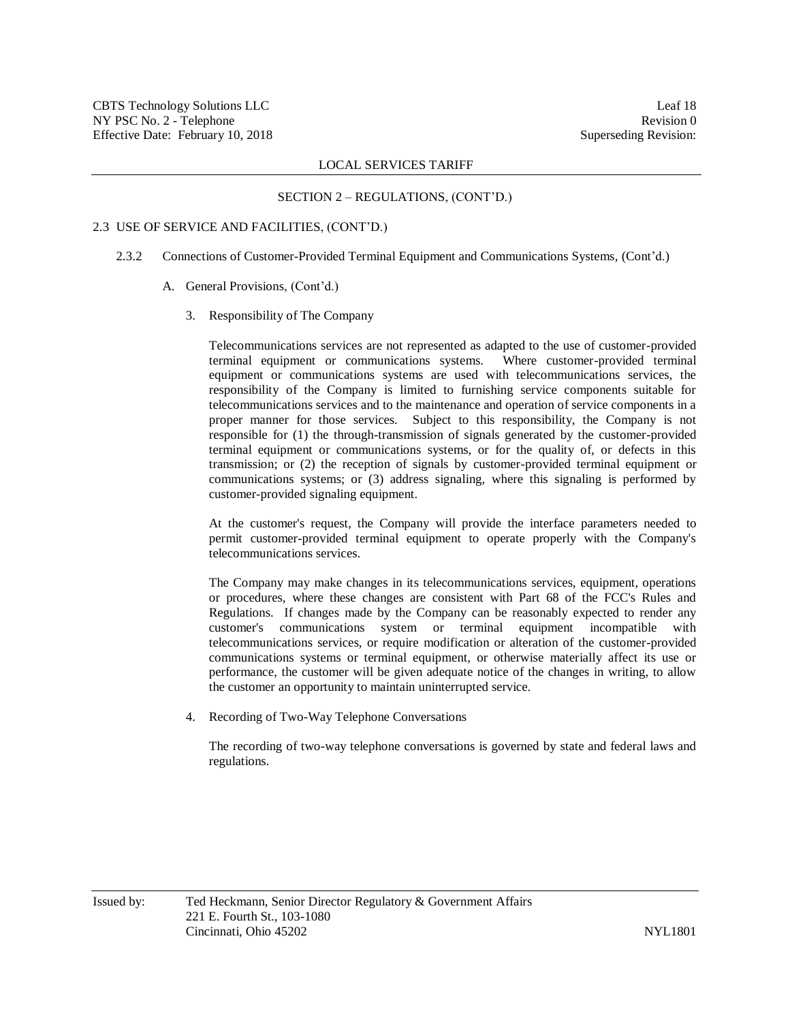#### SECTION 2 – REGULATIONS, (CONT'D.)

#### 2.3 USE OF SERVICE AND FACILITIES, (CONT'D.)

- 2.3.2 Connections of Customer-Provided Terminal Equipment and Communications Systems, (Cont'd.)
	- A. General Provisions, (Cont'd.)
		- 3. Responsibility of The Company

Telecommunications services are not represented as adapted to the use of customer-provided terminal equipment or communications systems. Where customer-provided terminal equipment or communications systems are used with telecommunications services, the responsibility of the Company is limited to furnishing service components suitable for telecommunications services and to the maintenance and operation of service components in a proper manner for those services. Subject to this responsibility, the Company is not responsible for (1) the through-transmission of signals generated by the customer-provided terminal equipment or communications systems, or for the quality of, or defects in this transmission; or (2) the reception of signals by customer-provided terminal equipment or communications systems; or (3) address signaling, where this signaling is performed by customer-provided signaling equipment.

At the customer's request, the Company will provide the interface parameters needed to permit customer-provided terminal equipment to operate properly with the Company's telecommunications services.

The Company may make changes in its telecommunications services, equipment, operations or procedures, where these changes are consistent with Part 68 of the FCC's Rules and Regulations. If changes made by the Company can be reasonably expected to render any customer's communications system or terminal equipment incompatible with telecommunications services, or require modification or alteration of the customer-provided communications systems or terminal equipment, or otherwise materially affect its use or performance, the customer will be given adequate notice of the changes in writing, to allow the customer an opportunity to maintain uninterrupted service.

4. Recording of Two-Way Telephone Conversations

The recording of two-way telephone conversations is governed by state and federal laws and regulations.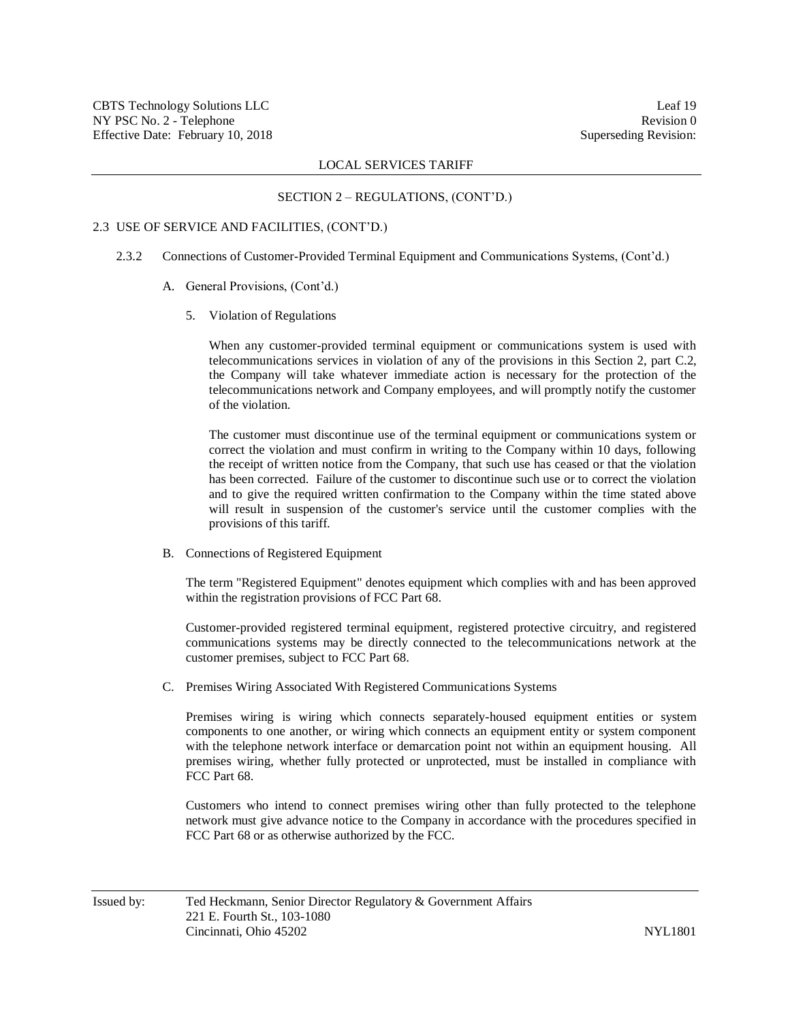#### SECTION 2 – REGULATIONS, (CONT'D.)

#### 2.3 USE OF SERVICE AND FACILITIES, (CONT'D.)

- 2.3.2 Connections of Customer-Provided Terminal Equipment and Communications Systems, (Cont'd.)
	- A. General Provisions, (Cont'd.)
		- 5. Violation of Regulations

When any customer-provided terminal equipment or communications system is used with telecommunications services in violation of any of the provisions in this Section 2, part C.2, the Company will take whatever immediate action is necessary for the protection of the telecommunications network and Company employees, and will promptly notify the customer of the violation.

The customer must discontinue use of the terminal equipment or communications system or correct the violation and must confirm in writing to the Company within 10 days, following the receipt of written notice from the Company, that such use has ceased or that the violation has been corrected. Failure of the customer to discontinue such use or to correct the violation and to give the required written confirmation to the Company within the time stated above will result in suspension of the customer's service until the customer complies with the provisions of this tariff.

B. Connections of Registered Equipment

The term "Registered Equipment" denotes equipment which complies with and has been approved within the registration provisions of FCC Part 68.

Customer-provided registered terminal equipment, registered protective circuitry, and registered communications systems may be directly connected to the telecommunications network at the customer premises, subject to FCC Part 68.

C. Premises Wiring Associated With Registered Communications Systems

Premises wiring is wiring which connects separately-housed equipment entities or system components to one another, or wiring which connects an equipment entity or system component with the telephone network interface or demarcation point not within an equipment housing. All premises wiring, whether fully protected or unprotected, must be installed in compliance with FCC Part 68.

Customers who intend to connect premises wiring other than fully protected to the telephone network must give advance notice to the Company in accordance with the procedures specified in FCC Part 68 or as otherwise authorized by the FCC.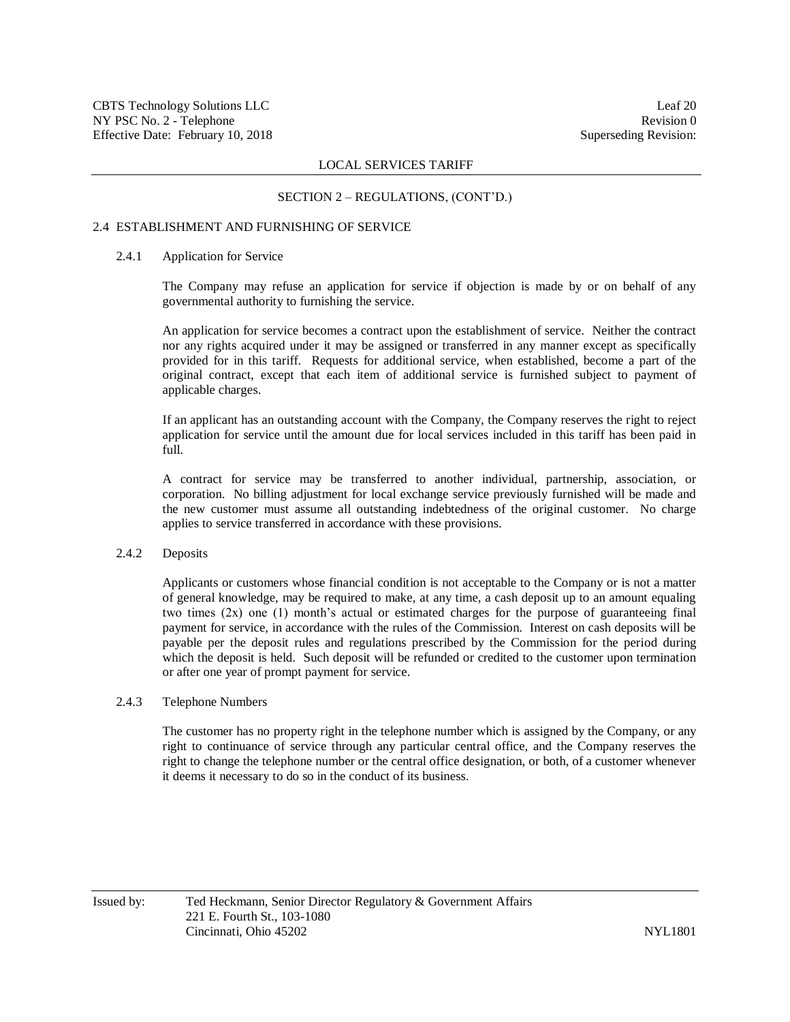#### SECTION 2 – REGULATIONS, (CONT'D.)

## 2.4 ESTABLISHMENT AND FURNISHING OF SERVICE

## 2.4.1 Application for Service

The Company may refuse an application for service if objection is made by or on behalf of any governmental authority to furnishing the service.

An application for service becomes a contract upon the establishment of service. Neither the contract nor any rights acquired under it may be assigned or transferred in any manner except as specifically provided for in this tariff. Requests for additional service, when established, become a part of the original contract, except that each item of additional service is furnished subject to payment of applicable charges.

If an applicant has an outstanding account with the Company, the Company reserves the right to reject application for service until the amount due for local services included in this tariff has been paid in full.

A contract for service may be transferred to another individual, partnership, association, or corporation. No billing adjustment for local exchange service previously furnished will be made and the new customer must assume all outstanding indebtedness of the original customer. No charge applies to service transferred in accordance with these provisions.

### 2.4.2 Deposits

Applicants or customers whose financial condition is not acceptable to the Company or is not a matter of general knowledge, may be required to make, at any time, a cash deposit up to an amount equaling two times (2x) one (1) month's actual or estimated charges for the purpose of guaranteeing final payment for service, in accordance with the rules of the Commission. Interest on cash deposits will be payable per the deposit rules and regulations prescribed by the Commission for the period during which the deposit is held. Such deposit will be refunded or credited to the customer upon termination or after one year of prompt payment for service.

#### 2.4.3 Telephone Numbers

The customer has no property right in the telephone number which is assigned by the Company, or any right to continuance of service through any particular central office, and the Company reserves the right to change the telephone number or the central office designation, or both, of a customer whenever it deems it necessary to do so in the conduct of its business.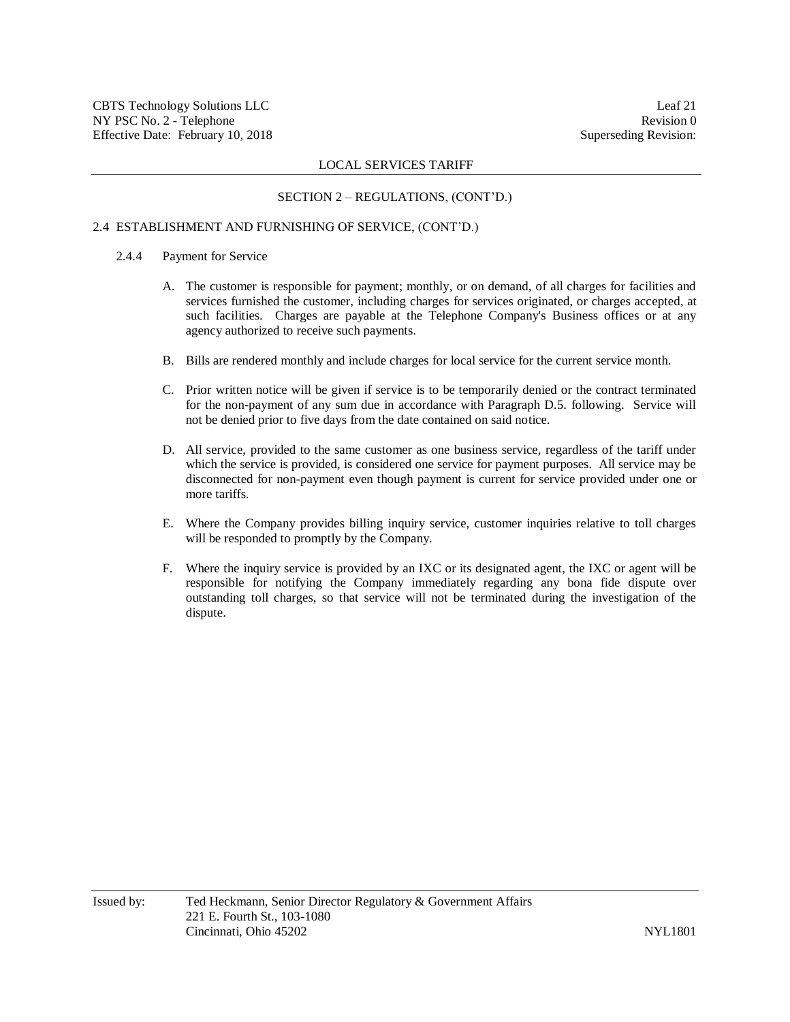## SECTION 2 – REGULATIONS, (CONT'D.)

## 2.4 ESTABLISHMENT AND FURNISHING OF SERVICE, (CONT'D.)

- 2.4.4 Payment for Service
	- A. The customer is responsible for payment; monthly, or on demand, of all charges for facilities and services furnished the customer, including charges for services originated, or charges accepted, at such facilities. Charges are payable at the Telephone Company's Business offices or at any agency authorized to receive such payments.
	- B. Bills are rendered monthly and include charges for local service for the current service month.
	- C. Prior written notice will be given if service is to be temporarily denied or the contract terminated for the non-payment of any sum due in accordance with Paragraph D.5. following. Service will not be denied prior to five days from the date contained on said notice.
	- D. All service, provided to the same customer as one business service, regardless of the tariff under which the service is provided, is considered one service for payment purposes. All service may be disconnected for non-payment even though payment is current for service provided under one or more tariffs.
	- E. Where the Company provides billing inquiry service, customer inquiries relative to toll charges will be responded to promptly by the Company.
	- F. Where the inquiry service is provided by an IXC or its designated agent, the IXC or agent will be responsible for notifying the Company immediately regarding any bona fide dispute over outstanding toll charges, so that service will not be terminated during the investigation of the dispute.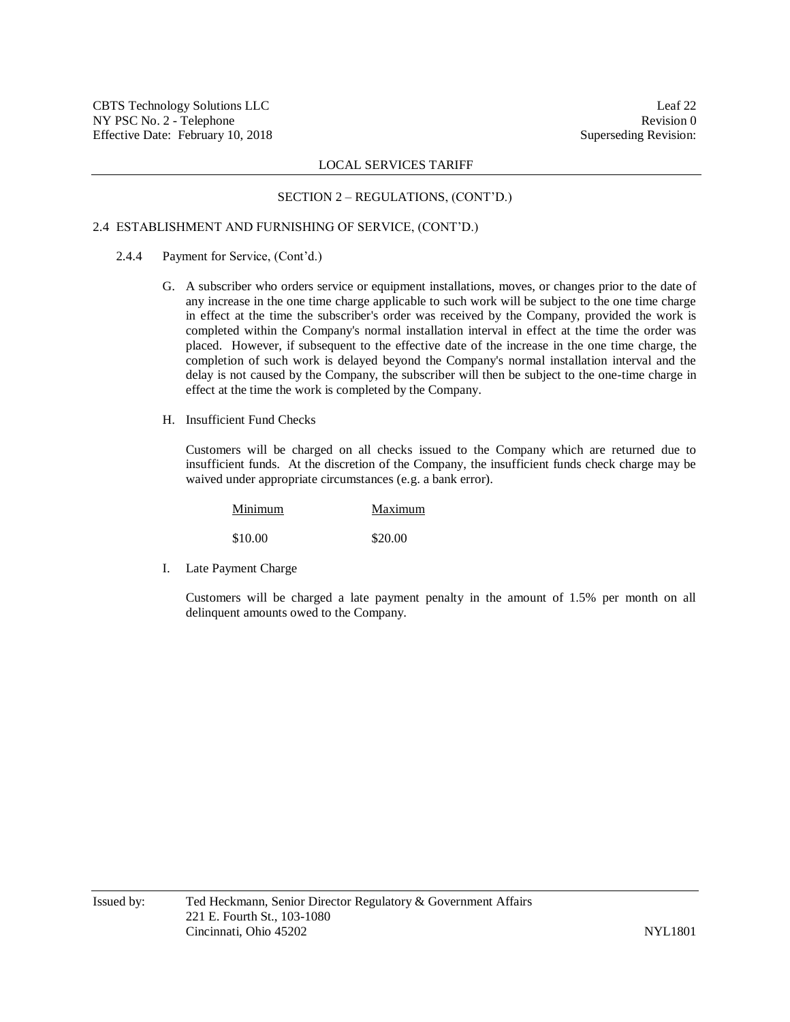## SECTION 2 – REGULATIONS, (CONT'D.)

## 2.4 ESTABLISHMENT AND FURNISHING OF SERVICE, (CONT'D.)

- 2.4.4 Payment for Service, (Cont'd.)
	- G. A subscriber who orders service or equipment installations, moves, or changes prior to the date of any increase in the one time charge applicable to such work will be subject to the one time charge in effect at the time the subscriber's order was received by the Company, provided the work is completed within the Company's normal installation interval in effect at the time the order was placed. However, if subsequent to the effective date of the increase in the one time charge, the completion of such work is delayed beyond the Company's normal installation interval and the delay is not caused by the Company, the subscriber will then be subject to the one-time charge in effect at the time the work is completed by the Company.
	- H. Insufficient Fund Checks

Customers will be charged on all checks issued to the Company which are returned due to insufficient funds. At the discretion of the Company, the insufficient funds check charge may be waived under appropriate circumstances (e.g. a bank error).

| Minimum | Maximum |
|---------|---------|
| \$10.00 | \$20.00 |

I. Late Payment Charge

Customers will be charged a late payment penalty in the amount of 1.5% per month on all delinquent amounts owed to the Company.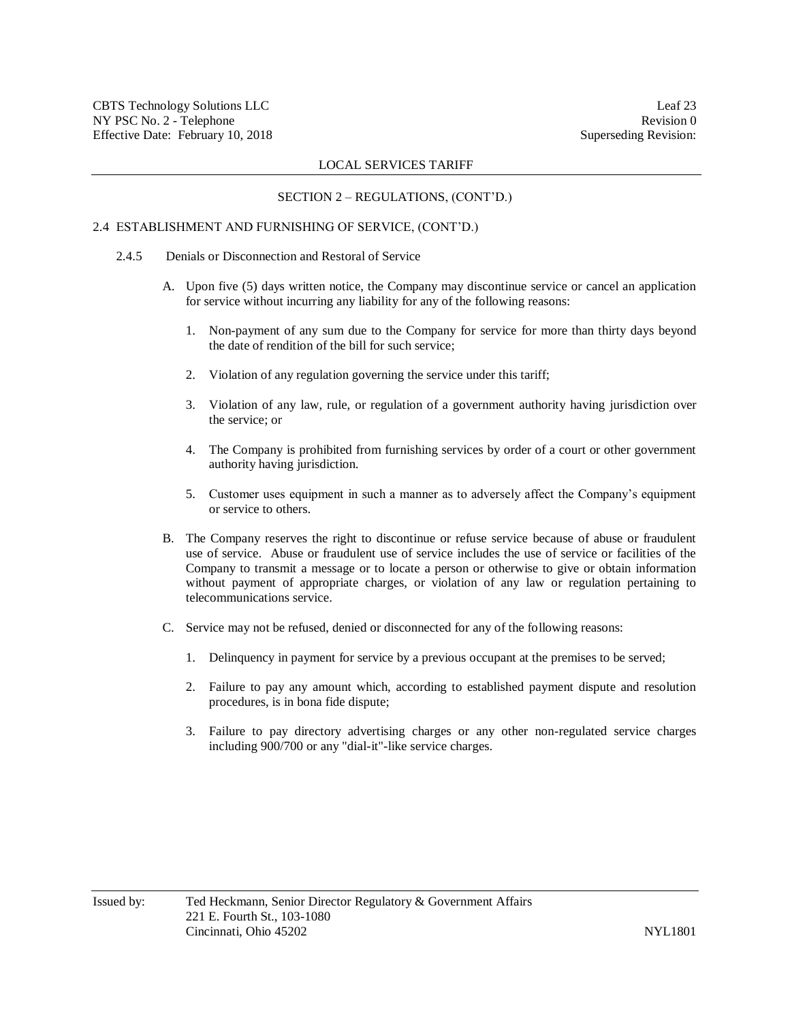## SECTION 2 – REGULATIONS, (CONT'D.)

## 2.4 ESTABLISHMENT AND FURNISHING OF SERVICE, (CONT'D.)

- 2.4.5 Denials or Disconnection and Restoral of Service
	- A. Upon five (5) days written notice, the Company may discontinue service or cancel an application for service without incurring any liability for any of the following reasons:
		- 1. Non-payment of any sum due to the Company for service for more than thirty days beyond the date of rendition of the bill for such service;
		- 2. Violation of any regulation governing the service under this tariff;
		- 3. Violation of any law, rule, or regulation of a government authority having jurisdiction over the service; or
		- 4. The Company is prohibited from furnishing services by order of a court or other government authority having jurisdiction.
		- 5. Customer uses equipment in such a manner as to adversely affect the Company's equipment or service to others.
	- B. The Company reserves the right to discontinue or refuse service because of abuse or fraudulent use of service. Abuse or fraudulent use of service includes the use of service or facilities of the Company to transmit a message or to locate a person or otherwise to give or obtain information without payment of appropriate charges, or violation of any law or regulation pertaining to telecommunications service.
	- C. Service may not be refused, denied or disconnected for any of the following reasons:
		- 1. Delinquency in payment for service by a previous occupant at the premises to be served;
		- 2. Failure to pay any amount which, according to established payment dispute and resolution procedures, is in bona fide dispute;
		- 3. Failure to pay directory advertising charges or any other non-regulated service charges including 900/700 or any "dial-it"-like service charges.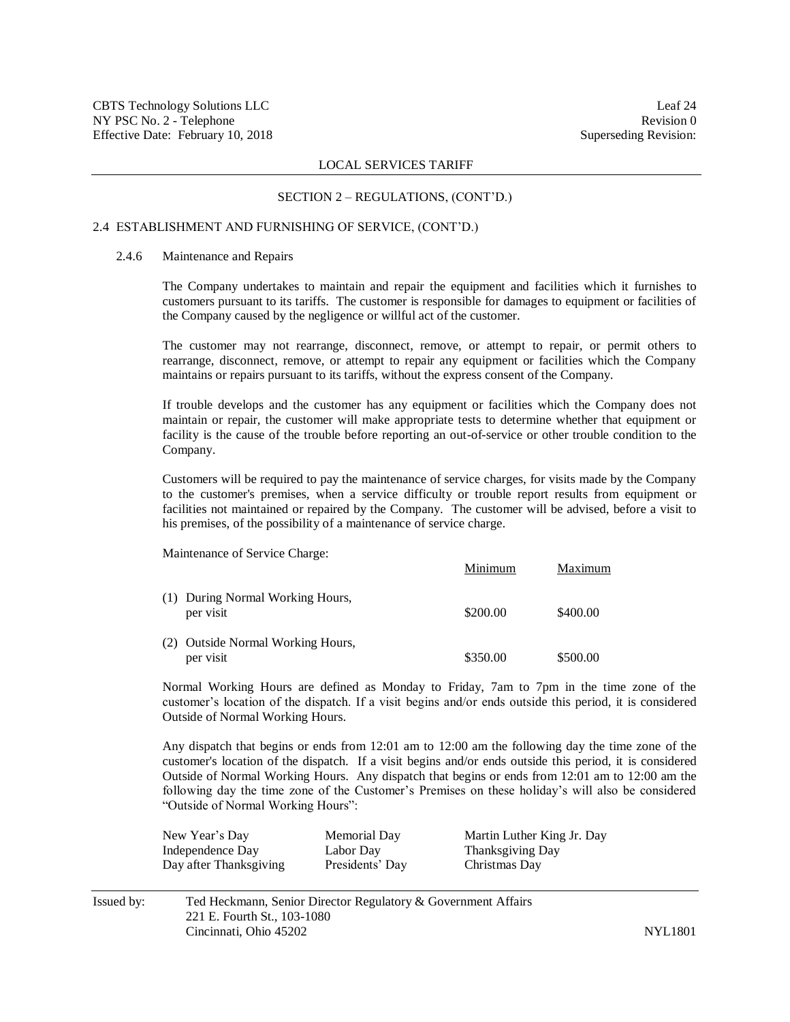#### SECTION 2 – REGULATIONS, (CONT'D.)

## 2.4 ESTABLISHMENT AND FURNISHING OF SERVICE, (CONT'D.)

## 2.4.6 Maintenance and Repairs

The Company undertakes to maintain and repair the equipment and facilities which it furnishes to customers pursuant to its tariffs. The customer is responsible for damages to equipment or facilities of the Company caused by the negligence or willful act of the customer.

The customer may not rearrange, disconnect, remove, or attempt to repair, or permit others to rearrange, disconnect, remove, or attempt to repair any equipment or facilities which the Company maintains or repairs pursuant to its tariffs, without the express consent of the Company.

If trouble develops and the customer has any equipment or facilities which the Company does not maintain or repair, the customer will make appropriate tests to determine whether that equipment or facility is the cause of the trouble before reporting an out-of-service or other trouble condition to the Company.

Customers will be required to pay the maintenance of service charges, for visits made by the Company to the customer's premises, when a service difficulty or trouble report results from equipment or facilities not maintained or repaired by the Company. The customer will be advised, before a visit to his premises, of the possibility of a maintenance of service charge.

Minimum Maximum

Maintenance of Service Charge:

| (1) During Normal Working Hours,<br>per visit  | \$200.00 | \$400.00 |
|------------------------------------------------|----------|----------|
| (2) Outside Normal Working Hours,<br>per visit | \$350.00 | \$500.00 |

Normal Working Hours are defined as Monday to Friday, 7am to 7pm in the time zone of the customer's location of the dispatch. If a visit begins and/or ends outside this period, it is considered Outside of Normal Working Hours.

Any dispatch that begins or ends from 12:01 am to 12:00 am the following day the time zone of the customer's location of the dispatch. If a visit begins and/or ends outside this period, it is considered Outside of Normal Working Hours. Any dispatch that begins or ends from 12:01 am to 12:00 am the following day the time zone of the Customer's Premises on these holiday's will also be considered "Outside of Normal Working Hours":

| New Year's Day         | Memorial Day    | Martin Luther King Jr. Day |
|------------------------|-----------------|----------------------------|
| Independence Day       | Labor Day       | Thanksgiving Day           |
| Day after Thanksgiving | Presidents' Day | Christmas Day              |

| Issued by: | Ted Heckmann, Senior Director Regulatory & Government Affairs |                |
|------------|---------------------------------------------------------------|----------------|
|            | 221 E. Fourth St., 103-1080                                   |                |
|            | Cincinnati. Ohio 45202                                        | <b>NYL1801</b> |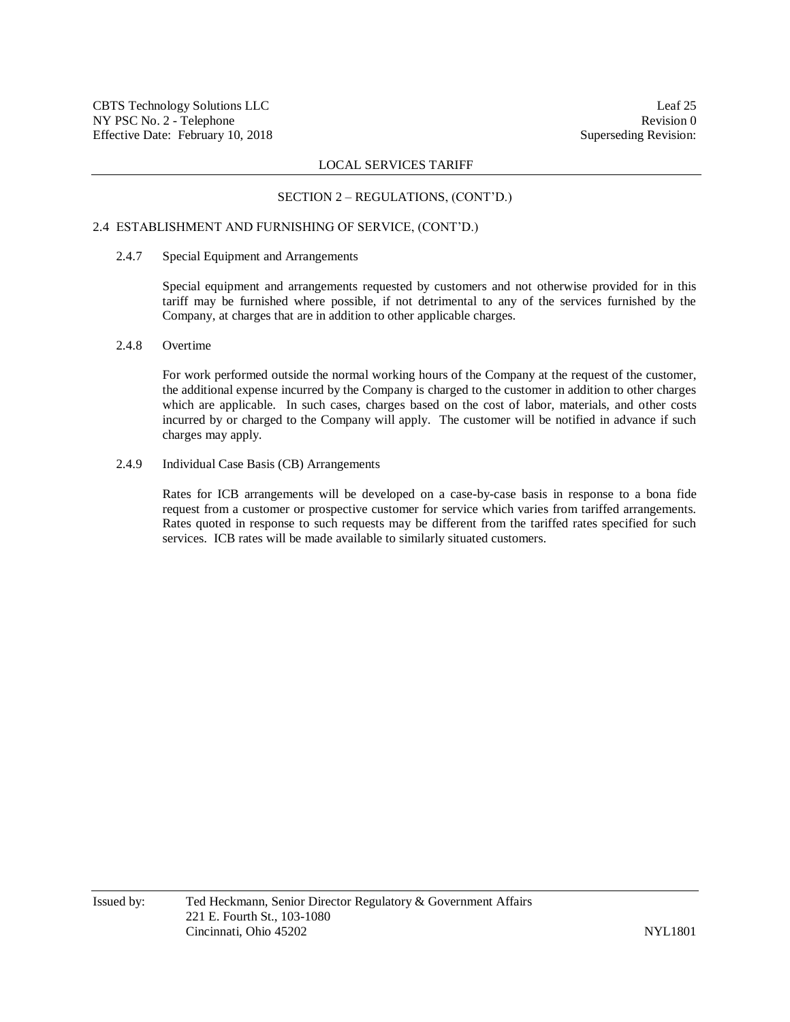## SECTION 2 – REGULATIONS, (CONT'D.)

## 2.4 ESTABLISHMENT AND FURNISHING OF SERVICE, (CONT'D.)

## 2.4.7 Special Equipment and Arrangements

Special equipment and arrangements requested by customers and not otherwise provided for in this tariff may be furnished where possible, if not detrimental to any of the services furnished by the Company, at charges that are in addition to other applicable charges.

## 2.4.8 Overtime

For work performed outside the normal working hours of the Company at the request of the customer, the additional expense incurred by the Company is charged to the customer in addition to other charges which are applicable. In such cases, charges based on the cost of labor, materials, and other costs incurred by or charged to the Company will apply. The customer will be notified in advance if such charges may apply.

### 2.4.9 Individual Case Basis (CB) Arrangements

Rates for ICB arrangements will be developed on a case-by-case basis in response to a bona fide request from a customer or prospective customer for service which varies from tariffed arrangements. Rates quoted in response to such requests may be different from the tariffed rates specified for such services. ICB rates will be made available to similarly situated customers.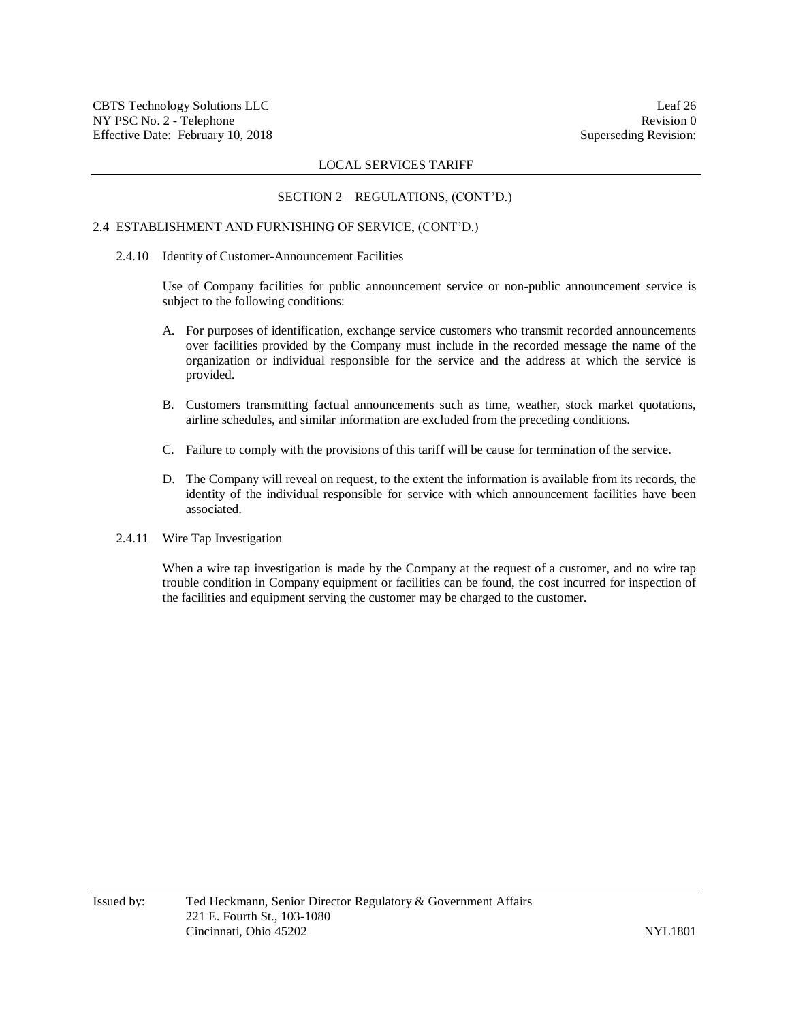#### SECTION 2 – REGULATIONS, (CONT'D.)

## 2.4 ESTABLISHMENT AND FURNISHING OF SERVICE, (CONT'D.)

#### 2.4.10 Identity of Customer-Announcement Facilities

Use of Company facilities for public announcement service or non-public announcement service is subject to the following conditions:

- A. For purposes of identification, exchange service customers who transmit recorded announcements over facilities provided by the Company must include in the recorded message the name of the organization or individual responsible for the service and the address at which the service is provided.
- B. Customers transmitting factual announcements such as time, weather, stock market quotations, airline schedules, and similar information are excluded from the preceding conditions.
- C. Failure to comply with the provisions of this tariff will be cause for termination of the service.
- D. The Company will reveal on request, to the extent the information is available from its records, the identity of the individual responsible for service with which announcement facilities have been associated.
- 2.4.11 Wire Tap Investigation

When a wire tap investigation is made by the Company at the request of a customer, and no wire tap trouble condition in Company equipment or facilities can be found, the cost incurred for inspection of the facilities and equipment serving the customer may be charged to the customer.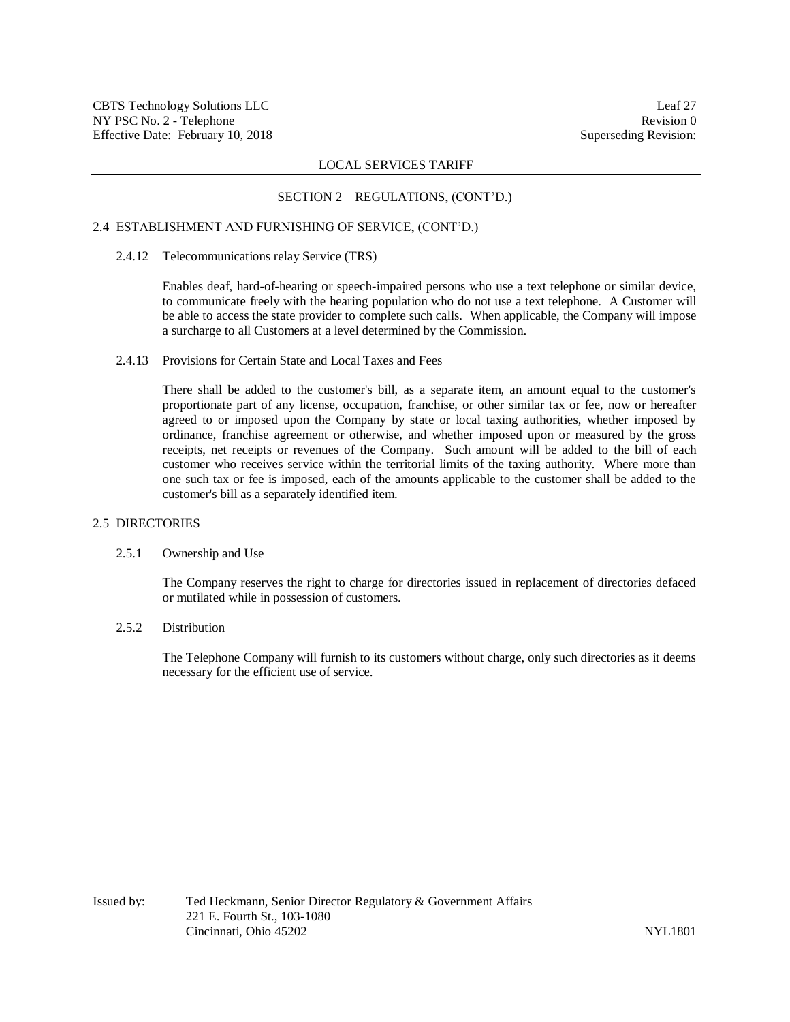## SECTION 2 – REGULATIONS, (CONT'D.)

## 2.4 ESTABLISHMENT AND FURNISHING OF SERVICE, (CONT'D.)

#### 2.4.12 Telecommunications relay Service (TRS)

Enables deaf, hard-of-hearing or speech-impaired persons who use a text telephone or similar device, to communicate freely with the hearing population who do not use a text telephone. A Customer will be able to access the state provider to complete such calls. When applicable, the Company will impose a surcharge to all Customers at a level determined by the Commission.

### 2.4.13 Provisions for Certain State and Local Taxes and Fees

There shall be added to the customer's bill, as a separate item, an amount equal to the customer's proportionate part of any license, occupation, franchise, or other similar tax or fee, now or hereafter agreed to or imposed upon the Company by state or local taxing authorities, whether imposed by ordinance, franchise agreement or otherwise, and whether imposed upon or measured by the gross receipts, net receipts or revenues of the Company. Such amount will be added to the bill of each customer who receives service within the territorial limits of the taxing authority. Where more than one such tax or fee is imposed, each of the amounts applicable to the customer shall be added to the customer's bill as a separately identified item.

### 2.5 DIRECTORIES

### 2.5.1 Ownership and Use

The Company reserves the right to charge for directories issued in replacement of directories defaced or mutilated while in possession of customers.

#### 2.5.2 Distribution

The Telephone Company will furnish to its customers without charge, only such directories as it deems necessary for the efficient use of service.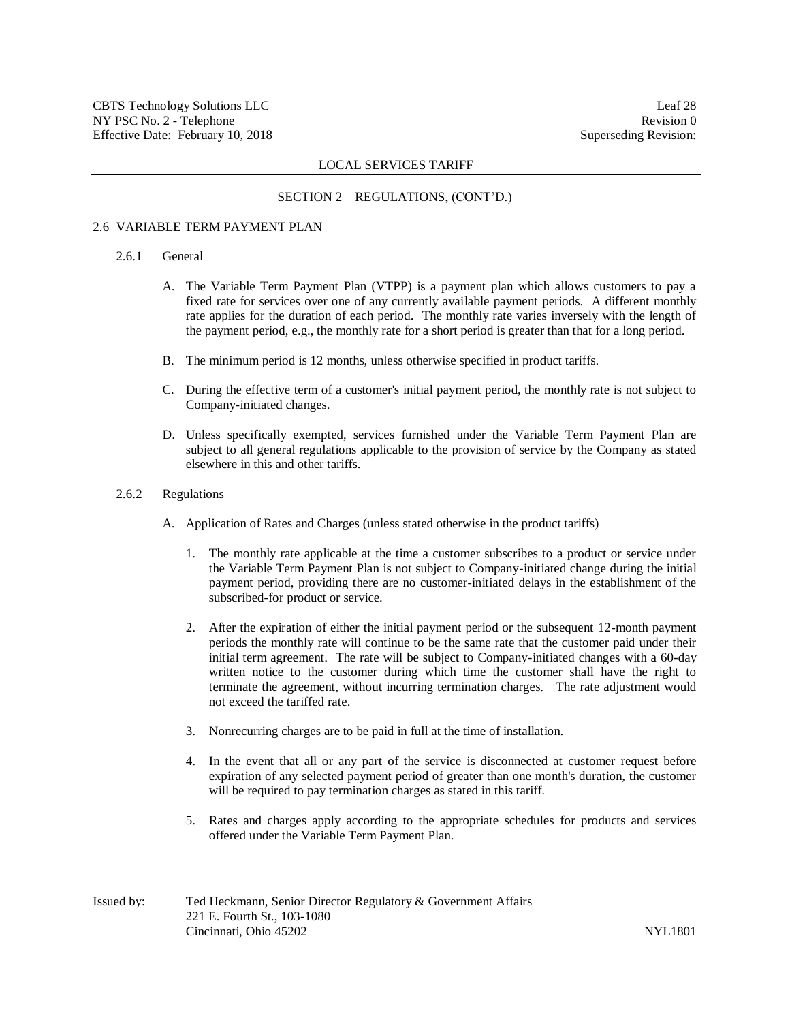#### SECTION 2 – REGULATIONS, (CONT'D.)

#### 2.6 VARIABLE TERM PAYMENT PLAN

## 2.6.1 General

- A. The Variable Term Payment Plan (VTPP) is a payment plan which allows customers to pay a fixed rate for services over one of any currently available payment periods. A different monthly rate applies for the duration of each period. The monthly rate varies inversely with the length of the payment period, e.g., the monthly rate for a short period is greater than that for a long period.
- B. The minimum period is 12 months, unless otherwise specified in product tariffs.
- C. During the effective term of a customer's initial payment period, the monthly rate is not subject to Company-initiated changes.
- D. Unless specifically exempted, services furnished under the Variable Term Payment Plan are subject to all general regulations applicable to the provision of service by the Company as stated elsewhere in this and other tariffs.

#### 2.6.2 Regulations

- A. Application of Rates and Charges (unless stated otherwise in the product tariffs)
	- 1. The monthly rate applicable at the time a customer subscribes to a product or service under the Variable Term Payment Plan is not subject to Company-initiated change during the initial payment period, providing there are no customer-initiated delays in the establishment of the subscribed-for product or service.
	- 2. After the expiration of either the initial payment period or the subsequent 12-month payment periods the monthly rate will continue to be the same rate that the customer paid under their initial term agreement. The rate will be subject to Company-initiated changes with a 60-day written notice to the customer during which time the customer shall have the right to terminate the agreement, without incurring termination charges. The rate adjustment would not exceed the tariffed rate.
	- 3. Nonrecurring charges are to be paid in full at the time of installation.
	- 4. In the event that all or any part of the service is disconnected at customer request before expiration of any selected payment period of greater than one month's duration, the customer will be required to pay termination charges as stated in this tariff.
	- 5. Rates and charges apply according to the appropriate schedules for products and services offered under the Variable Term Payment Plan.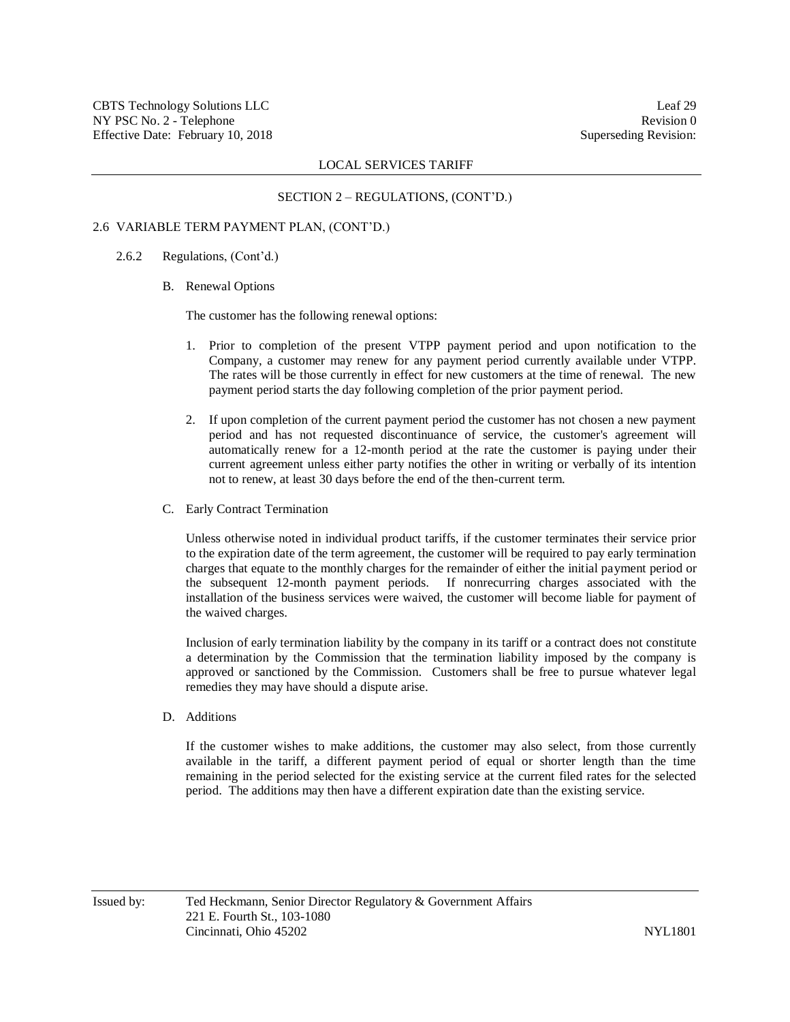#### SECTION 2 – REGULATIONS, (CONT'D.)

#### 2.6 VARIABLE TERM PAYMENT PLAN, (CONT'D.)

## 2.6.2 Regulations, (Cont'd.)

#### B. Renewal Options

The customer has the following renewal options:

- 1. Prior to completion of the present VTPP payment period and upon notification to the Company, a customer may renew for any payment period currently available under VTPP. The rates will be those currently in effect for new customers at the time of renewal. The new payment period starts the day following completion of the prior payment period.
- 2. If upon completion of the current payment period the customer has not chosen a new payment period and has not requested discontinuance of service, the customer's agreement will automatically renew for a 12-month period at the rate the customer is paying under their current agreement unless either party notifies the other in writing or verbally of its intention not to renew, at least 30 days before the end of the then-current term.
- C. Early Contract Termination

Unless otherwise noted in individual product tariffs, if the customer terminates their service prior to the expiration date of the term agreement, the customer will be required to pay early termination charges that equate to the monthly charges for the remainder of either the initial payment period or the subsequent 12-month payment periods. If nonrecurring charges associated with the installation of the business services were waived, the customer will become liable for payment of the waived charges.

Inclusion of early termination liability by the company in its tariff or a contract does not constitute a determination by the Commission that the termination liability imposed by the company is approved or sanctioned by the Commission. Customers shall be free to pursue whatever legal remedies they may have should a dispute arise.

D. Additions

If the customer wishes to make additions, the customer may also select, from those currently available in the tariff, a different payment period of equal or shorter length than the time remaining in the period selected for the existing service at the current filed rates for the selected period. The additions may then have a different expiration date than the existing service.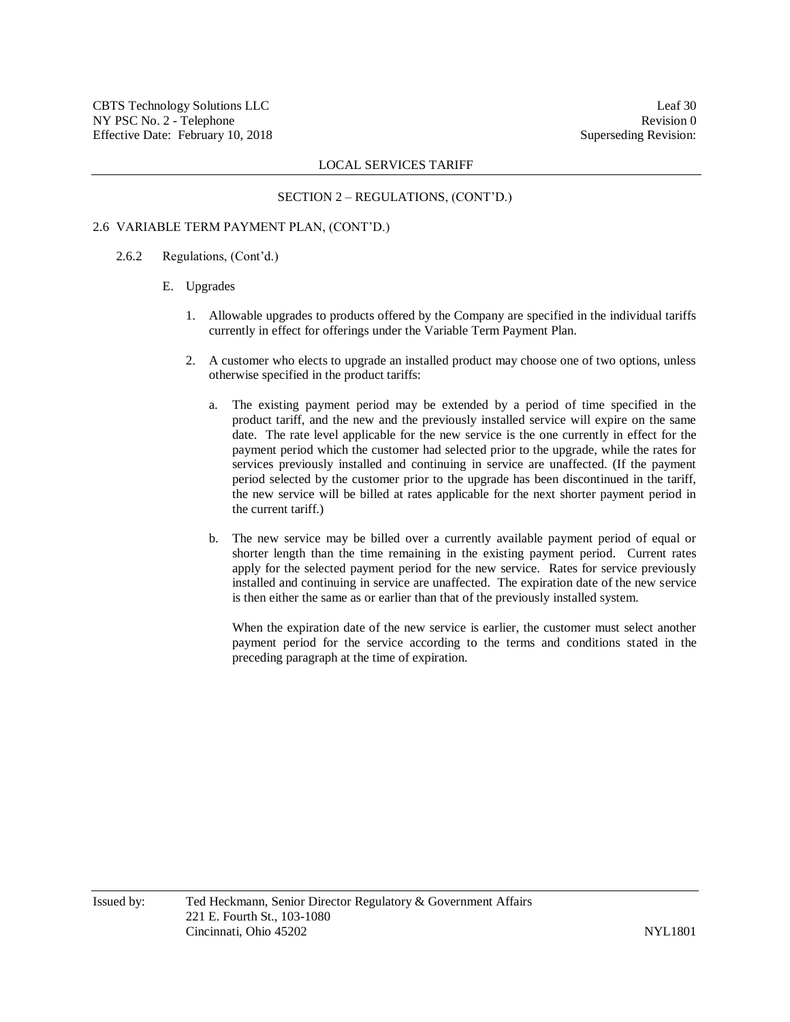#### SECTION 2 – REGULATIONS, (CONT'D.)

## 2.6 VARIABLE TERM PAYMENT PLAN, (CONT'D.)

- 2.6.2 Regulations, (Cont'd.)
	- E. Upgrades
		- 1. Allowable upgrades to products offered by the Company are specified in the individual tariffs currently in effect for offerings under the Variable Term Payment Plan.
		- 2. A customer who elects to upgrade an installed product may choose one of two options, unless otherwise specified in the product tariffs:
			- a. The existing payment period may be extended by a period of time specified in the product tariff, and the new and the previously installed service will expire on the same date. The rate level applicable for the new service is the one currently in effect for the payment period which the customer had selected prior to the upgrade, while the rates for services previously installed and continuing in service are unaffected. (If the payment period selected by the customer prior to the upgrade has been discontinued in the tariff, the new service will be billed at rates applicable for the next shorter payment period in the current tariff.)
			- b. The new service may be billed over a currently available payment period of equal or shorter length than the time remaining in the existing payment period. Current rates apply for the selected payment period for the new service. Rates for service previously installed and continuing in service are unaffected. The expiration date of the new service is then either the same as or earlier than that of the previously installed system.

When the expiration date of the new service is earlier, the customer must select another payment period for the service according to the terms and conditions stated in the preceding paragraph at the time of expiration.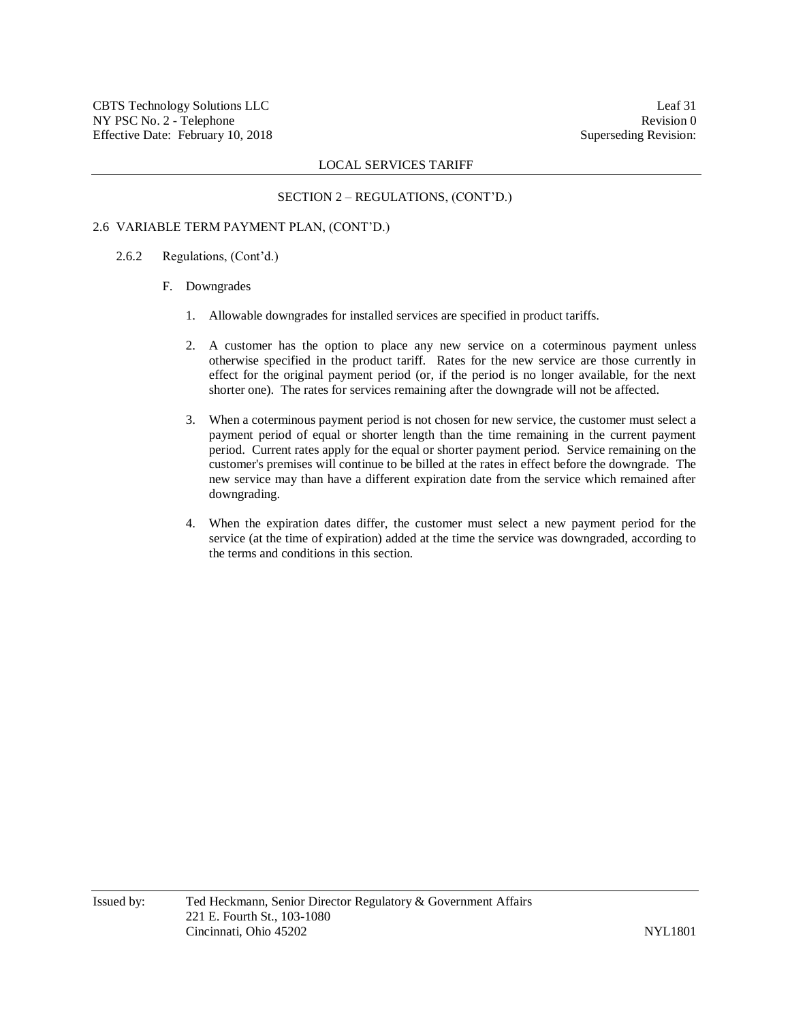## SECTION 2 – REGULATIONS, (CONT'D.)

## 2.6 VARIABLE TERM PAYMENT PLAN, (CONT'D.)

### 2.6.2 Regulations, (Cont'd.)

#### F. Downgrades

- 1. Allowable downgrades for installed services are specified in product tariffs.
- 2. A customer has the option to place any new service on a coterminous payment unless otherwise specified in the product tariff. Rates for the new service are those currently in effect for the original payment period (or, if the period is no longer available, for the next shorter one). The rates for services remaining after the downgrade will not be affected.
- 3. When a coterminous payment period is not chosen for new service, the customer must select a payment period of equal or shorter length than the time remaining in the current payment period. Current rates apply for the equal or shorter payment period. Service remaining on the customer's premises will continue to be billed at the rates in effect before the downgrade. The new service may than have a different expiration date from the service which remained after downgrading.
- 4. When the expiration dates differ, the customer must select a new payment period for the service (at the time of expiration) added at the time the service was downgraded, according to the terms and conditions in this section.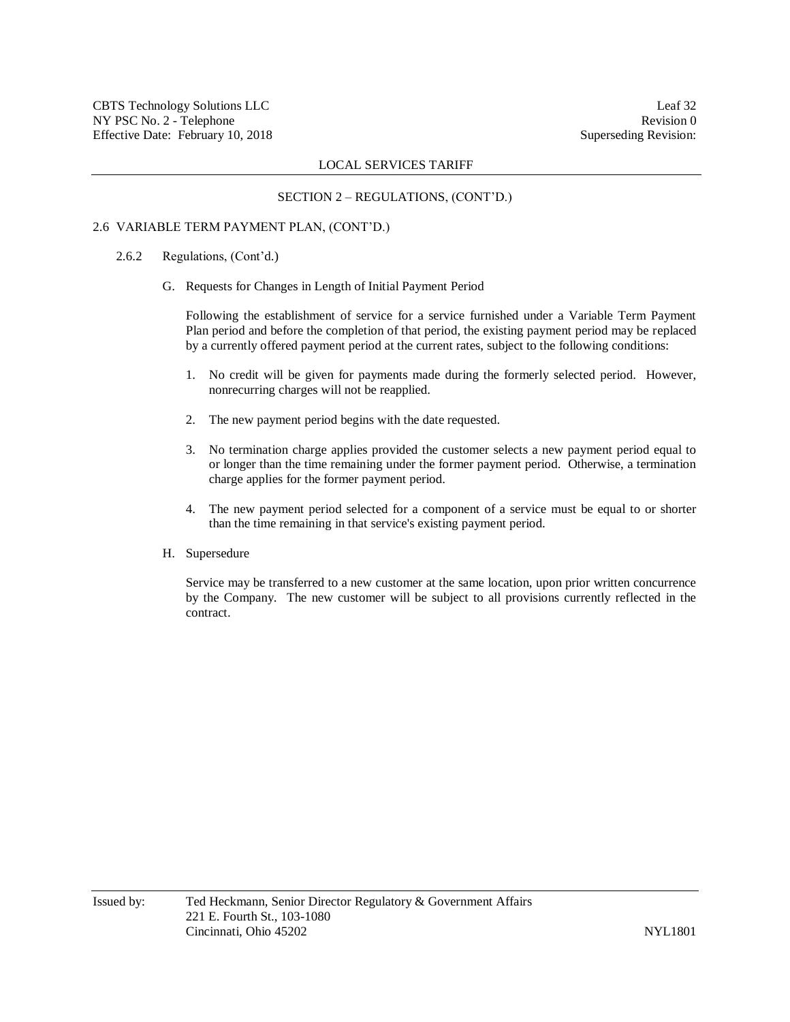## SECTION 2 – REGULATIONS, (CONT'D.)

## 2.6 VARIABLE TERM PAYMENT PLAN, (CONT'D.)

## 2.6.2 Regulations, (Cont'd.)

G. Requests for Changes in Length of Initial Payment Period

Following the establishment of service for a service furnished under a Variable Term Payment Plan period and before the completion of that period, the existing payment period may be replaced by a currently offered payment period at the current rates, subject to the following conditions:

- 1. No credit will be given for payments made during the formerly selected period. However, nonrecurring charges will not be reapplied.
- 2. The new payment period begins with the date requested.
- 3. No termination charge applies provided the customer selects a new payment period equal to or longer than the time remaining under the former payment period. Otherwise, a termination charge applies for the former payment period.
- 4. The new payment period selected for a component of a service must be equal to or shorter than the time remaining in that service's existing payment period.

### H. Supersedure

Service may be transferred to a new customer at the same location, upon prior written concurrence by the Company. The new customer will be subject to all provisions currently reflected in the contract.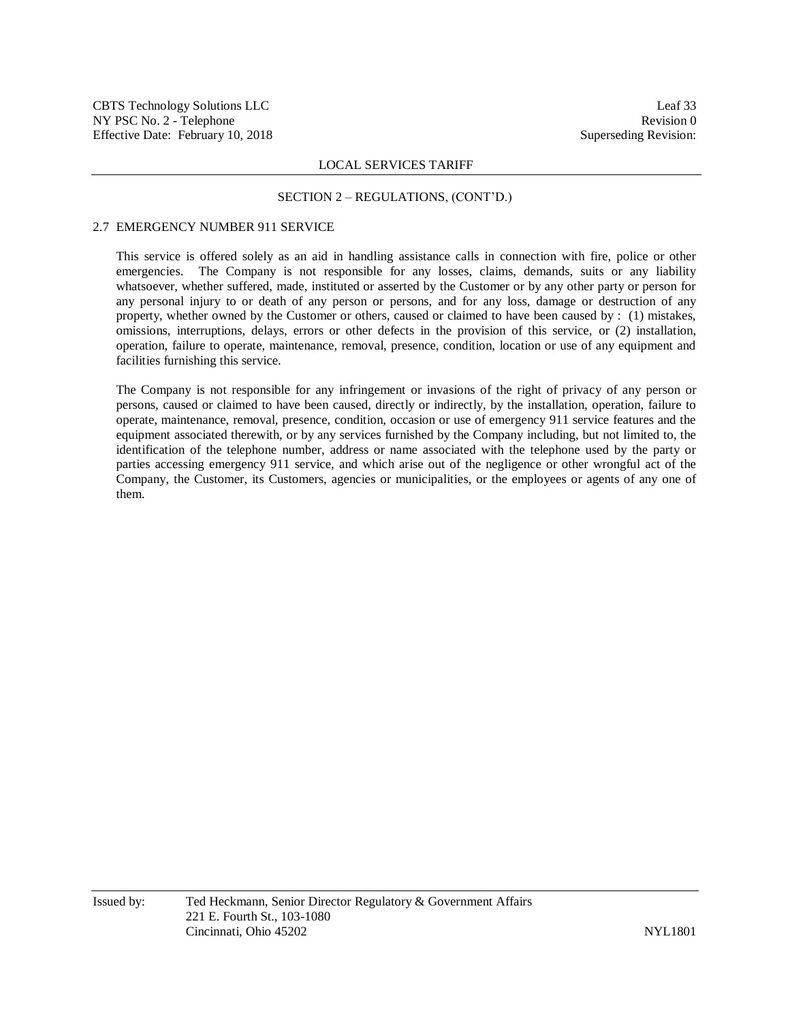#### SECTION 2 – REGULATIONS, (CONT'D.)

## 2.7 EMERGENCY NUMBER 911 SERVICE

This service is offered solely as an aid in handling assistance calls in connection with fire, police or other emergencies. The Company is not responsible for any losses, claims, demands, suits or any liability whatsoever, whether suffered, made, instituted or asserted by the Customer or by any other party or person for any personal injury to or death of any person or persons, and for any loss, damage or destruction of any property, whether owned by the Customer or others, caused or claimed to have been caused by : (1) mistakes, omissions, interruptions, delays, errors or other defects in the provision of this service, or (2) installation, operation, failure to operate, maintenance, removal, presence, condition, location or use of any equipment and facilities furnishing this service.

The Company is not responsible for any infringement or invasions of the right of privacy of any person or persons, caused or claimed to have been caused, directly or indirectly, by the installation, operation, failure to operate, maintenance, removal, presence, condition, occasion or use of emergency 911 service features and the equipment associated therewith, or by any services furnished by the Company including, but not limited to, the identification of the telephone number, address or name associated with the telephone used by the party or parties accessing emergency 911 service, and which arise out of the negligence or other wrongful act of the Company, the Customer, its Customers, agencies or municipalities, or the employees or agents of any one of them.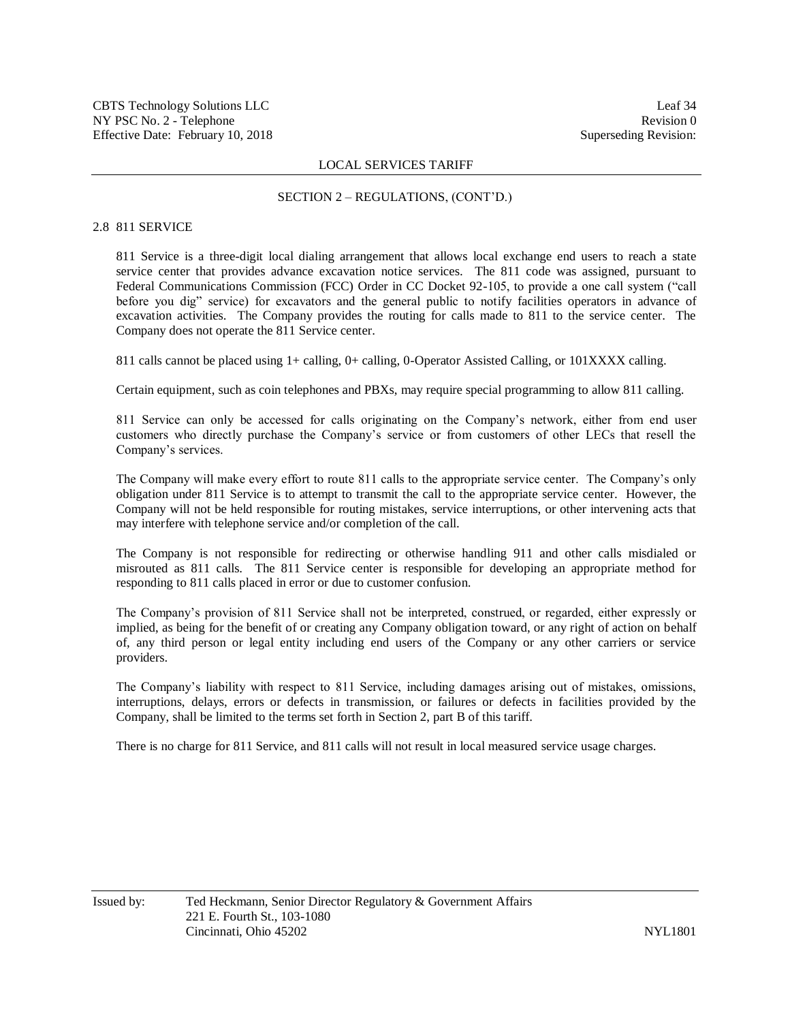## SECTION 2 – REGULATIONS, (CONT'D.)

## 2.8 811 SERVICE

811 Service is a three-digit local dialing arrangement that allows local exchange end users to reach a state service center that provides advance excavation notice services. The 811 code was assigned, pursuant to Federal Communications Commission (FCC) Order in CC Docket 92-105, to provide a one call system ("call before you dig" service) for excavators and the general public to notify facilities operators in advance of excavation activities. The Company provides the routing for calls made to 811 to the service center. The Company does not operate the 811 Service center.

811 calls cannot be placed using 1+ calling, 0+ calling, 0-Operator Assisted Calling, or 101XXXX calling.

Certain equipment, such as coin telephones and PBXs, may require special programming to allow 811 calling.

811 Service can only be accessed for calls originating on the Company's network, either from end user customers who directly purchase the Company's service or from customers of other LECs that resell the Company's services.

The Company will make every effort to route 811 calls to the appropriate service center. The Company's only obligation under 811 Service is to attempt to transmit the call to the appropriate service center. However, the Company will not be held responsible for routing mistakes, service interruptions, or other intervening acts that may interfere with telephone service and/or completion of the call.

The Company is not responsible for redirecting or otherwise handling 911 and other calls misdialed or misrouted as 811 calls. The 811 Service center is responsible for developing an appropriate method for responding to 811 calls placed in error or due to customer confusion.

The Company's provision of 811 Service shall not be interpreted, construed, or regarded, either expressly or implied, as being for the benefit of or creating any Company obligation toward, or any right of action on behalf of, any third person or legal entity including end users of the Company or any other carriers or service providers.

The Company's liability with respect to 811 Service, including damages arising out of mistakes, omissions, interruptions, delays, errors or defects in transmission, or failures or defects in facilities provided by the Company, shall be limited to the terms set forth in Section 2, part B of this tariff.

There is no charge for 811 Service, and 811 calls will not result in local measured service usage charges.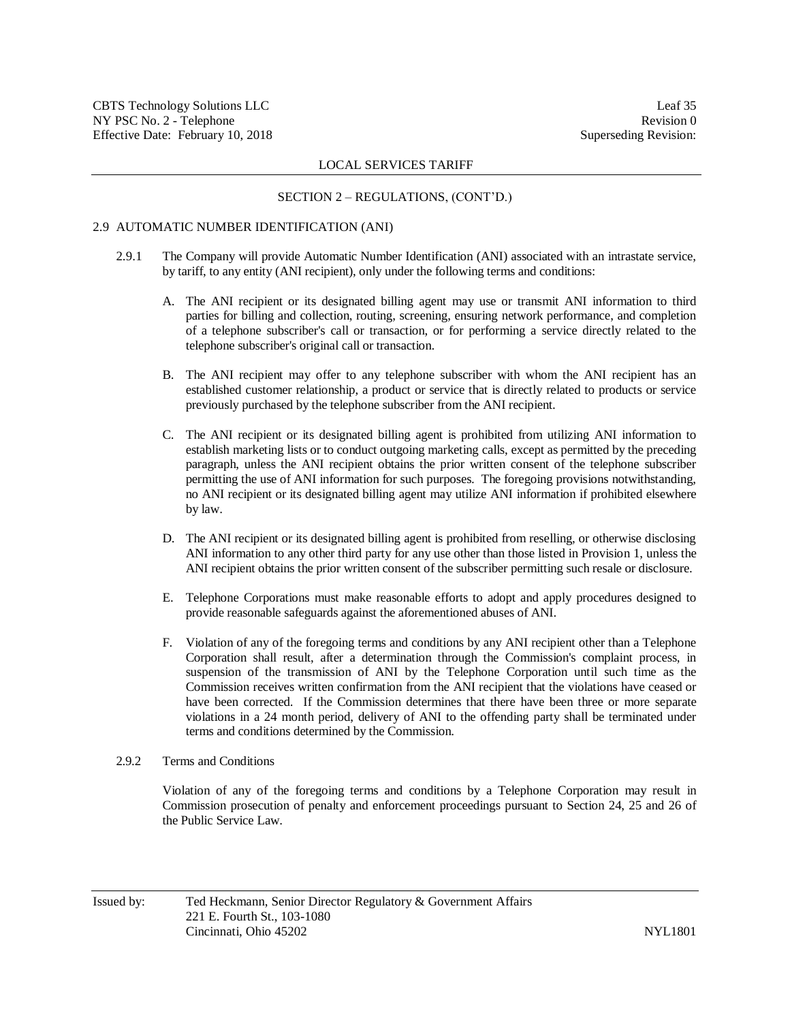#### SECTION 2 – REGULATIONS, (CONT'D.)

#### 2.9 AUTOMATIC NUMBER IDENTIFICATION (ANI)

- 2.9.1 The Company will provide Automatic Number Identification (ANI) associated with an intrastate service, by tariff, to any entity (ANI recipient), only under the following terms and conditions:
	- A. The ANI recipient or its designated billing agent may use or transmit ANI information to third parties for billing and collection, routing, screening, ensuring network performance, and completion of a telephone subscriber's call or transaction, or for performing a service directly related to the telephone subscriber's original call or transaction.
	- B. The ANI recipient may offer to any telephone subscriber with whom the ANI recipient has an established customer relationship, a product or service that is directly related to products or service previously purchased by the telephone subscriber from the ANI recipient.
	- C. The ANI recipient or its designated billing agent is prohibited from utilizing ANI information to establish marketing lists or to conduct outgoing marketing calls, except as permitted by the preceding paragraph, unless the ANI recipient obtains the prior written consent of the telephone subscriber permitting the use of ANI information for such purposes. The foregoing provisions notwithstanding, no ANI recipient or its designated billing agent may utilize ANI information if prohibited elsewhere by law.
	- D. The ANI recipient or its designated billing agent is prohibited from reselling, or otherwise disclosing ANI information to any other third party for any use other than those listed in Provision 1, unless the ANI recipient obtains the prior written consent of the subscriber permitting such resale or disclosure.
	- E. Telephone Corporations must make reasonable efforts to adopt and apply procedures designed to provide reasonable safeguards against the aforementioned abuses of ANI.
	- F. Violation of any of the foregoing terms and conditions by any ANI recipient other than a Telephone Corporation shall result, after a determination through the Commission's complaint process, in suspension of the transmission of ANI by the Telephone Corporation until such time as the Commission receives written confirmation from the ANI recipient that the violations have ceased or have been corrected. If the Commission determines that there have been three or more separate violations in a 24 month period, delivery of ANI to the offending party shall be terminated under terms and conditions determined by the Commission.

## 2.9.2 Terms and Conditions

Violation of any of the foregoing terms and conditions by a Telephone Corporation may result in Commission prosecution of penalty and enforcement proceedings pursuant to Section 24, 25 and 26 of the Public Service Law.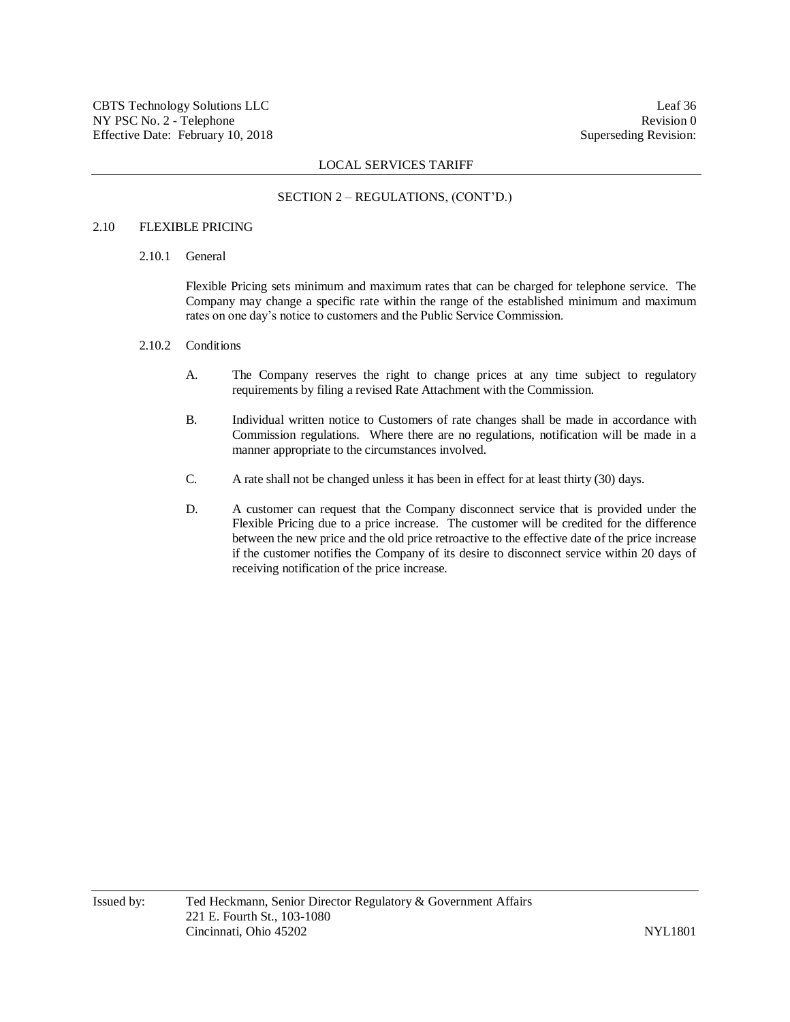## SECTION 2 – REGULATIONS, (CONT'D.)

## 2.10 FLEXIBLE PRICING

2.10.1 General

Flexible Pricing sets minimum and maximum rates that can be charged for telephone service. The Company may change a specific rate within the range of the established minimum and maximum rates on one day's notice to customers and the Public Service Commission.

- 2.10.2 Conditions
	- A. The Company reserves the right to change prices at any time subject to regulatory requirements by filing a revised Rate Attachment with the Commission.
	- B. Individual written notice to Customers of rate changes shall be made in accordance with Commission regulations. Where there are no regulations, notification will be made in a manner appropriate to the circumstances involved.
	- C. A rate shall not be changed unless it has been in effect for at least thirty (30) days.
	- D. A customer can request that the Company disconnect service that is provided under the Flexible Pricing due to a price increase. The customer will be credited for the difference between the new price and the old price retroactive to the effective date of the price increase if the customer notifies the Company of its desire to disconnect service within 20 days of receiving notification of the price increase.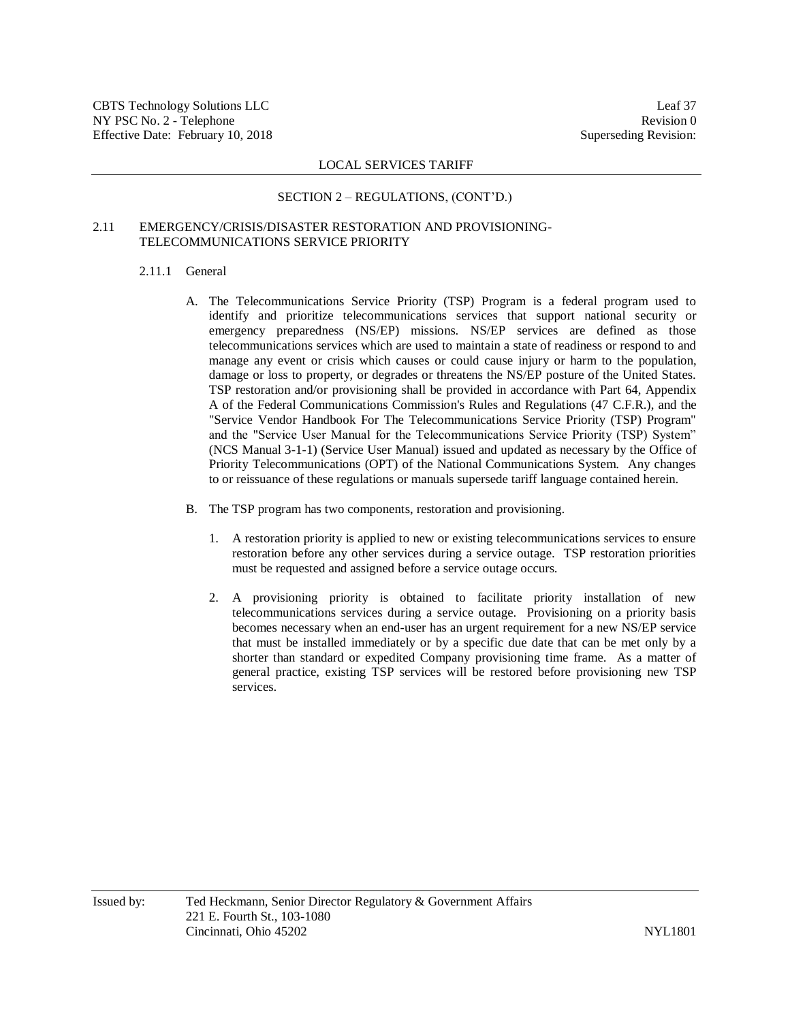#### SECTION 2 – REGULATIONS, (CONT'D.)

## 2.11 EMERGENCY/CRISIS/DISASTER RESTORATION AND PROVISIONING-TELECOMMUNICATIONS SERVICE PRIORITY

#### 2.11.1 General

- A. The Telecommunications Service Priority (TSP) Program is a federal program used to identify and prioritize telecommunications services that support national security or emergency preparedness (NS/EP) missions. NS/EP services are defined as those telecommunications services which are used to maintain a state of readiness or respond to and manage any event or crisis which causes or could cause injury or harm to the population, damage or loss to property, or degrades or threatens the NS/EP posture of the United States. TSP restoration and/or provisioning shall be provided in accordance with Part 64, Appendix A of the Federal Communications Commission's Rules and Regulations (47 C.F.R.), and the "Service Vendor Handbook For The Telecommunications Service Priority (TSP) Program" and the "Service User Manual for the Telecommunications Service Priority (TSP) System" (NCS Manual 3-1-1) (Service User Manual) issued and updated as necessary by the Office of Priority Telecommunications (OPT) of the National Communications System. Any changes to or reissuance of these regulations or manuals supersede tariff language contained herein.
- B. The TSP program has two components, restoration and provisioning.
	- 1. A restoration priority is applied to new or existing telecommunications services to ensure restoration before any other services during a service outage. TSP restoration priorities must be requested and assigned before a service outage occurs.
	- 2. A provisioning priority is obtained to facilitate priority installation of new telecommunications services during a service outage. Provisioning on a priority basis becomes necessary when an end-user has an urgent requirement for a new NS/EP service that must be installed immediately or by a specific due date that can be met only by a shorter than standard or expedited Company provisioning time frame. As a matter of general practice, existing TSP services will be restored before provisioning new TSP services.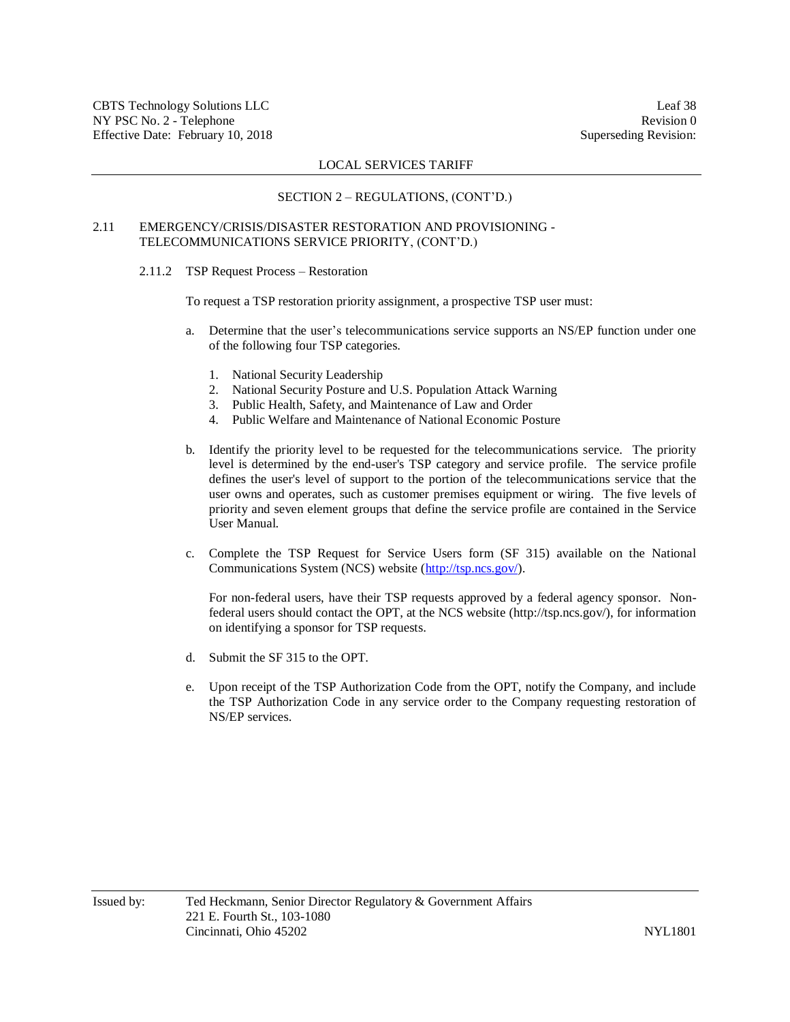#### SECTION 2 – REGULATIONS, (CONT'D.)

## 2.11 EMERGENCY/CRISIS/DISASTER RESTORATION AND PROVISIONING - TELECOMMUNICATIONS SERVICE PRIORITY, (CONT'D.)

2.11.2 TSP Request Process – Restoration

To request a TSP restoration priority assignment, a prospective TSP user must:

- a. Determine that the user's telecommunications service supports an NS/EP function under one of the following four TSP categories.
	- 1. National Security Leadership
	- 2. National Security Posture and U.S. Population Attack Warning
	- 3. Public Health, Safety, and Maintenance of Law and Order
	- 4. Public Welfare and Maintenance of National Economic Posture
- b. Identify the priority level to be requested for the telecommunications service. The priority level is determined by the end-user's TSP category and service profile. The service profile defines the user's level of support to the portion of the telecommunications service that the user owns and operates, such as customer premises equipment or wiring. The five levels of priority and seven element groups that define the service profile are contained in the Service User Manual.
- c. Complete the TSP Request for Service Users form (SF 315) available on the National Communications System (NCS) website [\(http://tsp.ncs.gov/\)](http://tsp.ncs.gov/).

For non-federal users, have their TSP requests approved by a federal agency sponsor. Nonfederal users should contact the OPT, at the NCS website (http://tsp.ncs.gov/), for information on identifying a sponsor for TSP requests.

- d. Submit the SF 315 to the OPT.
- e. Upon receipt of the TSP Authorization Code from the OPT, notify the Company, and include the TSP Authorization Code in any service order to the Company requesting restoration of NS/EP services.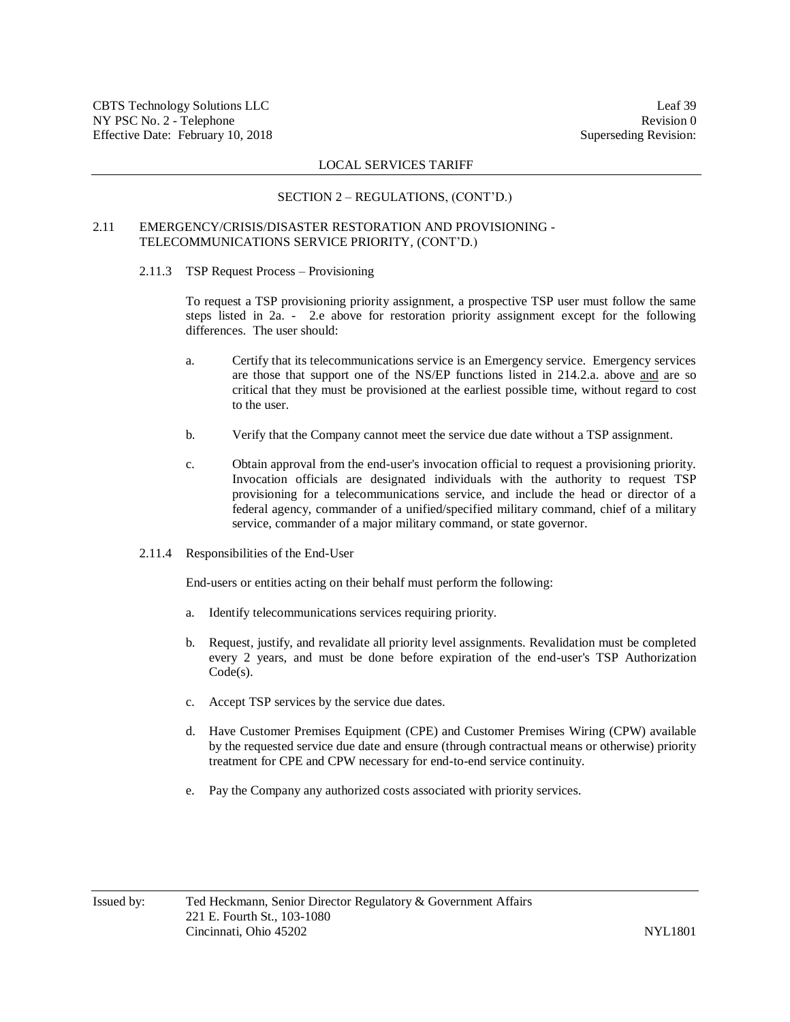## SECTION 2 – REGULATIONS, (CONT'D.)

## 2.11 EMERGENCY/CRISIS/DISASTER RESTORATION AND PROVISIONING - TELECOMMUNICATIONS SERVICE PRIORITY, (CONT'D.)

2.11.3 TSP Request Process – Provisioning

To request a TSP provisioning priority assignment, a prospective TSP user must follow the same steps listed in 2a. - 2.e above for restoration priority assignment except for the following differences. The user should:

- a. Certify that its telecommunications service is an Emergency service. Emergency services are those that support one of the NS/EP functions listed in 214.2.a. above and are so critical that they must be provisioned at the earliest possible time, without regard to cost to the user.
- b. Verify that the Company cannot meet the service due date without a TSP assignment.
- c. Obtain approval from the end-user's invocation official to request a provisioning priority. Invocation officials are designated individuals with the authority to request TSP provisioning for a telecommunications service, and include the head or director of a federal agency, commander of a unified/specified military command, chief of a military service, commander of a major military command, or state governor.
- 2.11.4 Responsibilities of the End-User

End-users or entities acting on their behalf must perform the following:

- a. Identify telecommunications services requiring priority.
- b. Request, justify, and revalidate all priority level assignments. Revalidation must be completed every 2 years, and must be done before expiration of the end-user's TSP Authorization Code(s).
- c. Accept TSP services by the service due dates.
- d. Have Customer Premises Equipment (CPE) and Customer Premises Wiring (CPW) available by the requested service due date and ensure (through contractual means or otherwise) priority treatment for CPE and CPW necessary for end-to-end service continuity.
- e. Pay the Company any authorized costs associated with priority services.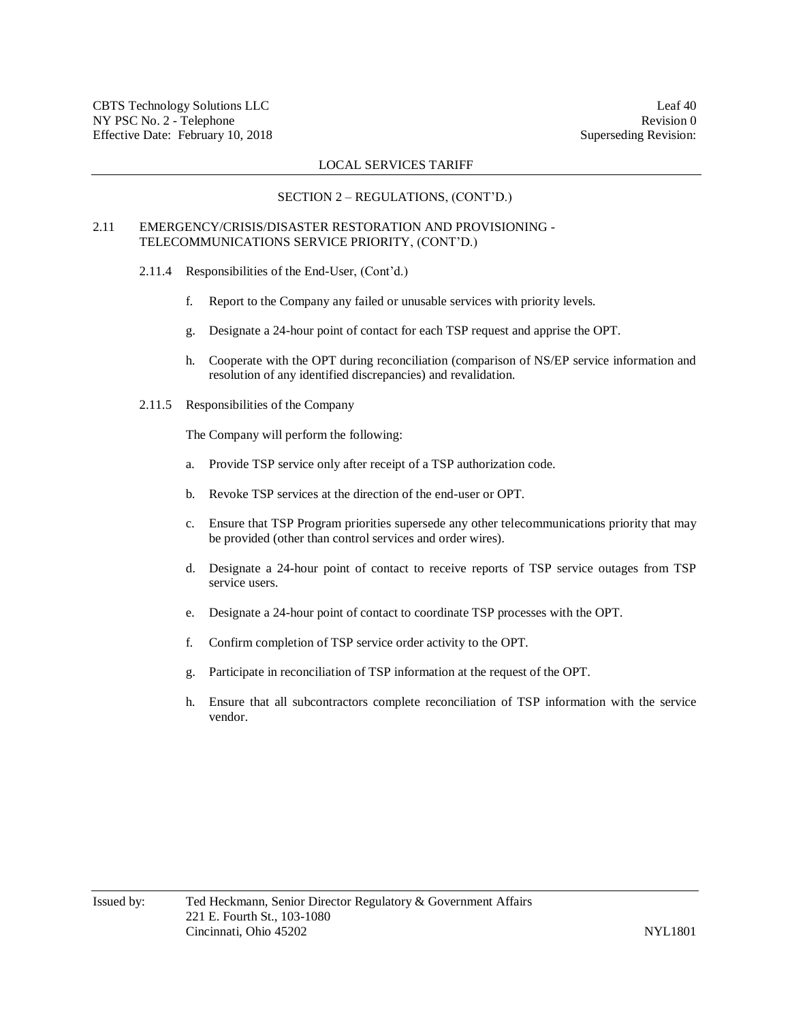#### SECTION 2 – REGULATIONS, (CONT'D.)

## 2.11 EMERGENCY/CRISIS/DISASTER RESTORATION AND PROVISIONING - TELECOMMUNICATIONS SERVICE PRIORITY, (CONT'D.)

- 2.11.4 Responsibilities of the End-User, (Cont'd.)
	- f. Report to the Company any failed or unusable services with priority levels.
	- g. Designate a 24-hour point of contact for each TSP request and apprise the OPT.
	- h. Cooperate with the OPT during reconciliation (comparison of NS/EP service information and resolution of any identified discrepancies) and revalidation.
- 2.11.5 Responsibilities of the Company

The Company will perform the following:

- a. Provide TSP service only after receipt of a TSP authorization code.
- b. Revoke TSP services at the direction of the end-user or OPT.
- c. Ensure that TSP Program priorities supersede any other telecommunications priority that may be provided (other than control services and order wires).
- d. Designate a 24-hour point of contact to receive reports of TSP service outages from TSP service users.
- e. Designate a 24-hour point of contact to coordinate TSP processes with the OPT.
- f. Confirm completion of TSP service order activity to the OPT.
- g. Participate in reconciliation of TSP information at the request of the OPT.
- h. Ensure that all subcontractors complete reconciliation of TSP information with the service vendor.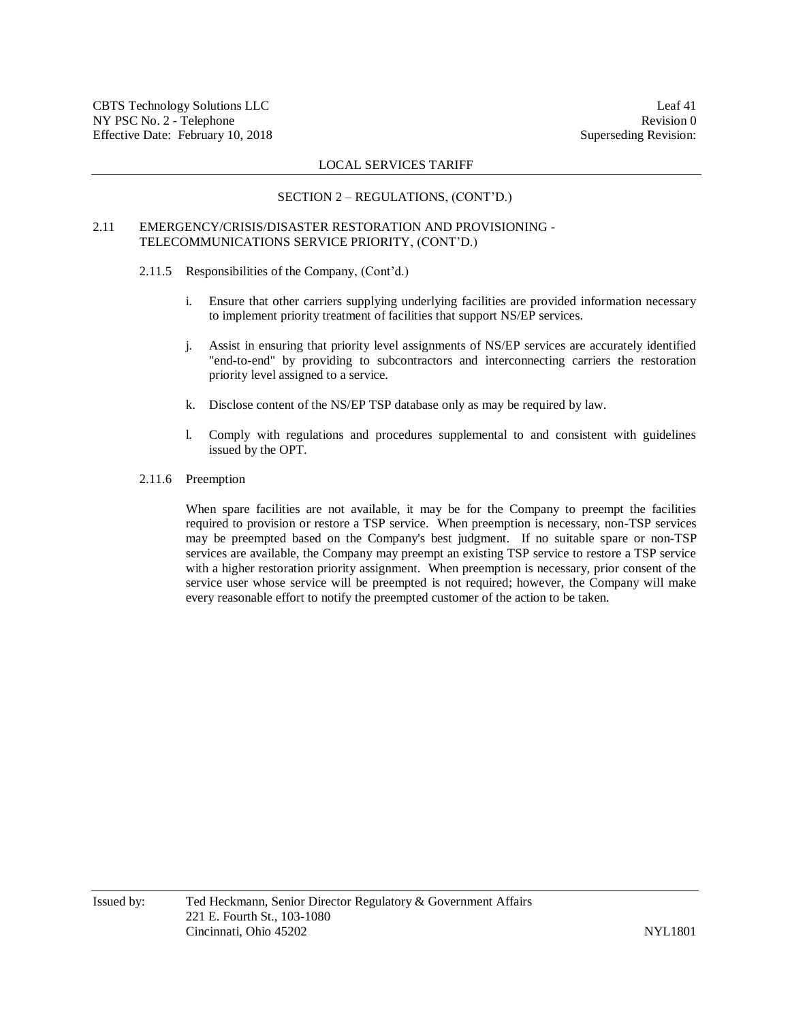#### SECTION 2 – REGULATIONS, (CONT'D.)

## 2.11 EMERGENCY/CRISIS/DISASTER RESTORATION AND PROVISIONING - TELECOMMUNICATIONS SERVICE PRIORITY, (CONT'D.)

- 2.11.5 Responsibilities of the Company, (Cont'd.)
	- i. Ensure that other carriers supplying underlying facilities are provided information necessary to implement priority treatment of facilities that support NS/EP services.
	- j. Assist in ensuring that priority level assignments of NS/EP services are accurately identified "end-to-end" by providing to subcontractors and interconnecting carriers the restoration priority level assigned to a service.
	- k. Disclose content of the NS/EP TSP database only as may be required by law.
	- l. Comply with regulations and procedures supplemental to and consistent with guidelines issued by the OPT.
- 2.11.6 Preemption

When spare facilities are not available, it may be for the Company to preempt the facilities required to provision or restore a TSP service. When preemption is necessary, non-TSP services may be preempted based on the Company's best judgment. If no suitable spare or non-TSP services are available, the Company may preempt an existing TSP service to restore a TSP service with a higher restoration priority assignment. When preemption is necessary, prior consent of the service user whose service will be preempted is not required; however, the Company will make every reasonable effort to notify the preempted customer of the action to be taken.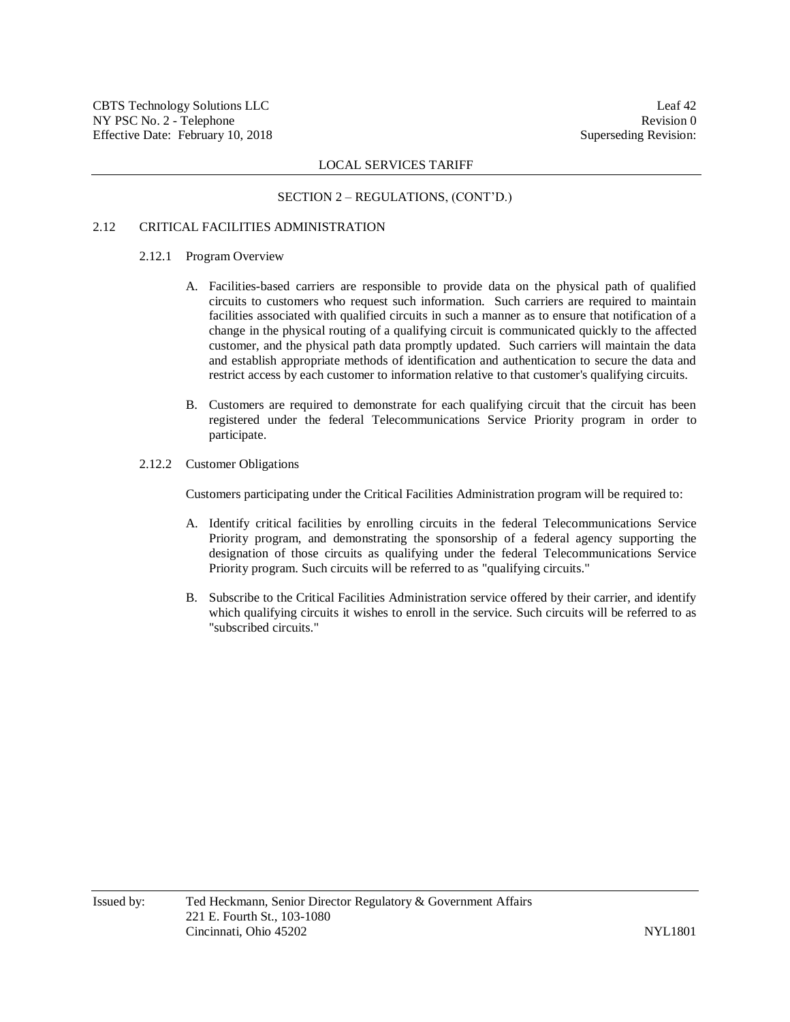#### SECTION 2 – REGULATIONS, (CONT'D.)

## 2.12 CRITICAL FACILITIES ADMINISTRATION

## 2.12.1 Program Overview

- A. Facilities-based carriers are responsible to provide data on the physical path of qualified circuits to customers who request such information. Such carriers are required to maintain facilities associated with qualified circuits in such a manner as to ensure that notification of a change in the physical routing of a qualifying circuit is communicated quickly to the affected customer, and the physical path data promptly updated. Such carriers will maintain the data and establish appropriate methods of identification and authentication to secure the data and restrict access by each customer to information relative to that customer's qualifying circuits.
- B. Customers are required to demonstrate for each qualifying circuit that the circuit has been registered under the federal Telecommunications Service Priority program in order to participate.
- 2.12.2 Customer Obligations

Customers participating under the Critical Facilities Administration program will be required to:

- A. Identify critical facilities by enrolling circuits in the federal Telecommunications Service Priority program, and demonstrating the sponsorship of a federal agency supporting the designation of those circuits as qualifying under the federal Telecommunications Service Priority program. Such circuits will be referred to as "qualifying circuits."
- B. Subscribe to the Critical Facilities Administration service offered by their carrier, and identify which qualifying circuits it wishes to enroll in the service. Such circuits will be referred to as "subscribed circuits."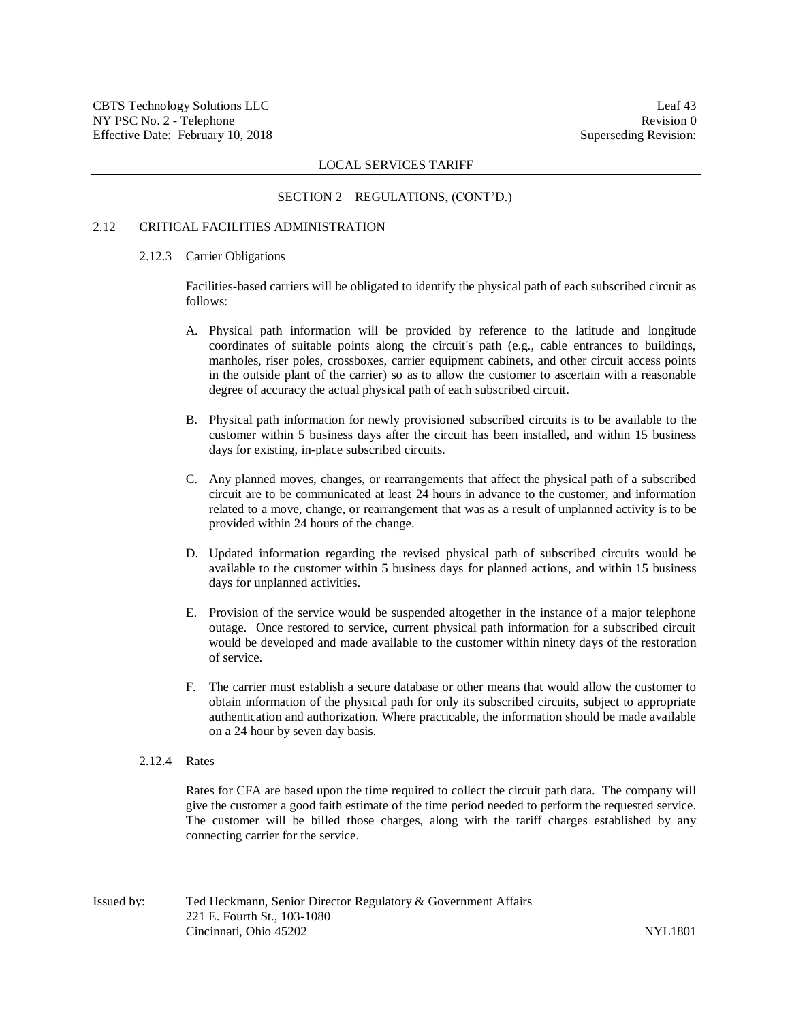#### SECTION 2 – REGULATIONS, (CONT'D.)

### 2.12 CRITICAL FACILITIES ADMINISTRATION

#### 2.12.3 Carrier Obligations

Facilities-based carriers will be obligated to identify the physical path of each subscribed circuit as follows:

- A. Physical path information will be provided by reference to the latitude and longitude coordinates of suitable points along the circuit's path (e.g., cable entrances to buildings, manholes, riser poles, crossboxes, carrier equipment cabinets, and other circuit access points in the outside plant of the carrier) so as to allow the customer to ascertain with a reasonable degree of accuracy the actual physical path of each subscribed circuit.
- B. Physical path information for newly provisioned subscribed circuits is to be available to the customer within 5 business days after the circuit has been installed, and within 15 business days for existing, in-place subscribed circuits.
- C. Any planned moves, changes, or rearrangements that affect the physical path of a subscribed circuit are to be communicated at least 24 hours in advance to the customer, and information related to a move, change, or rearrangement that was as a result of unplanned activity is to be provided within 24 hours of the change.
- D. Updated information regarding the revised physical path of subscribed circuits would be available to the customer within 5 business days for planned actions, and within 15 business days for unplanned activities.
- E. Provision of the service would be suspended altogether in the instance of a major telephone outage. Once restored to service, current physical path information for a subscribed circuit would be developed and made available to the customer within ninety days of the restoration of service.
- F. The carrier must establish a secure database or other means that would allow the customer to obtain information of the physical path for only its subscribed circuits, subject to appropriate authentication and authorization. Where practicable, the information should be made available on a 24 hour by seven day basis.
- 2.12.4 Rates

Rates for CFA are based upon the time required to collect the circuit path data. The company will give the customer a good faith estimate of the time period needed to perform the requested service. The customer will be billed those charges, along with the tariff charges established by any connecting carrier for the service.

Issued by: Ted Heckmann, Senior Director Regulatory & Government Affairs 221 E. Fourth St., 103-1080 Cincinnati, Ohio 45202 NYL1801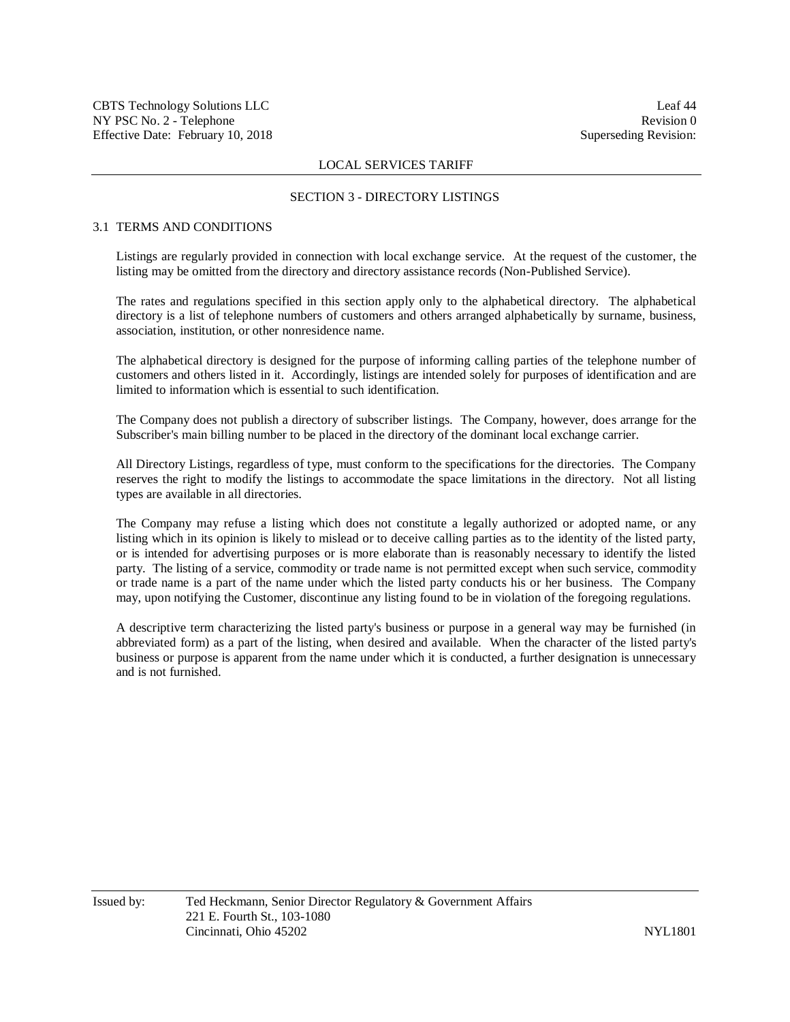#### SECTION 3 - DIRECTORY LISTINGS

## 3.1 TERMS AND CONDITIONS

Listings are regularly provided in connection with local exchange service. At the request of the customer, the listing may be omitted from the directory and directory assistance records (Non-Published Service).

The rates and regulations specified in this section apply only to the alphabetical directory. The alphabetical directory is a list of telephone numbers of customers and others arranged alphabetically by surname, business, association, institution, or other nonresidence name.

The alphabetical directory is designed for the purpose of informing calling parties of the telephone number of customers and others listed in it. Accordingly, listings are intended solely for purposes of identification and are limited to information which is essential to such identification.

The Company does not publish a directory of subscriber listings. The Company, however, does arrange for the Subscriber's main billing number to be placed in the directory of the dominant local exchange carrier.

All Directory Listings, regardless of type, must conform to the specifications for the directories. The Company reserves the right to modify the listings to accommodate the space limitations in the directory. Not all listing types are available in all directories.

The Company may refuse a listing which does not constitute a legally authorized or adopted name, or any listing which in its opinion is likely to mislead or to deceive calling parties as to the identity of the listed party, or is intended for advertising purposes or is more elaborate than is reasonably necessary to identify the listed party. The listing of a service, commodity or trade name is not permitted except when such service, commodity or trade name is a part of the name under which the listed party conducts his or her business. The Company may, upon notifying the Customer, discontinue any listing found to be in violation of the foregoing regulations.

A descriptive term characterizing the listed party's business or purpose in a general way may be furnished (in abbreviated form) as a part of the listing, when desired and available. When the character of the listed party's business or purpose is apparent from the name under which it is conducted, a further designation is unnecessary and is not furnished.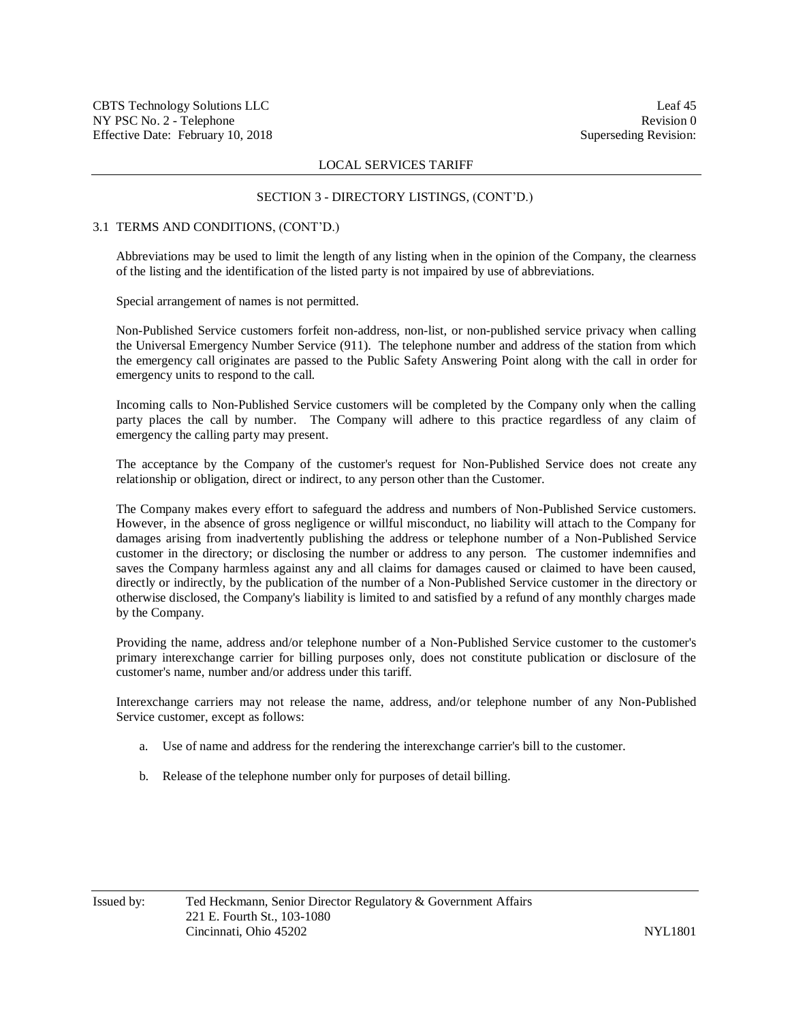#### SECTION 3 - DIRECTORY LISTINGS, (CONT'D.)

#### 3.1 TERMS AND CONDITIONS, (CONT'D.)

Abbreviations may be used to limit the length of any listing when in the opinion of the Company, the clearness of the listing and the identification of the listed party is not impaired by use of abbreviations.

Special arrangement of names is not permitted.

Non-Published Service customers forfeit non-address, non-list, or non-published service privacy when calling the Universal Emergency Number Service (911). The telephone number and address of the station from which the emergency call originates are passed to the Public Safety Answering Point along with the call in order for emergency units to respond to the call.

Incoming calls to Non-Published Service customers will be completed by the Company only when the calling party places the call by number. The Company will adhere to this practice regardless of any claim of emergency the calling party may present.

The acceptance by the Company of the customer's request for Non-Published Service does not create any relationship or obligation, direct or indirect, to any person other than the Customer.

The Company makes every effort to safeguard the address and numbers of Non-Published Service customers. However, in the absence of gross negligence or willful misconduct, no liability will attach to the Company for damages arising from inadvertently publishing the address or telephone number of a Non-Published Service customer in the directory; or disclosing the number or address to any person. The customer indemnifies and saves the Company harmless against any and all claims for damages caused or claimed to have been caused, directly or indirectly, by the publication of the number of a Non-Published Service customer in the directory or otherwise disclosed, the Company's liability is limited to and satisfied by a refund of any monthly charges made by the Company.

Providing the name, address and/or telephone number of a Non-Published Service customer to the customer's primary interexchange carrier for billing purposes only, does not constitute publication or disclosure of the customer's name, number and/or address under this tariff.

Interexchange carriers may not release the name, address, and/or telephone number of any Non-Published Service customer, except as follows:

- a. Use of name and address for the rendering the interexchange carrier's bill to the customer.
- b. Release of the telephone number only for purposes of detail billing.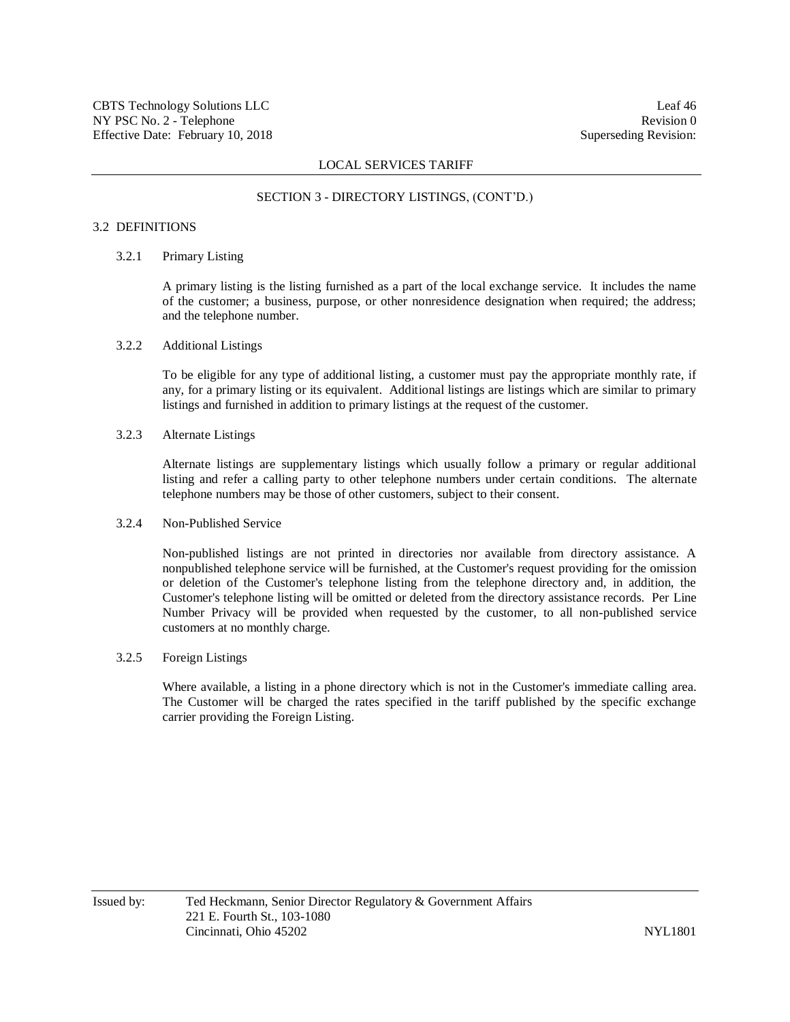#### SECTION 3 - DIRECTORY LISTINGS, (CONT'D.)

## 3.2 DEFINITIONS

## 3.2.1 Primary Listing

A primary listing is the listing furnished as a part of the local exchange service. It includes the name of the customer; a business, purpose, or other nonresidence designation when required; the address; and the telephone number.

## 3.2.2 Additional Listings

To be eligible for any type of additional listing, a customer must pay the appropriate monthly rate, if any, for a primary listing or its equivalent. Additional listings are listings which are similar to primary listings and furnished in addition to primary listings at the request of the customer.

## 3.2.3 Alternate Listings

Alternate listings are supplementary listings which usually follow a primary or regular additional listing and refer a calling party to other telephone numbers under certain conditions. The alternate telephone numbers may be those of other customers, subject to their consent.

### 3.2.4 Non-Published Service

Non-published listings are not printed in directories nor available from directory assistance. A nonpublished telephone service will be furnished, at the Customer's request providing for the omission or deletion of the Customer's telephone listing from the telephone directory and, in addition, the Customer's telephone listing will be omitted or deleted from the directory assistance records. Per Line Number Privacy will be provided when requested by the customer, to all non-published service customers at no monthly charge.

## 3.2.5 Foreign Listings

Where available, a listing in a phone directory which is not in the Customer's immediate calling area. The Customer will be charged the rates specified in the tariff published by the specific exchange carrier providing the Foreign Listing.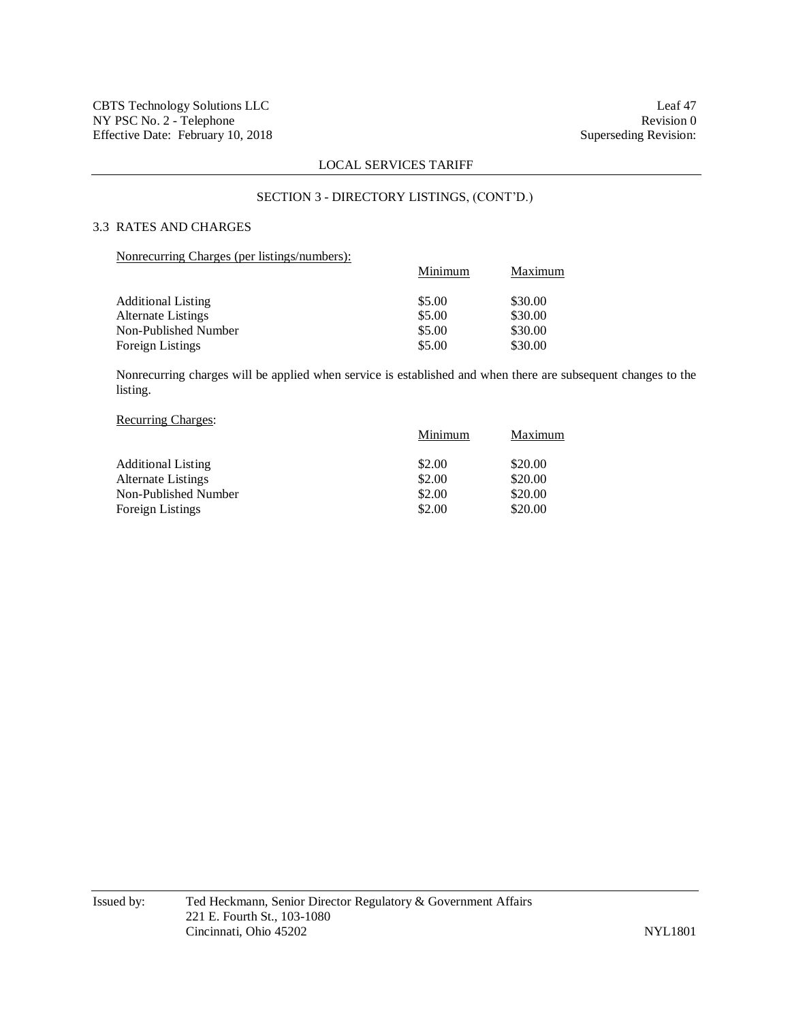## SECTION 3 - DIRECTORY LISTINGS, (CONT'D.)

# 3.3 RATES AND CHARGES

## Nonrecurring Charges (per listings/numbers):

| Maximum |
|---------|
| \$30.00 |
| \$30.00 |
| \$30.00 |
| \$30.00 |
|         |

Nonrecurring charges will be applied when service is established and when there are subsequent changes to the listing.

## Recurring Charges:

|                           | Minimum | Maximum |
|---------------------------|---------|---------|
| <b>Additional Listing</b> | \$2.00  | \$20.00 |
| <b>Alternate Listings</b> | \$2.00  | \$20.00 |
| Non-Published Number      | \$2.00  | \$20.00 |
| <b>Foreign Listings</b>   | \$2.00  | \$20.00 |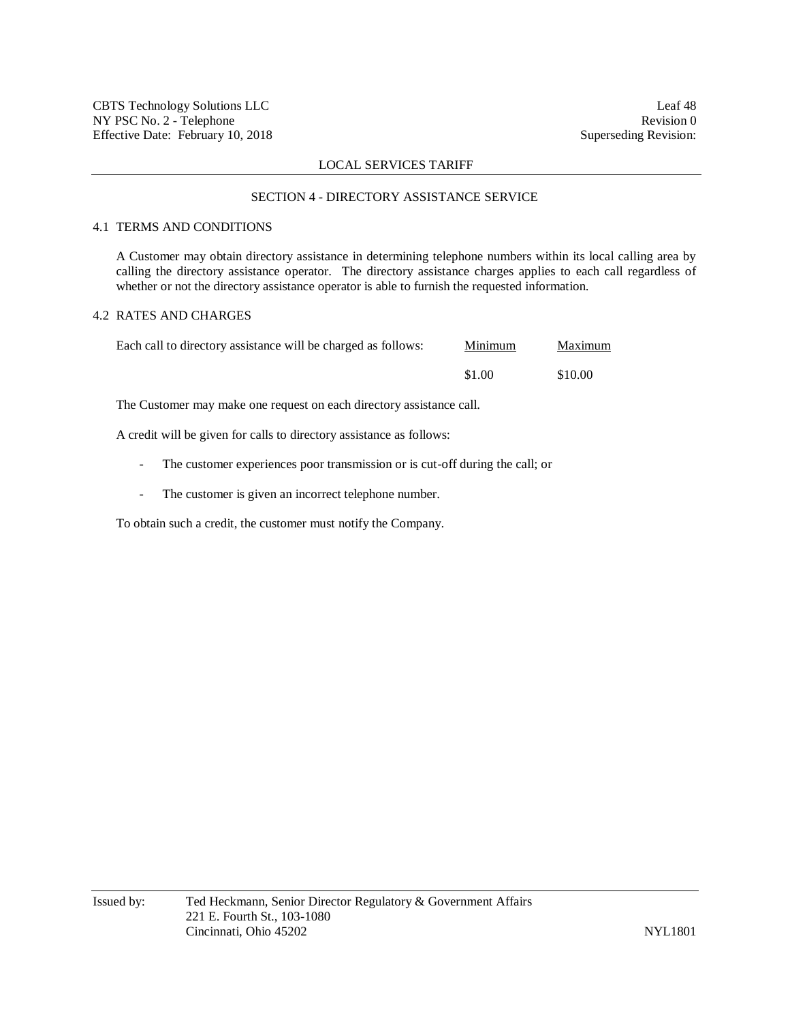#### SECTION 4 - DIRECTORY ASSISTANCE SERVICE

## 4.1 TERMS AND CONDITIONS

A Customer may obtain directory assistance in determining telephone numbers within its local calling area by calling the directory assistance operator. The directory assistance charges applies to each call regardless of whether or not the directory assistance operator is able to furnish the requested information.

# 4.2 RATES AND CHARGES

| Each call to directory assistance will be charged as follows: | Minimum | Maximum |
|---------------------------------------------------------------|---------|---------|
|                                                               | \$1.00  | \$10.00 |

The Customer may make one request on each directory assistance call.

A credit will be given for calls to directory assistance as follows:

- The customer experiences poor transmission or is cut-off during the call; or
- The customer is given an incorrect telephone number.

To obtain such a credit, the customer must notify the Company.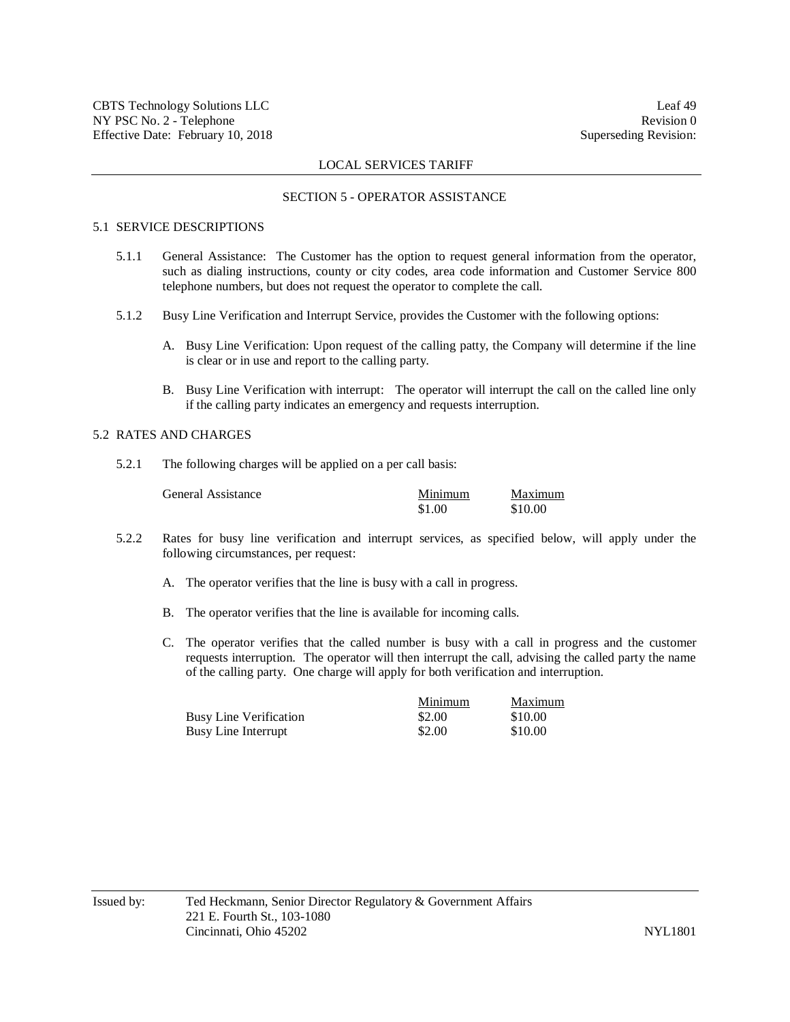#### SECTION 5 - OPERATOR ASSISTANCE

## 5.1 SERVICE DESCRIPTIONS

- 5.1.1 General Assistance: The Customer has the option to request general information from the operator, such as dialing instructions, county or city codes, area code information and Customer Service 800 telephone numbers, but does not request the operator to complete the call.
- 5.1.2 Busy Line Verification and Interrupt Service, provides the Customer with the following options:
	- A. Busy Line Verification: Upon request of the calling patty, the Company will determine if the line is clear or in use and report to the calling party.
	- B. Busy Line Verification with interrupt: The operator will interrupt the call on the called line only if the calling party indicates an emergency and requests interruption.

## 5.2 RATES AND CHARGES

5.2.1 The following charges will be applied on a per call basis:

| General Assistance | Minimum | Maximum |
|--------------------|---------|---------|
|                    | \$1.00  | \$10.00 |

- 5.2.2 Rates for busy line verification and interrupt services, as specified below, will apply under the following circumstances, per request:
	- A. The operator verifies that the line is busy with a call in progress.
	- B. The operator verifies that the line is available for incoming calls.
	- C. The operator verifies that the called number is busy with a call in progress and the customer requests interruption. The operator will then interrupt the call, advising the called party the name of the calling party. One charge will apply for both verification and interruption.

|                               | Minimum | Maximum |
|-------------------------------|---------|---------|
| <b>Busy Line Verification</b> | \$2.00  | \$10.00 |
| Busy Line Interrupt           | \$2.00  | \$10.00 |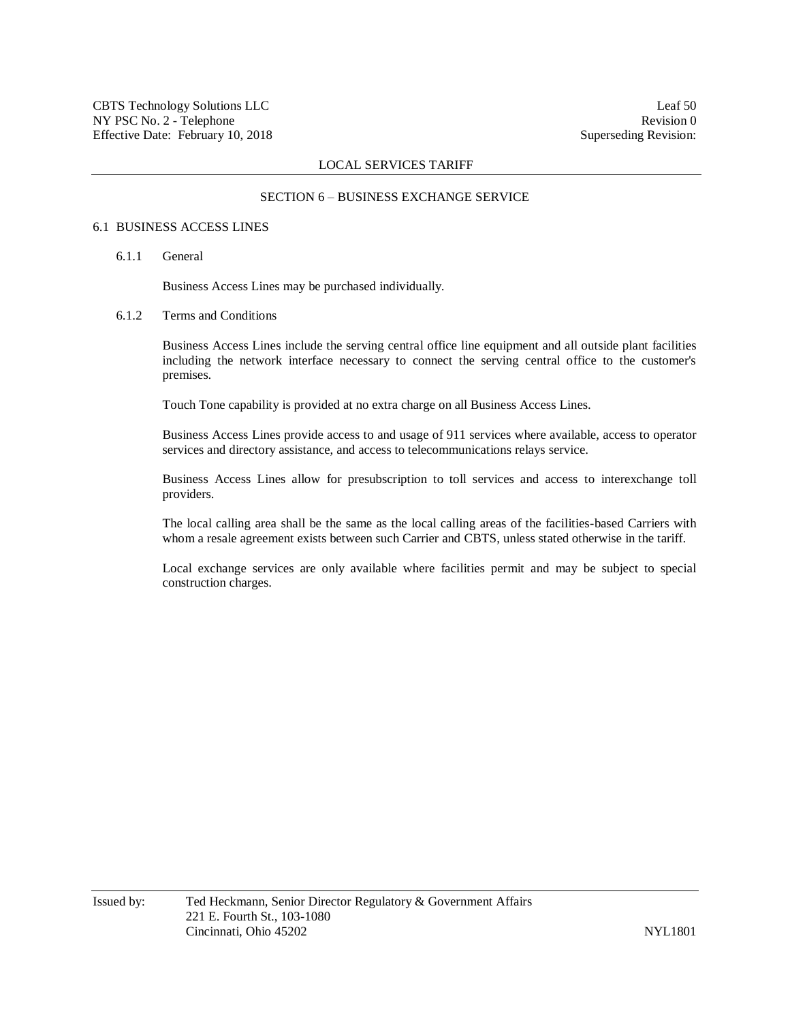#### SECTION 6 – BUSINESS EXCHANGE SERVICE

## 6.1 BUSINESS ACCESS LINES

6.1.1 General

Business Access Lines may be purchased individually.

6.1.2 Terms and Conditions

Business Access Lines include the serving central office line equipment and all outside plant facilities including the network interface necessary to connect the serving central office to the customer's premises.

Touch Tone capability is provided at no extra charge on all Business Access Lines.

Business Access Lines provide access to and usage of 911 services where available, access to operator services and directory assistance, and access to telecommunications relays service.

Business Access Lines allow for presubscription to toll services and access to interexchange toll providers.

The local calling area shall be the same as the local calling areas of the facilities-based Carriers with whom a resale agreement exists between such Carrier and CBTS, unless stated otherwise in the tariff.

Local exchange services are only available where facilities permit and may be subject to special construction charges.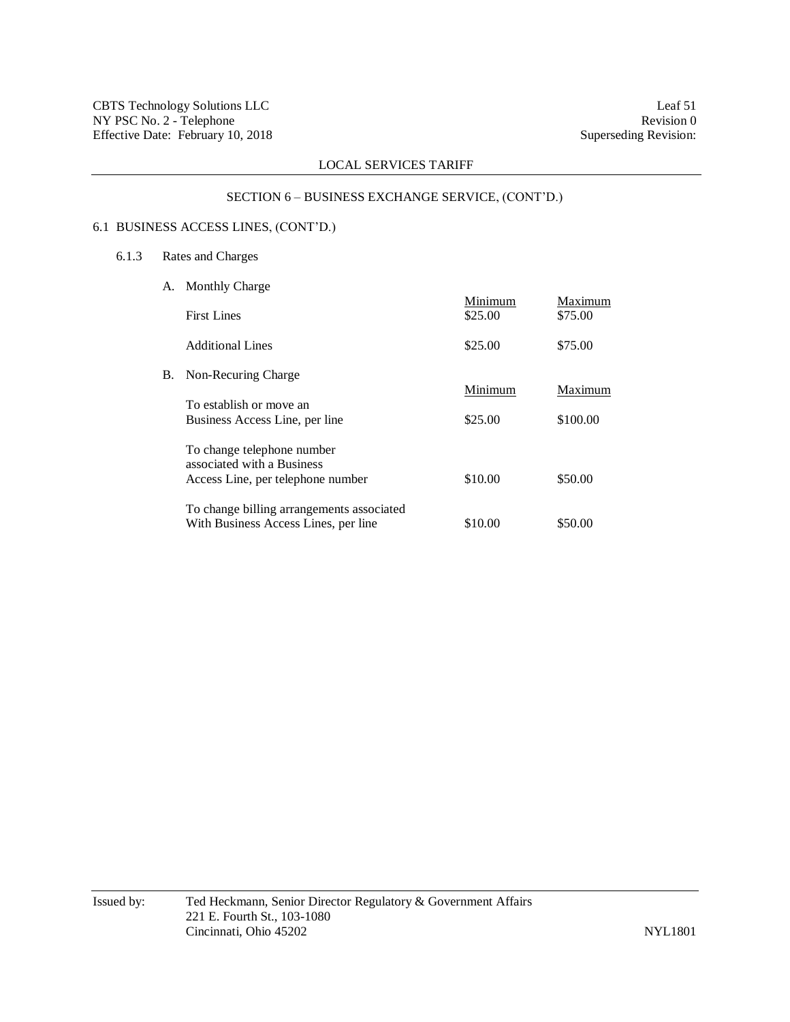# SECTION 6 – BUSINESS EXCHANGE SERVICE, (CONT'D.)

# 6.1 BUSINESS ACCESS LINES, (CONT'D.)

- 6.1.3 Rates and Charges
	- A. Monthly Charge

|    | <b>First Lines</b>                                                                            | Minimum<br>\$25.00 | Maximum<br>\$75.00 |
|----|-----------------------------------------------------------------------------------------------|--------------------|--------------------|
|    | <b>Additional Lines</b>                                                                       | \$25.00            | \$75.00            |
| В. | Non-Recuring Charge                                                                           | Minimum            | Maximum            |
|    | To establish or move an<br>Business Access Line, per line                                     | \$25.00            | \$100.00           |
|    | To change telephone number<br>associated with a Business<br>Access Line, per telephone number | \$10.00            | \$50.00            |
|    | To change billing arrangements associated<br>With Business Access Lines, per line             | \$10.00            | \$50.00            |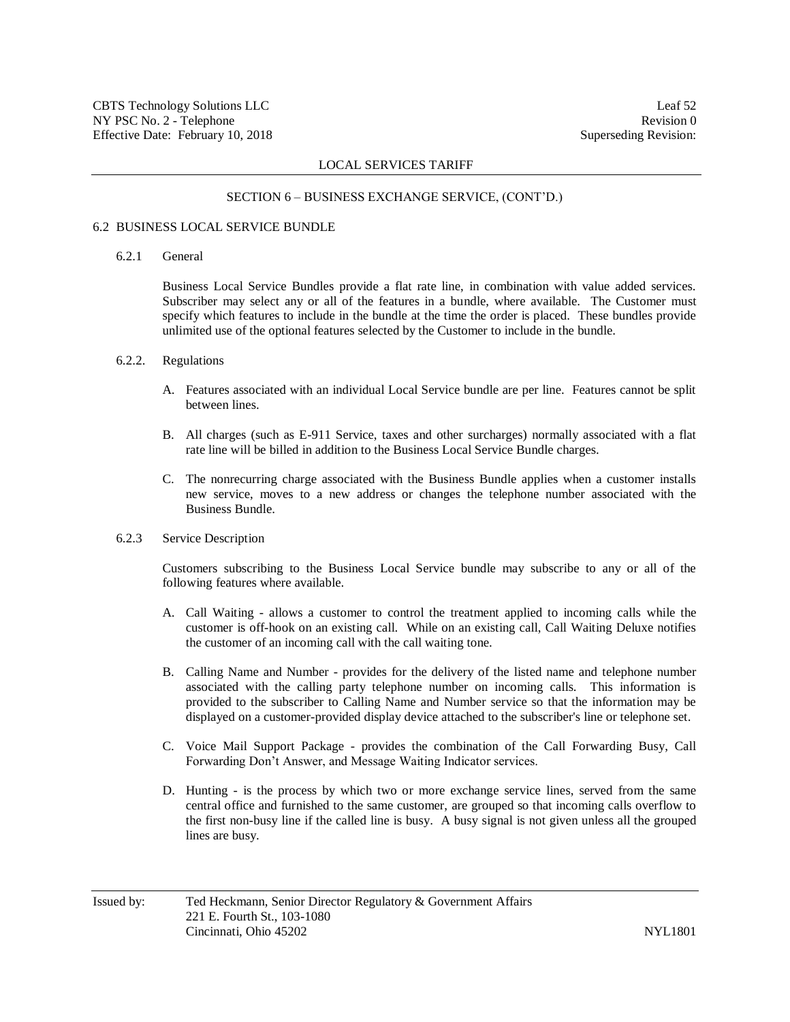#### SECTION 6 – BUSINESS EXCHANGE SERVICE, (CONT'D.)

#### 6.2 BUSINESS LOCAL SERVICE BUNDLE

## 6.2.1 General

Business Local Service Bundles provide a flat rate line, in combination with value added services. Subscriber may select any or all of the features in a bundle, where available. The Customer must specify which features to include in the bundle at the time the order is placed. These bundles provide unlimited use of the optional features selected by the Customer to include in the bundle.

#### 6.2.2. Regulations

- A. Features associated with an individual Local Service bundle are per line. Features cannot be split between lines.
- B. All charges (such as E-911 Service, taxes and other surcharges) normally associated with a flat rate line will be billed in addition to the Business Local Service Bundle charges.
- C. The nonrecurring charge associated with the Business Bundle applies when a customer installs new service, moves to a new address or changes the telephone number associated with the Business Bundle.
- 6.2.3 Service Description

Customers subscribing to the Business Local Service bundle may subscribe to any or all of the following features where available.

- A. Call Waiting allows a customer to control the treatment applied to incoming calls while the customer is off-hook on an existing call. While on an existing call, Call Waiting Deluxe notifies the customer of an incoming call with the call waiting tone.
- B. Calling Name and Number provides for the delivery of the listed name and telephone number associated with the calling party telephone number on incoming calls. This information is provided to the subscriber to Calling Name and Number service so that the information may be displayed on a customer-provided display device attached to the subscriber's line or telephone set.
- C. Voice Mail Support Package provides the combination of the Call Forwarding Busy, Call Forwarding Don't Answer, and Message Waiting Indicator services.
- D. Hunting is the process by which two or more exchange service lines, served from the same central office and furnished to the same customer, are grouped so that incoming calls overflow to the first non-busy line if the called line is busy. A busy signal is not given unless all the grouped lines are busy.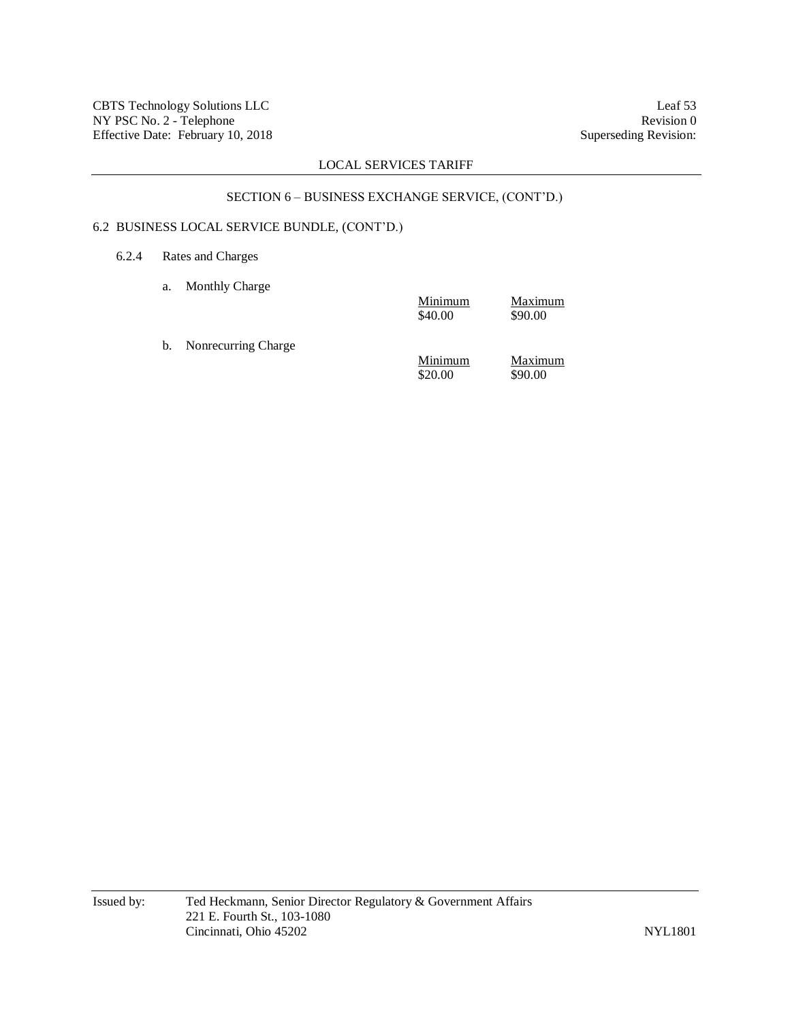# SECTION 6 – BUSINESS EXCHANGE SERVICE, (CONT'D.)

# 6.2 BUSINESS LOCAL SERVICE BUNDLE, (CONT'D.)

# 6.2.4 Rates and Charges

a. Monthly Charge

|    |                     | Minimum<br>\$40.00 | Maximum<br>\$90.00 |
|----|---------------------|--------------------|--------------------|
| b. | Nonrecurring Charge | Minimum<br>\$20.00 | Maximum<br>\$90.00 |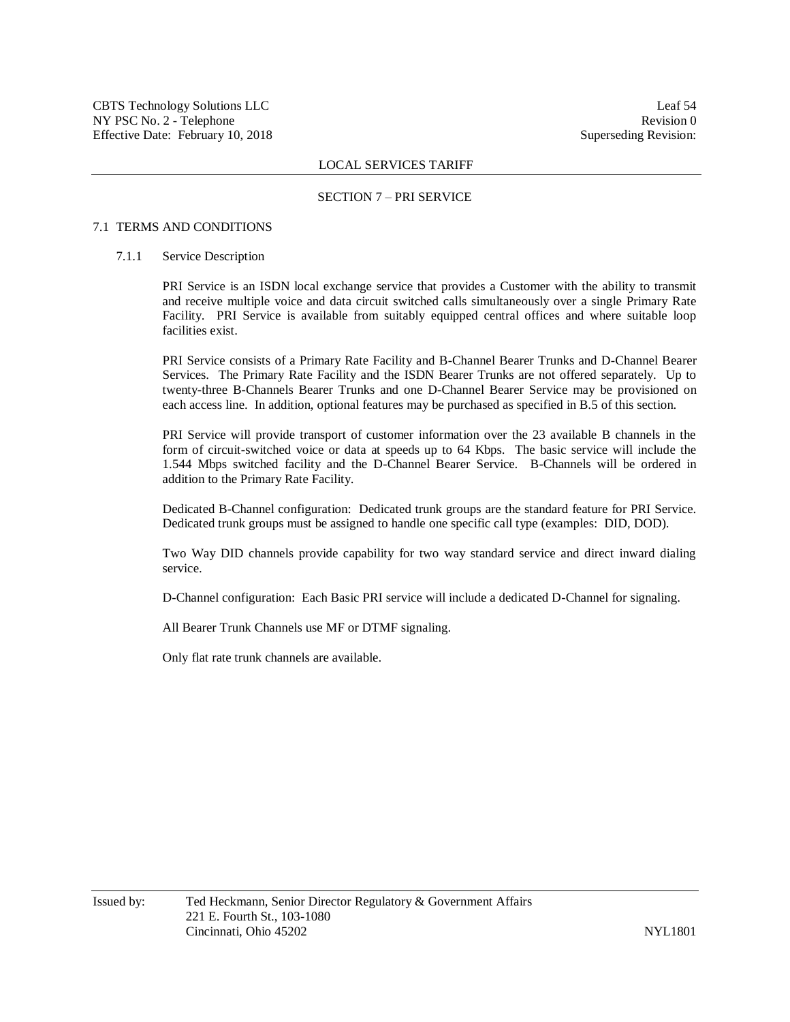#### SECTION 7 – PRI SERVICE

## 7.1 TERMS AND CONDITIONS

## 7.1.1 Service Description

PRI Service is an ISDN local exchange service that provides a Customer with the ability to transmit and receive multiple voice and data circuit switched calls simultaneously over a single Primary Rate Facility. PRI Service is available from suitably equipped central offices and where suitable loop facilities exist.

PRI Service consists of a Primary Rate Facility and B-Channel Bearer Trunks and D-Channel Bearer Services. The Primary Rate Facility and the ISDN Bearer Trunks are not offered separately. Up to twenty-three B-Channels Bearer Trunks and one D-Channel Bearer Service may be provisioned on each access line. In addition, optional features may be purchased as specified in B.5 of this section.

PRI Service will provide transport of customer information over the 23 available B channels in the form of circuit-switched voice or data at speeds up to 64 Kbps. The basic service will include the 1.544 Mbps switched facility and the D-Channel Bearer Service. B-Channels will be ordered in addition to the Primary Rate Facility.

Dedicated B-Channel configuration: Dedicated trunk groups are the standard feature for PRI Service. Dedicated trunk groups must be assigned to handle one specific call type (examples: DID, DOD).

Two Way DID channels provide capability for two way standard service and direct inward dialing service.

D-Channel configuration: Each Basic PRI service will include a dedicated D-Channel for signaling.

All Bearer Trunk Channels use MF or DTMF signaling.

Only flat rate trunk channels are available.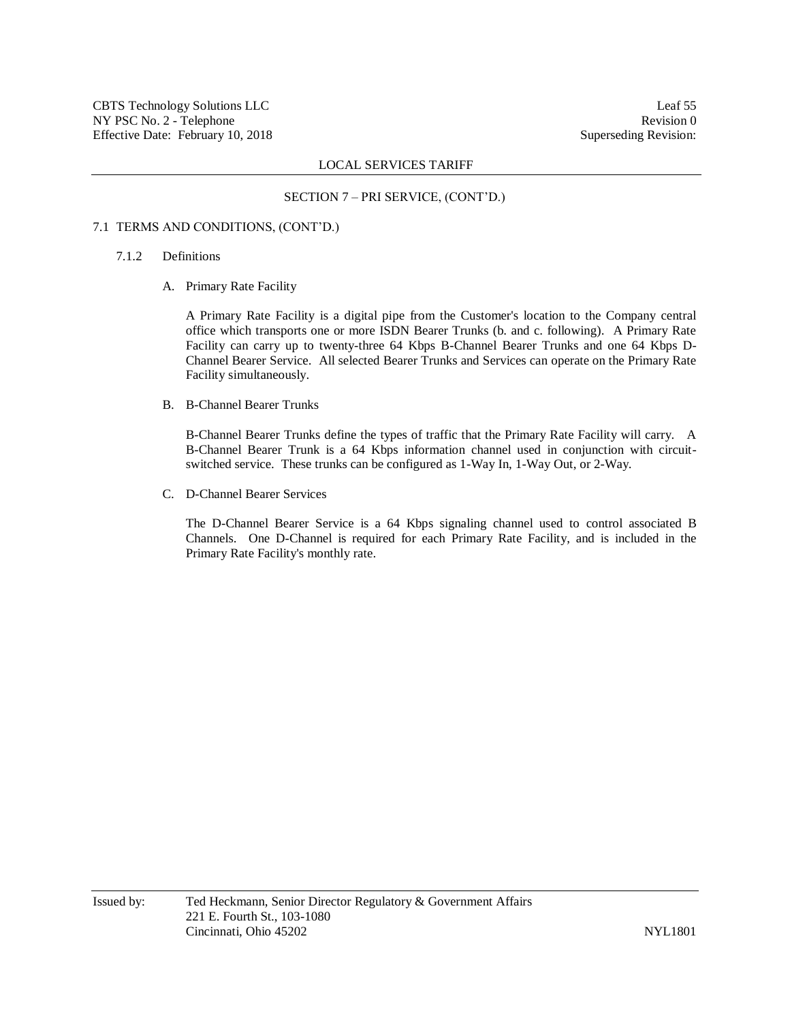## SECTION 7 – PRI SERVICE, (CONT'D.)

## 7.1 TERMS AND CONDITIONS, (CONT'D.)

## 7.1.2 Definitions

A. Primary Rate Facility

A Primary Rate Facility is a digital pipe from the Customer's location to the Company central office which transports one or more ISDN Bearer Trunks (b. and c. following). A Primary Rate Facility can carry up to twenty-three 64 Kbps B-Channel Bearer Trunks and one 64 Kbps D-Channel Bearer Service. All selected Bearer Trunks and Services can operate on the Primary Rate Facility simultaneously.

B. B-Channel Bearer Trunks

B-Channel Bearer Trunks define the types of traffic that the Primary Rate Facility will carry. A B-Channel Bearer Trunk is a 64 Kbps information channel used in conjunction with circuitswitched service. These trunks can be configured as 1-Way In, 1-Way Out, or 2-Way.

C. D-Channel Bearer Services

The D-Channel Bearer Service is a 64 Kbps signaling channel used to control associated B Channels. One D-Channel is required for each Primary Rate Facility, and is included in the Primary Rate Facility's monthly rate.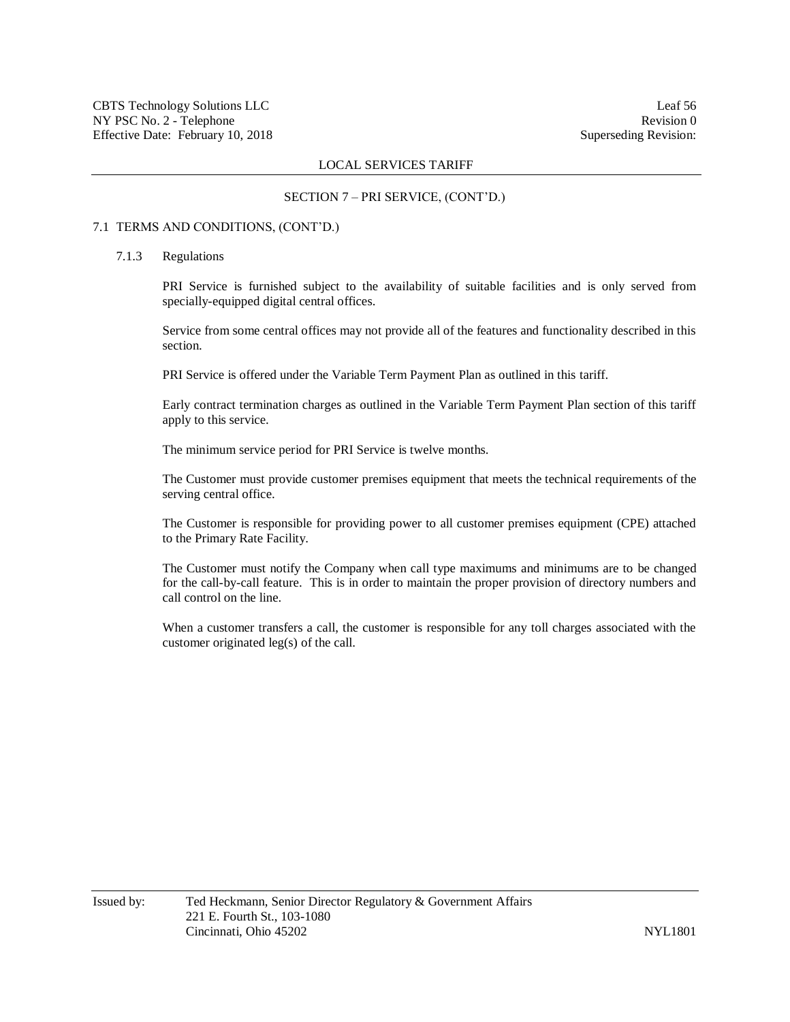#### SECTION 7 – PRI SERVICE, (CONT'D.)

#### 7.1 TERMS AND CONDITIONS, (CONT'D.)

## 7.1.3 Regulations

PRI Service is furnished subject to the availability of suitable facilities and is only served from specially-equipped digital central offices.

Service from some central offices may not provide all of the features and functionality described in this section.

PRI Service is offered under the Variable Term Payment Plan as outlined in this tariff.

Early contract termination charges as outlined in the Variable Term Payment Plan section of this tariff apply to this service.

The minimum service period for PRI Service is twelve months.

The Customer must provide customer premises equipment that meets the technical requirements of the serving central office.

The Customer is responsible for providing power to all customer premises equipment (CPE) attached to the Primary Rate Facility.

The Customer must notify the Company when call type maximums and minimums are to be changed for the call-by-call feature. This is in order to maintain the proper provision of directory numbers and call control on the line.

When a customer transfers a call, the customer is responsible for any toll charges associated with the customer originated leg(s) of the call.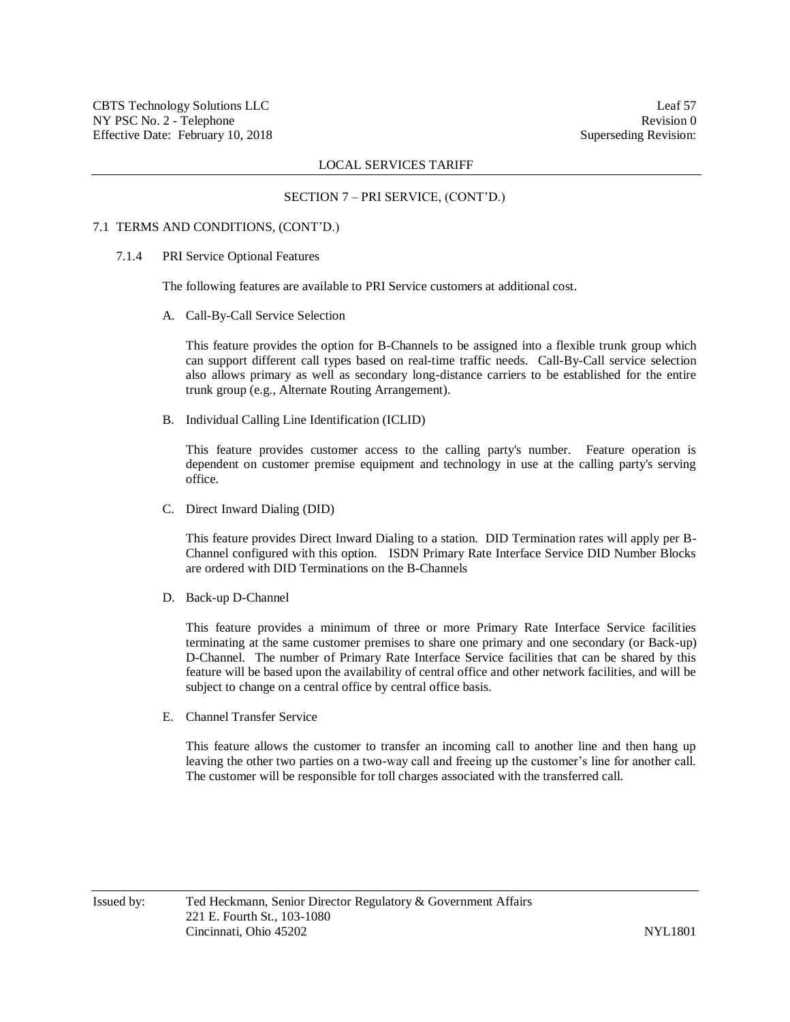## SECTION 7 – PRI SERVICE, (CONT'D.)

## 7.1 TERMS AND CONDITIONS, (CONT'D.)

7.1.4 PRI Service Optional Features

The following features are available to PRI Service customers at additional cost.

A. Call-By-Call Service Selection

This feature provides the option for B-Channels to be assigned into a flexible trunk group which can support different call types based on real-time traffic needs. Call-By-Call service selection also allows primary as well as secondary long-distance carriers to be established for the entire trunk group (e.g., Alternate Routing Arrangement).

B. Individual Calling Line Identification (ICLID)

This feature provides customer access to the calling party's number. Feature operation is dependent on customer premise equipment and technology in use at the calling party's serving office.

C. Direct Inward Dialing (DID)

This feature provides Direct Inward Dialing to a station. DID Termination rates will apply per B-Channel configured with this option. ISDN Primary Rate Interface Service DID Number Blocks are ordered with DID Terminations on the B-Channels

D. Back-up D-Channel

This feature provides a minimum of three or more Primary Rate Interface Service facilities terminating at the same customer premises to share one primary and one secondary (or Back-up) D-Channel. The number of Primary Rate Interface Service facilities that can be shared by this feature will be based upon the availability of central office and other network facilities, and will be subject to change on a central office by central office basis.

E. Channel Transfer Service

This feature allows the customer to transfer an incoming call to another line and then hang up leaving the other two parties on a two-way call and freeing up the customer's line for another call. The customer will be responsible for toll charges associated with the transferred call.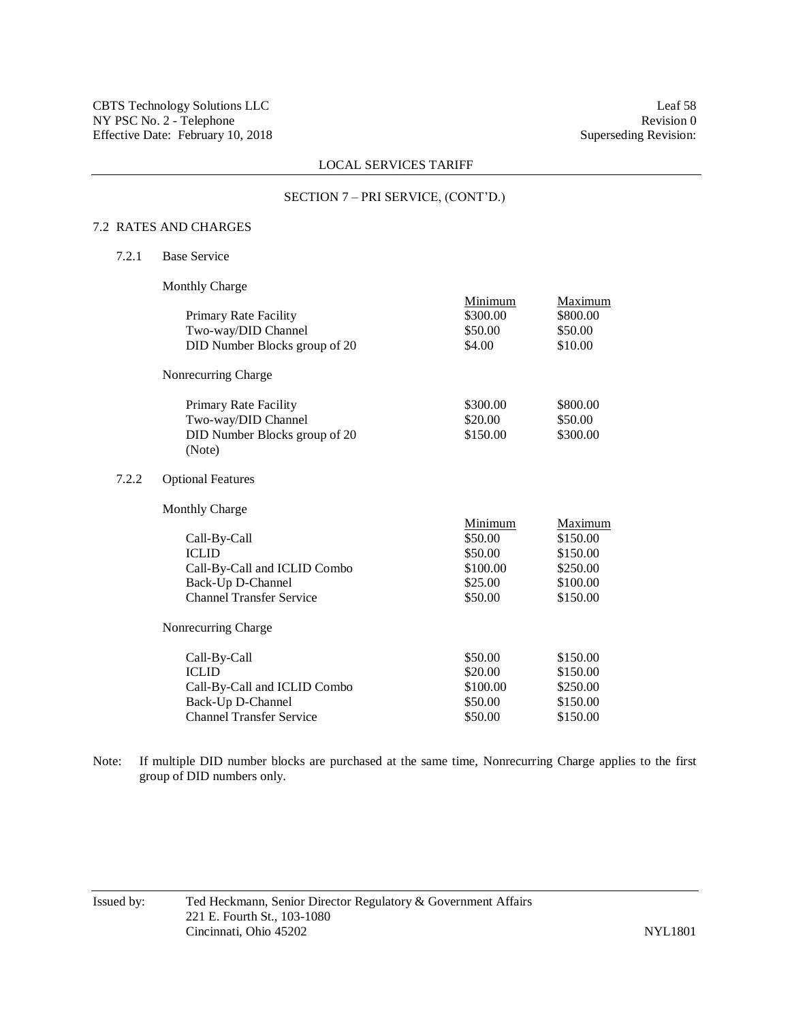#### SECTION 7 – PRI SERVICE, (CONT'D.)

## 7.2 RATES AND CHARGES

7.2.1 Base Service

 $7.2.2$ 

Monthly Charge

| Primary Rate Facility<br>Two-way/DID Channel<br>DID Number Blocks group of 20                                        | Minimum<br>\$300.00<br>\$50.00<br>\$4.00                        | Maximum<br>\$800.00<br>\$50.00<br>\$10.00                           |  |
|----------------------------------------------------------------------------------------------------------------------|-----------------------------------------------------------------|---------------------------------------------------------------------|--|
| Nonrecurring Charge                                                                                                  |                                                                 |                                                                     |  |
| Primary Rate Facility<br>Two-way/DID Channel<br>DID Number Blocks group of 20<br>(Note)                              | \$300.00<br>\$20.00<br>\$150.00                                 | \$800.00<br>\$50.00<br>\$300.00                                     |  |
| <b>Optional Features</b>                                                                                             |                                                                 |                                                                     |  |
| <b>Monthly Charge</b>                                                                                                |                                                                 |                                                                     |  |
| Call-By-Call<br><b>ICLID</b><br>Call-By-Call and ICLID Combo<br>Back-Up D-Channel<br><b>Channel Transfer Service</b> | Minimum<br>\$50.00<br>\$50.00<br>\$100.00<br>\$25.00<br>\$50.00 | Maximum<br>\$150.00<br>\$150.00<br>\$250.00<br>\$100.00<br>\$150.00 |  |
| Nonrecurring Charge                                                                                                  |                                                                 |                                                                     |  |
| Call-By-Call<br><b>ICLID</b><br>Call-By-Call and ICLID Combo<br>Back-Up D-Channel                                    | \$50.00<br>\$20.00<br>\$100.00<br>\$50.00                       | \$150.00<br>\$150.00<br>\$250.00<br>\$150.00                        |  |

Note: If multiple DID number blocks are purchased at the same time, Nonrecurring Charge applies to the first group of DID numbers only.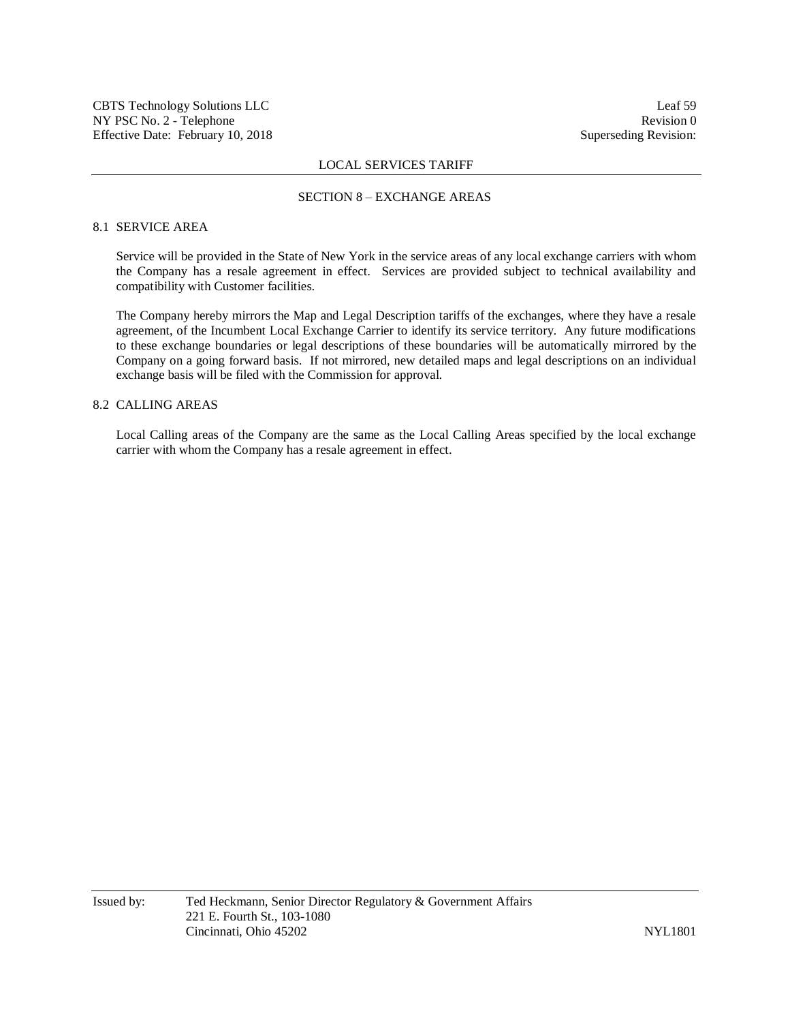#### SECTION 8 – EXCHANGE AREAS

## 8.1 SERVICE AREA

Service will be provided in the State of New York in the service areas of any local exchange carriers with whom the Company has a resale agreement in effect. Services are provided subject to technical availability and compatibility with Customer facilities.

The Company hereby mirrors the Map and Legal Description tariffs of the exchanges, where they have a resale agreement, of the Incumbent Local Exchange Carrier to identify its service territory. Any future modifications to these exchange boundaries or legal descriptions of these boundaries will be automatically mirrored by the Company on a going forward basis. If not mirrored, new detailed maps and legal descriptions on an individual exchange basis will be filed with the Commission for approval.

## 8.2 CALLING AREAS

Local Calling areas of the Company are the same as the Local Calling Areas specified by the local exchange carrier with whom the Company has a resale agreement in effect.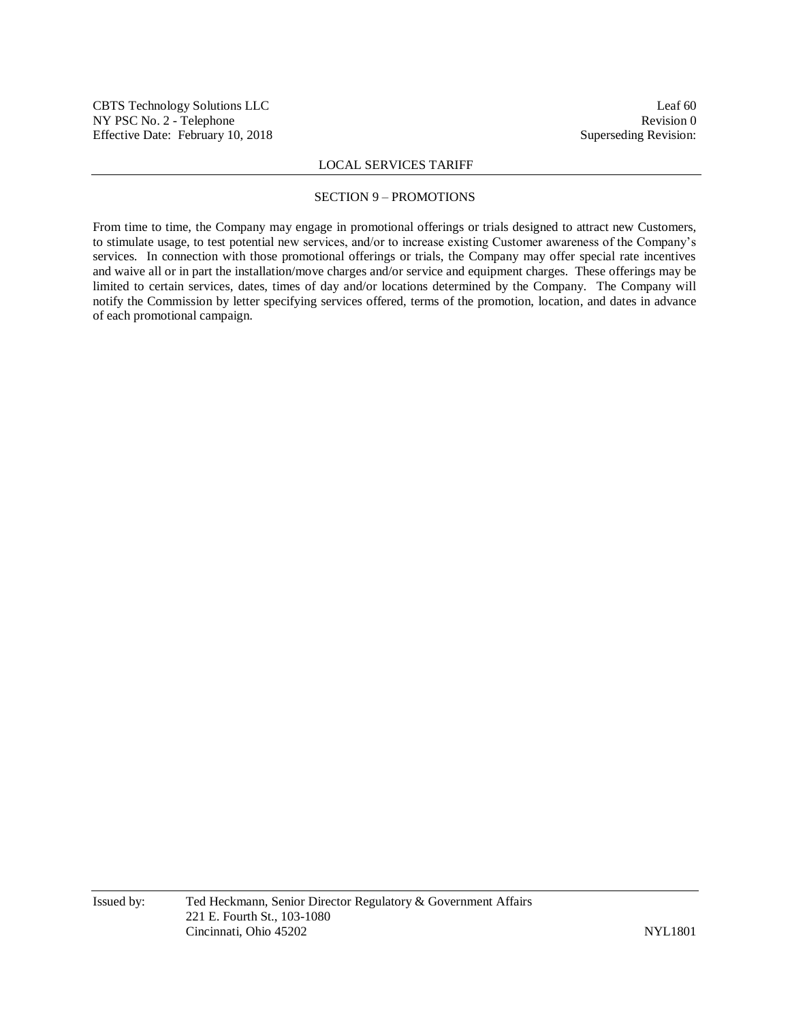## SECTION 9 – PROMOTIONS

From time to time, the Company may engage in promotional offerings or trials designed to attract new Customers, to stimulate usage, to test potential new services, and/or to increase existing Customer awareness of the Company's services. In connection with those promotional offerings or trials, the Company may offer special rate incentives and waive all or in part the installation/move charges and/or service and equipment charges. These offerings may be limited to certain services, dates, times of day and/or locations determined by the Company. The Company will notify the Commission by letter specifying services offered, terms of the promotion, location, and dates in advance of each promotional campaign.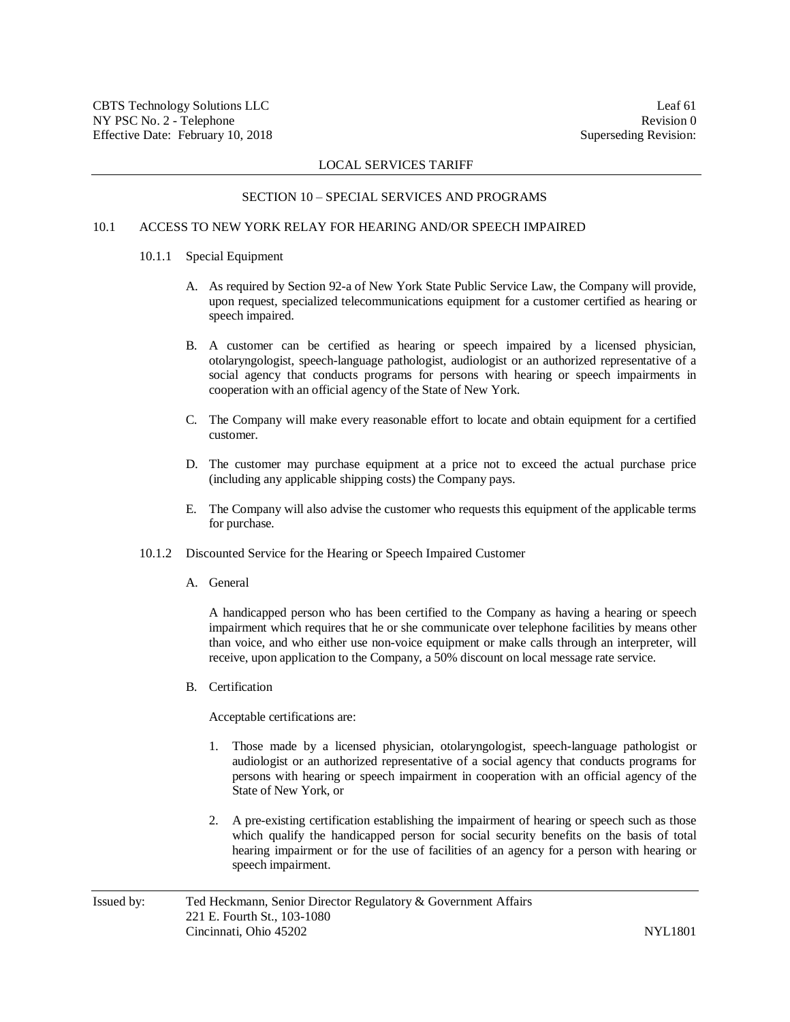#### SECTION 10 – SPECIAL SERVICES AND PROGRAMS

# 10.1 ACCESS TO NEW YORK RELAY FOR HEARING AND/OR SPEECH IMPAIRED

## 10.1.1 Special Equipment

- A. As required by Section 92-a of New York State Public Service Law, the Company will provide, upon request, specialized telecommunications equipment for a customer certified as hearing or speech impaired.
- B. A customer can be certified as hearing or speech impaired by a licensed physician, otolaryngologist, speech-language pathologist, audiologist or an authorized representative of a social agency that conducts programs for persons with hearing or speech impairments in cooperation with an official agency of the State of New York.
- C. The Company will make every reasonable effort to locate and obtain equipment for a certified customer.
- D. The customer may purchase equipment at a price not to exceed the actual purchase price (including any applicable shipping costs) the Company pays.
- E. The Company will also advise the customer who requests this equipment of the applicable terms for purchase.
- 10.1.2 Discounted Service for the Hearing or Speech Impaired Customer
	- A. General

A handicapped person who has been certified to the Company as having a hearing or speech impairment which requires that he or she communicate over telephone facilities by means other than voice, and who either use non-voice equipment or make calls through an interpreter, will receive, upon application to the Company, a 50% discount on local message rate service.

B. Certification

Acceptable certifications are:

- 1. Those made by a licensed physician, otolaryngologist, speech-language pathologist or audiologist or an authorized representative of a social agency that conducts programs for persons with hearing or speech impairment in cooperation with an official agency of the State of New York, or
- 2. A pre-existing certification establishing the impairment of hearing or speech such as those which qualify the handicapped person for social security benefits on the basis of total hearing impairment or for the use of facilities of an agency for a person with hearing or speech impairment.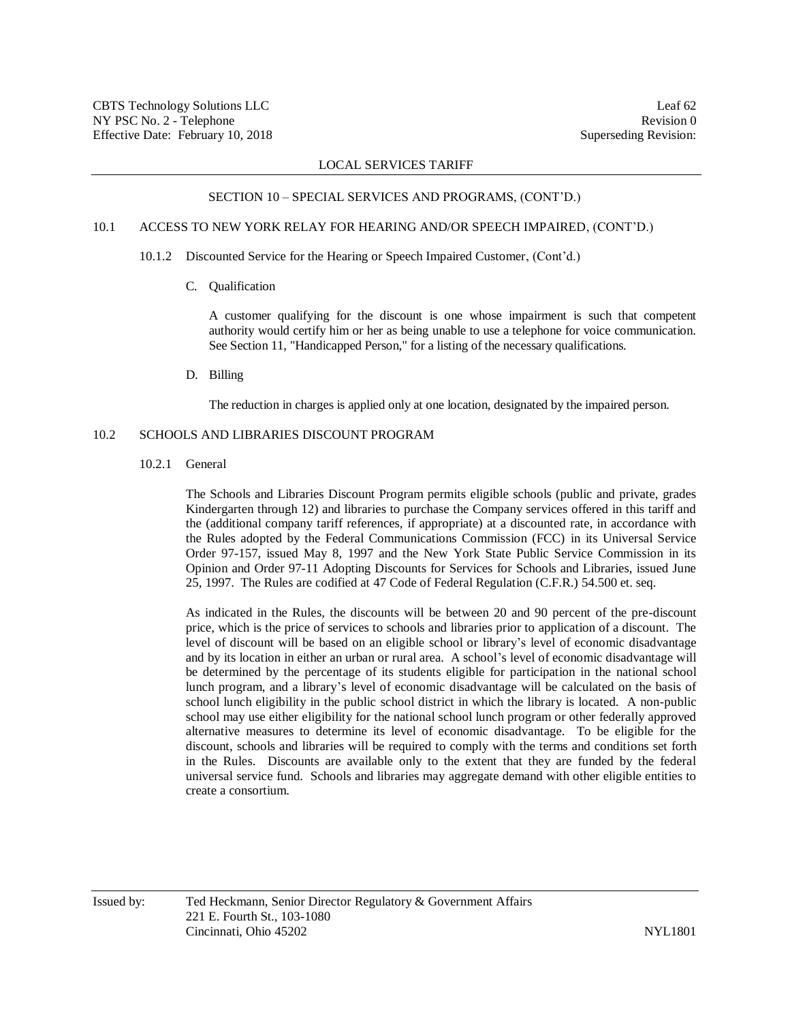#### SECTION 10 – SPECIAL SERVICES AND PROGRAMS, (CONT'D.)

# 10.1 ACCESS TO NEW YORK RELAY FOR HEARING AND/OR SPEECH IMPAIRED, (CONT'D.)

10.1.2 Discounted Service for the Hearing or Speech Impaired Customer, (Cont'd.)

C. Qualification

A customer qualifying for the discount is one whose impairment is such that competent authority would certify him or her as being unable to use a telephone for voice communication. See Section 11, "Handicapped Person," for a listing of the necessary qualifications.

D. Billing

The reduction in charges is applied only at one location, designated by the impaired person.

## 10.2 SCHOOLS AND LIBRARIES DISCOUNT PROGRAM

10.2.1 General

The Schools and Libraries Discount Program permits eligible schools (public and private, grades Kindergarten through 12) and libraries to purchase the Company services offered in this tariff and the (additional company tariff references, if appropriate) at a discounted rate, in accordance with the Rules adopted by the Federal Communications Commission (FCC) in its Universal Service Order 97-157, issued May 8, 1997 and the New York State Public Service Commission in its Opinion and Order 97-11 Adopting Discounts for Services for Schools and Libraries, issued June 25, 1997. The Rules are codified at 47 Code of Federal Regulation (C.F.R.) 54.500 et. seq.

As indicated in the Rules, the discounts will be between 20 and 90 percent of the pre-discount price, which is the price of services to schools and libraries prior to application of a discount. The level of discount will be based on an eligible school or library's level of economic disadvantage and by its location in either an urban or rural area. A school's level of economic disadvantage will be determined by the percentage of its students eligible for participation in the national school lunch program, and a library's level of economic disadvantage will be calculated on the basis of school lunch eligibility in the public school district in which the library is located. A non-public school may use either eligibility for the national school lunch program or other federally approved alternative measures to determine its level of economic disadvantage. To be eligible for the discount, schools and libraries will be required to comply with the terms and conditions set forth in the Rules. Discounts are available only to the extent that they are funded by the federal universal service fund. Schools and libraries may aggregate demand with other eligible entities to create a consortium.

Issued by: Ted Heckmann, Senior Director Regulatory & Government Affairs 221 E. Fourth St., 103-1080 Cincinnati, Ohio 45202 NYL1801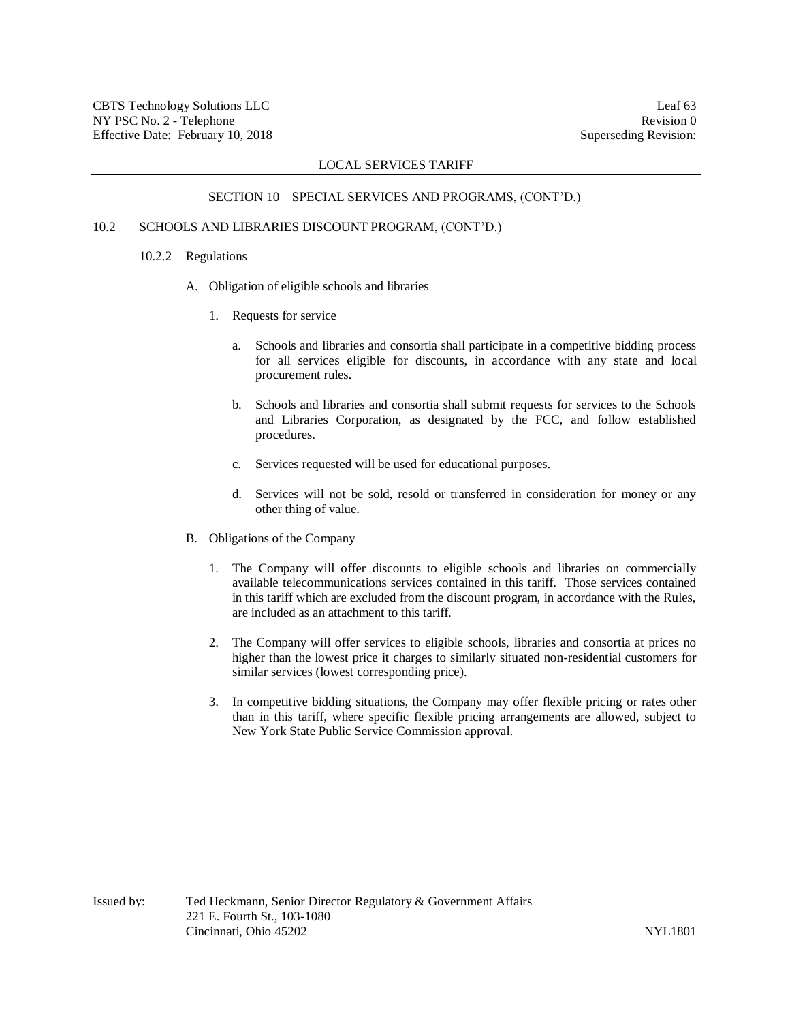#### SECTION 10 – SPECIAL SERVICES AND PROGRAMS, (CONT'D.)

# 10.2 SCHOOLS AND LIBRARIES DISCOUNT PROGRAM, (CONT'D.)

## 10.2.2 Regulations

- A. Obligation of eligible schools and libraries
	- 1. Requests for service
		- a. Schools and libraries and consortia shall participate in a competitive bidding process for all services eligible for discounts, in accordance with any state and local procurement rules.
		- b. Schools and libraries and consortia shall submit requests for services to the Schools and Libraries Corporation, as designated by the FCC, and follow established procedures.
		- c. Services requested will be used for educational purposes.
		- d. Services will not be sold, resold or transferred in consideration for money or any other thing of value.
- B. Obligations of the Company
	- 1. The Company will offer discounts to eligible schools and libraries on commercially available telecommunications services contained in this tariff. Those services contained in this tariff which are excluded from the discount program, in accordance with the Rules, are included as an attachment to this tariff.
	- 2. The Company will offer services to eligible schools, libraries and consortia at prices no higher than the lowest price it charges to similarly situated non-residential customers for similar services (lowest corresponding price).
	- 3. In competitive bidding situations, the Company may offer flexible pricing or rates other than in this tariff, where specific flexible pricing arrangements are allowed, subject to New York State Public Service Commission approval.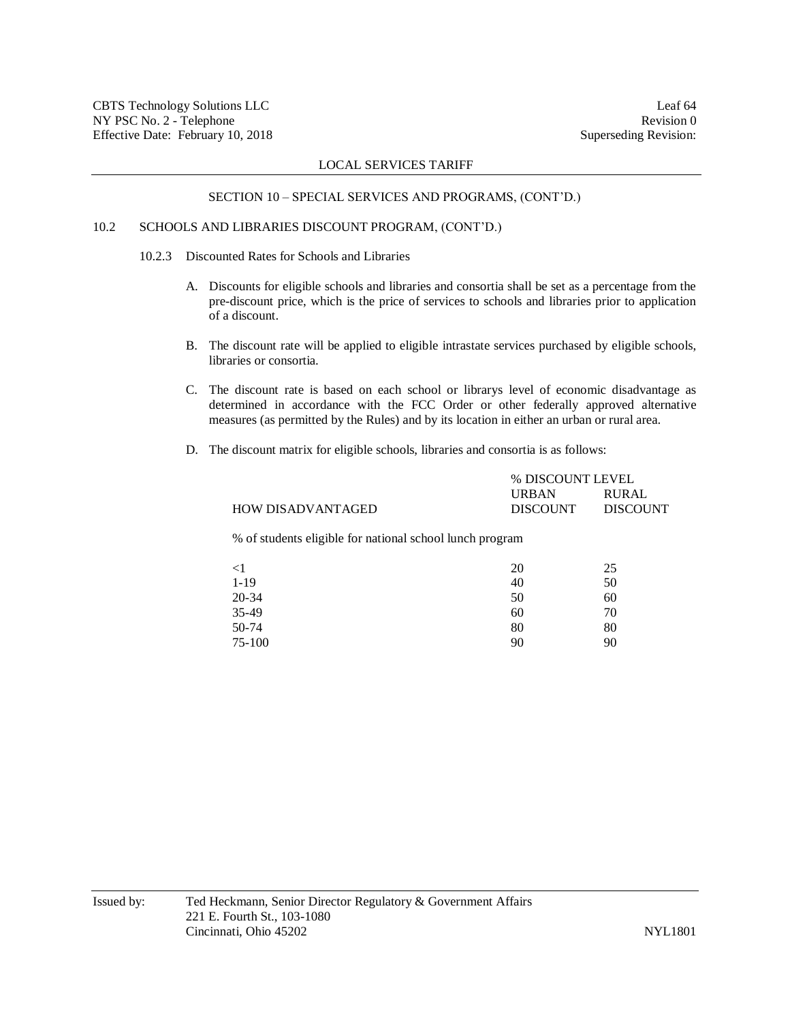#### SECTION 10 – SPECIAL SERVICES AND PROGRAMS, (CONT'D.)

# 10.2 SCHOOLS AND LIBRARIES DISCOUNT PROGRAM, (CONT'D.)

10.2.3 Discounted Rates for Schools and Libraries

- A. Discounts for eligible schools and libraries and consortia shall be set as a percentage from the pre-discount price, which is the price of services to schools and libraries prior to application of a discount.
- B. The discount rate will be applied to eligible intrastate services purchased by eligible schools, libraries or consortia.
- C. The discount rate is based on each school or librarys level of economic disadvantage as determined in accordance with the FCC Order or other federally approved alternative measures (as permitted by the Rules) and by its location in either an urban or rural area.
- D. The discount matrix for eligible schools, libraries and consortia is as follows:

|                                                          | % DISCOUNT LEVEL |          |
|----------------------------------------------------------|------------------|----------|
|                                                          | URBAN            | RURAL    |
| <b>HOW DISADVANTAGED</b>                                 | <b>DISCOUNT</b>  | DISCOUNT |
| % of students eligible for national school lunch program |                  |          |

| $\leq$ 1 | 20 | 25 |
|----------|----|----|
| $1 - 19$ | 40 | 50 |
| 20-34    | 50 | 60 |
| 35-49    | 60 | 70 |
| 50-74    | 80 | 80 |
| 75-100   | 90 | 90 |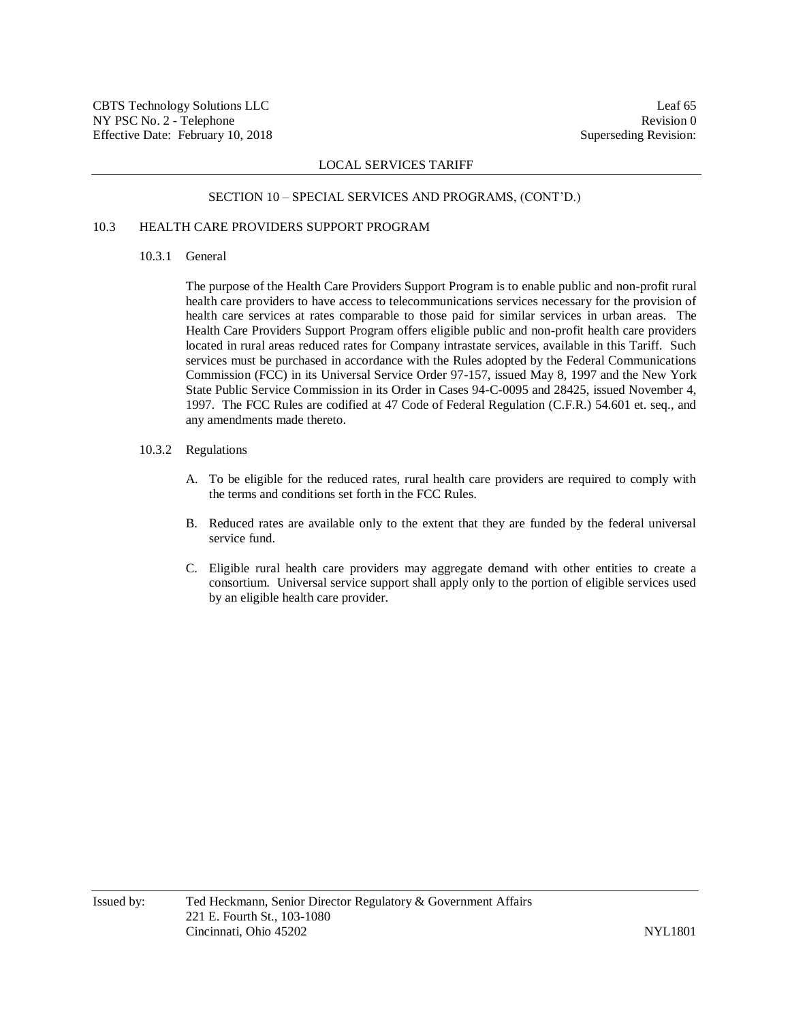#### SECTION 10 – SPECIAL SERVICES AND PROGRAMS, (CONT'D.)

# 10.3 HEALTH CARE PROVIDERS SUPPORT PROGRAM

## 10.3.1 General

The purpose of the Health Care Providers Support Program is to enable public and non-profit rural health care providers to have access to telecommunications services necessary for the provision of health care services at rates comparable to those paid for similar services in urban areas. The Health Care Providers Support Program offers eligible public and non-profit health care providers located in rural areas reduced rates for Company intrastate services, available in this Tariff. Such services must be purchased in accordance with the Rules adopted by the Federal Communications Commission (FCC) in its Universal Service Order 97-157, issued May 8, 1997 and the New York State Public Service Commission in its Order in Cases 94-C-0095 and 28425, issued November 4, 1997. The FCC Rules are codified at 47 Code of Federal Regulation (C.F.R.) 54.601 et. seq., and any amendments made thereto.

#### 10.3.2 Regulations

- A. To be eligible for the reduced rates, rural health care providers are required to comply with the terms and conditions set forth in the FCC Rules.
- B. Reduced rates are available only to the extent that they are funded by the federal universal service fund.
- C. Eligible rural health care providers may aggregate demand with other entities to create a consortium. Universal service support shall apply only to the portion of eligible services used by an eligible health care provider.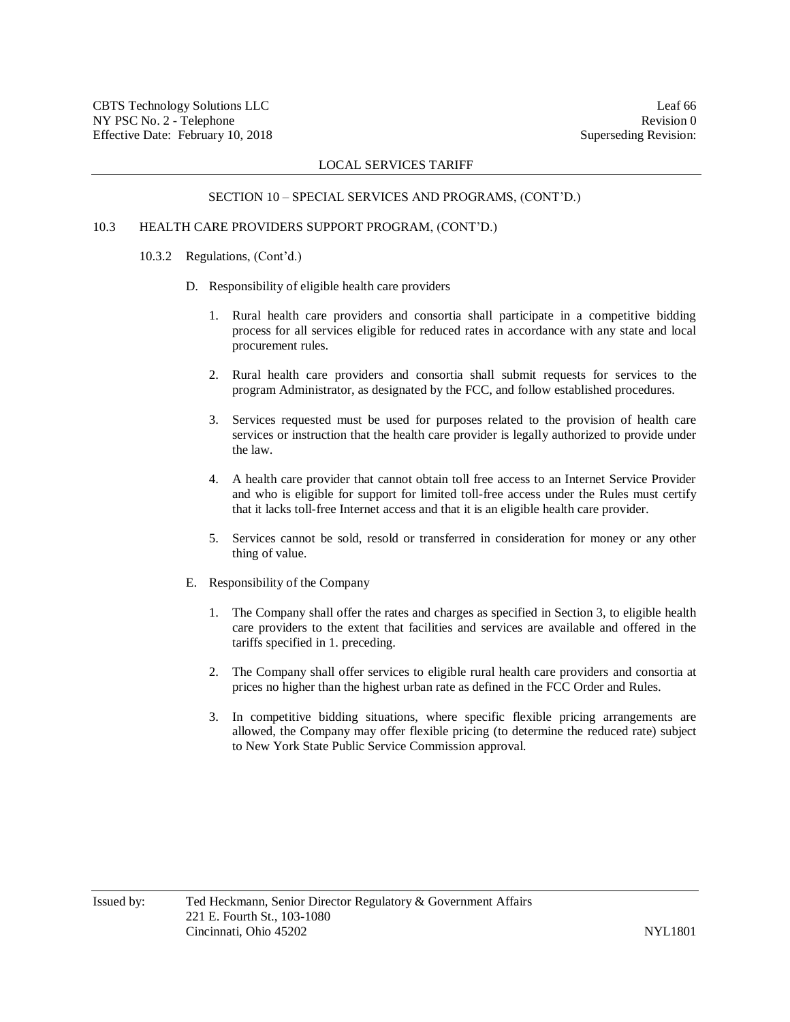#### SECTION 10 – SPECIAL SERVICES AND PROGRAMS, (CONT'D.)

# 10.3 HEALTH CARE PROVIDERS SUPPORT PROGRAM, (CONT'D.)

## 10.3.2 Regulations, (Cont'd.)

- D. Responsibility of eligible health care providers
	- 1. Rural health care providers and consortia shall participate in a competitive bidding process for all services eligible for reduced rates in accordance with any state and local procurement rules.
	- 2. Rural health care providers and consortia shall submit requests for services to the program Administrator, as designated by the FCC, and follow established procedures.
	- 3. Services requested must be used for purposes related to the provision of health care services or instruction that the health care provider is legally authorized to provide under the law.
	- 4. A health care provider that cannot obtain toll free access to an Internet Service Provider and who is eligible for support for limited toll-free access under the Rules must certify that it lacks toll-free Internet access and that it is an eligible health care provider.
	- 5. Services cannot be sold, resold or transferred in consideration for money or any other thing of value.
- E. Responsibility of the Company
	- 1. The Company shall offer the rates and charges as specified in Section 3, to eligible health care providers to the extent that facilities and services are available and offered in the tariffs specified in 1. preceding.
	- 2. The Company shall offer services to eligible rural health care providers and consortia at prices no higher than the highest urban rate as defined in the FCC Order and Rules.
	- 3. In competitive bidding situations, where specific flexible pricing arrangements are allowed, the Company may offer flexible pricing (to determine the reduced rate) subject to New York State Public Service Commission approval.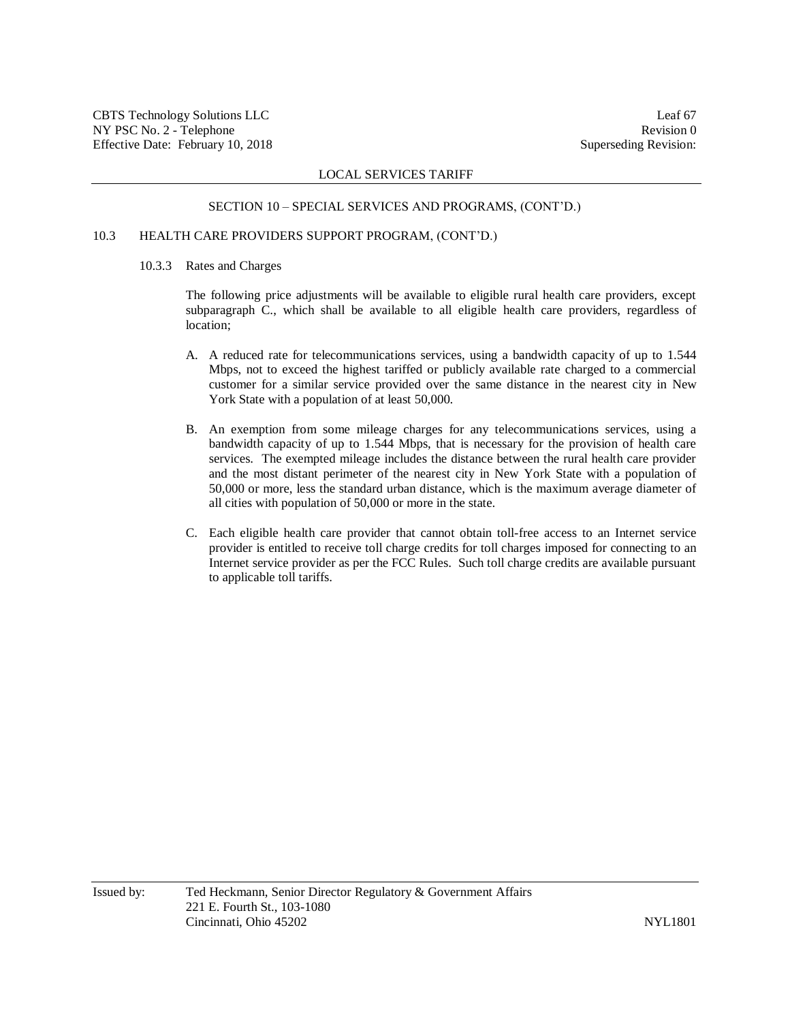## SECTION 10 – SPECIAL SERVICES AND PROGRAMS, (CONT'D.)

## 10.3 HEALTH CARE PROVIDERS SUPPORT PROGRAM, (CONT'D.)

#### 10.3.3 Rates and Charges

The following price adjustments will be available to eligible rural health care providers, except subparagraph C., which shall be available to all eligible health care providers, regardless of location;

- A. A reduced rate for telecommunications services, using a bandwidth capacity of up to 1.544 Mbps, not to exceed the highest tariffed or publicly available rate charged to a commercial customer for a similar service provided over the same distance in the nearest city in New York State with a population of at least 50,000.
- B. An exemption from some mileage charges for any telecommunications services, using a bandwidth capacity of up to 1.544 Mbps, that is necessary for the provision of health care services. The exempted mileage includes the distance between the rural health care provider and the most distant perimeter of the nearest city in New York State with a population of 50,000 or more, less the standard urban distance, which is the maximum average diameter of all cities with population of 50,000 or more in the state.
- C. Each eligible health care provider that cannot obtain toll-free access to an Internet service provider is entitled to receive toll charge credits for toll charges imposed for connecting to an Internet service provider as per the FCC Rules. Such toll charge credits are available pursuant to applicable toll tariffs.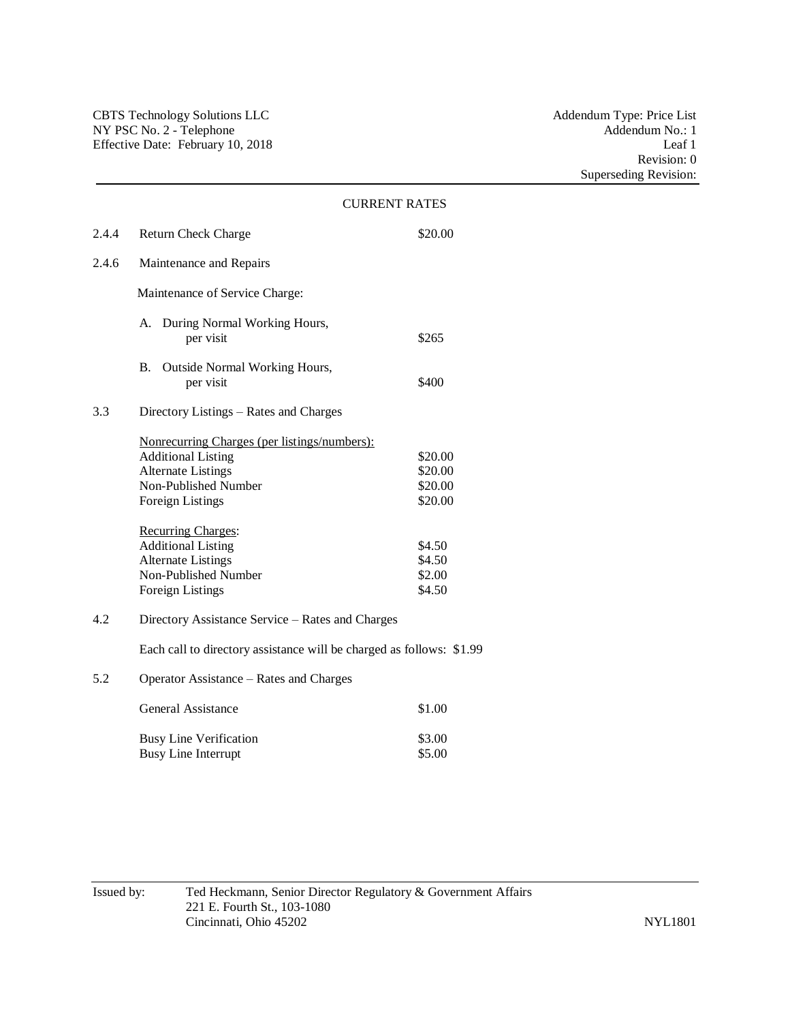|                                               |                                                                                                                                                                                                                                                                   | <b>CURRENT RATES</b>                                                   |  |
|-----------------------------------------------|-------------------------------------------------------------------------------------------------------------------------------------------------------------------------------------------------------------------------------------------------------------------|------------------------------------------------------------------------|--|
| 2.4.4                                         | <b>Return Check Charge</b>                                                                                                                                                                                                                                        | \$20.00                                                                |  |
| 2.4.6                                         | Maintenance and Repairs                                                                                                                                                                                                                                           |                                                                        |  |
|                                               | Maintenance of Service Charge:                                                                                                                                                                                                                                    |                                                                        |  |
|                                               | A. During Normal Working Hours,<br>per visit                                                                                                                                                                                                                      | \$265                                                                  |  |
|                                               | B. Outside Normal Working Hours,<br>per visit                                                                                                                                                                                                                     | \$400                                                                  |  |
| 3.3<br>Directory Listings – Rates and Charges |                                                                                                                                                                                                                                                                   |                                                                        |  |
|                                               | Nonrecurring Charges (per listings/numbers):<br><b>Additional Listing</b><br><b>Alternate Listings</b><br>Non-Published Number<br><b>Foreign Listings</b><br>Recurring Charges:<br><b>Additional Listing</b><br><b>Alternate Listings</b><br>Non-Published Number | \$20.00<br>\$20.00<br>\$20.00<br>\$20.00<br>\$4.50<br>\$4.50<br>\$2.00 |  |
| 4.2                                           | \$4.50<br><b>Foreign Listings</b><br>Directory Assistance Service - Rates and Charges                                                                                                                                                                             |                                                                        |  |
|                                               | Each call to directory assistance will be charged as follows: \$1.99                                                                                                                                                                                              |                                                                        |  |
| 5.2                                           | Operator Assistance – Rates and Charges                                                                                                                                                                                                                           |                                                                        |  |
|                                               | General Assistance                                                                                                                                                                                                                                                | \$1.00                                                                 |  |
|                                               | <b>Busy Line Verification</b><br><b>Busy Line Interrupt</b>                                                                                                                                                                                                       | \$3.00<br>\$5.00                                                       |  |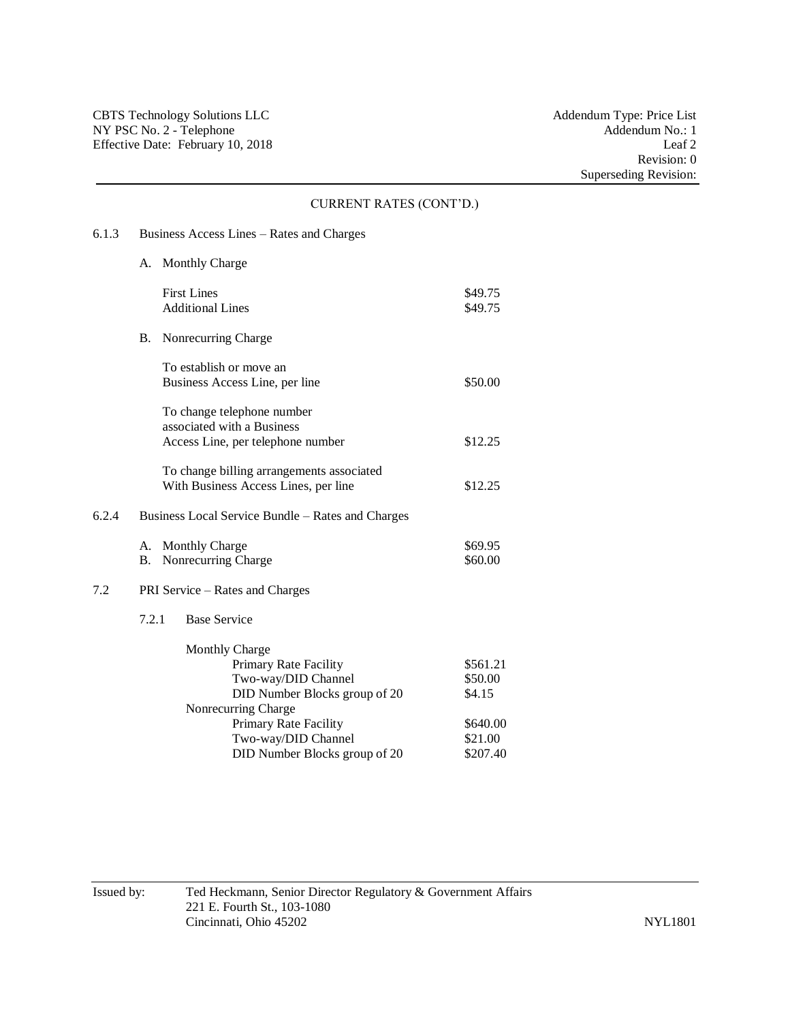#### CURRENT RATES (CONT'D.)

# 6.1.3 Business Access Lines – Rates and Charges

- A. Monthly Charge First Lines  $\$49.75$ Additional Lines \$49.75 B. Nonrecurring Charge To establish or move an Business Access Line, per line \$50.00 To change telephone number associated with a Business Access Line, per telephone number \$12.25 To change billing arrangements associated With Business Access Lines, per line \$12.25 6.2.4 Business Local Service Bundle – Rates and Charges A. Monthly Charge  $\$69.95$ B. Nonrecurring Charge \$60.00 7.2 PRI Service – Rates and Charges 7.2.1 Base Service Monthly Charge Primary Rate Facility \$561.21 Two-way/DID Channel \$50.00 DID Number Blocks group of 20 \$4.15 Nonrecurring Charge Primary Rate Facility \$640.00 Two-way/DID Channel \$21.00
- 

DID Number Blocks group of 20 \$207.40